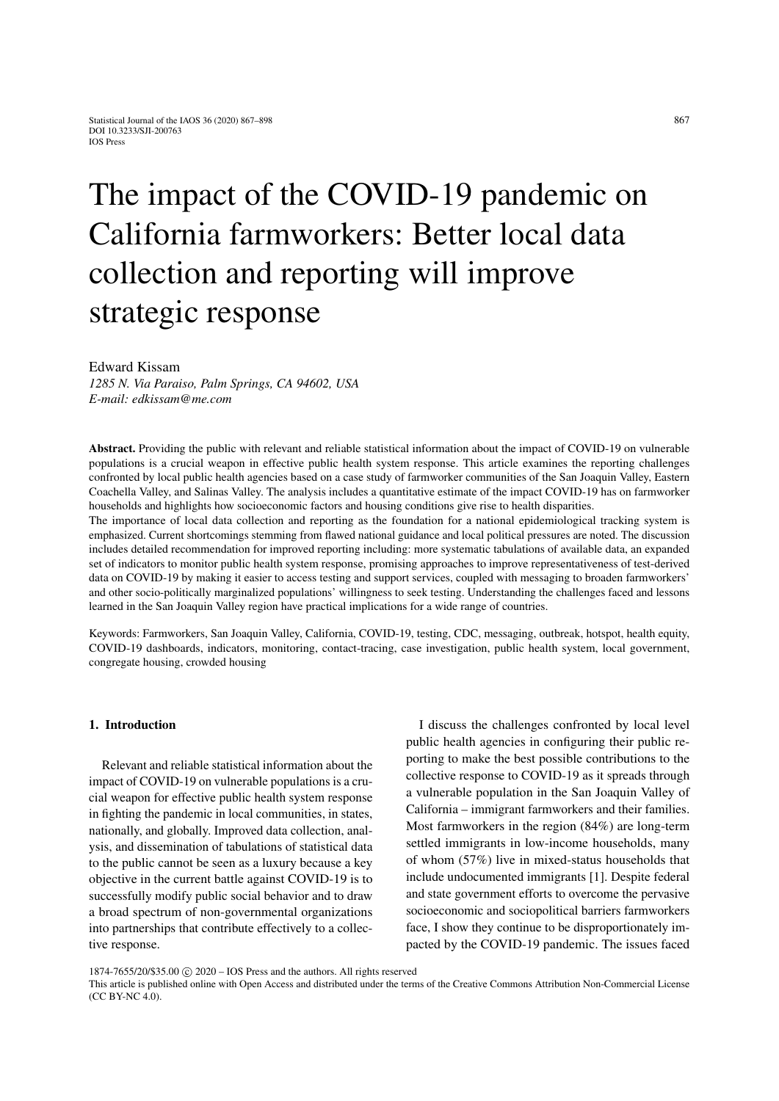# The impact of the COVID-19 pandemic on California farmworkers: Better local data collection and reporting will improve strategic response

Edward Kissam

*1285 N. Via Paraiso, Palm Springs, CA 94602, USA E-mail: edkissam@me.com*

Abstract. Providing the public with relevant and reliable statistical information about the impact of COVID-19 on vulnerable populations is a crucial weapon in effective public health system response. This article examines the reporting challenges confronted by local public health agencies based on a case study of farmworker communities of the San Joaquin Valley, Eastern Coachella Valley, and Salinas Valley. The analysis includes a quantitative estimate of the impact COVID-19 has on farmworker households and highlights how socioeconomic factors and housing conditions give rise to health disparities.

The importance of local data collection and reporting as the foundation for a national epidemiological tracking system is emphasized. Current shortcomings stemming from flawed national guidance and local political pressures are noted. The discussion includes detailed recommendation for improved reporting including: more systematic tabulations of available data, an expanded set of indicators to monitor public health system response, promising approaches to improve representativeness of test-derived data on COVID-19 by making it easier to access testing and support services, coupled with messaging to broaden farmworkers' and other socio-politically marginalized populations' willingness to seek testing. Understanding the challenges faced and lessons learned in the San Joaquin Valley region have practical implications for a wide range of countries.

Keywords: Farmworkers, San Joaquin Valley, California, COVID-19, testing, CDC, messaging, outbreak, hotspot, health equity, COVID-19 dashboards, indicators, monitoring, contact-tracing, case investigation, public health system, local government, congregate housing, crowded housing

## 1. Introduction

Relevant and reliable statistical information about the impact of COVID-19 on vulnerable populations is a crucial weapon for effective public health system response in fighting the pandemic in local communities, in states, nationally, and globally. Improved data collection, analysis, and dissemination of tabulations of statistical data to the public cannot be seen as a luxury because a key objective in the current battle against COVID-19 is to successfully modify public social behavior and to draw a broad spectrum of non-governmental organizations into partnerships that contribute effectively to a collective response.

I discuss the challenges confronted by local level public health agencies in configuring their public reporting to make the best possible contributions to the collective response to COVID-19 as it spreads through a vulnerable population in the San Joaquin Valley of California – immigrant farmworkers and their families. Most farmworkers in the region (84%) are long-term settled immigrants in low-income households, many of whom (57%) live in mixed-status households that include undocumented immigrants [\[1\]](#page-28-0). Despite federal and state government efforts to overcome the pervasive socioeconomic and sociopolitical barriers farmworkers face, I show they continue to be disproportionately impacted by the COVID-19 pandemic. The issues faced

This article is published online with Open Access and distributed under the terms of the Creative Commons Attribution Non-Commercial License (CC BY-NC 4.0).

<sup>1874-7655/20/\$35.00 © 2020 -</sup> IOS Press and the authors. All rights reserved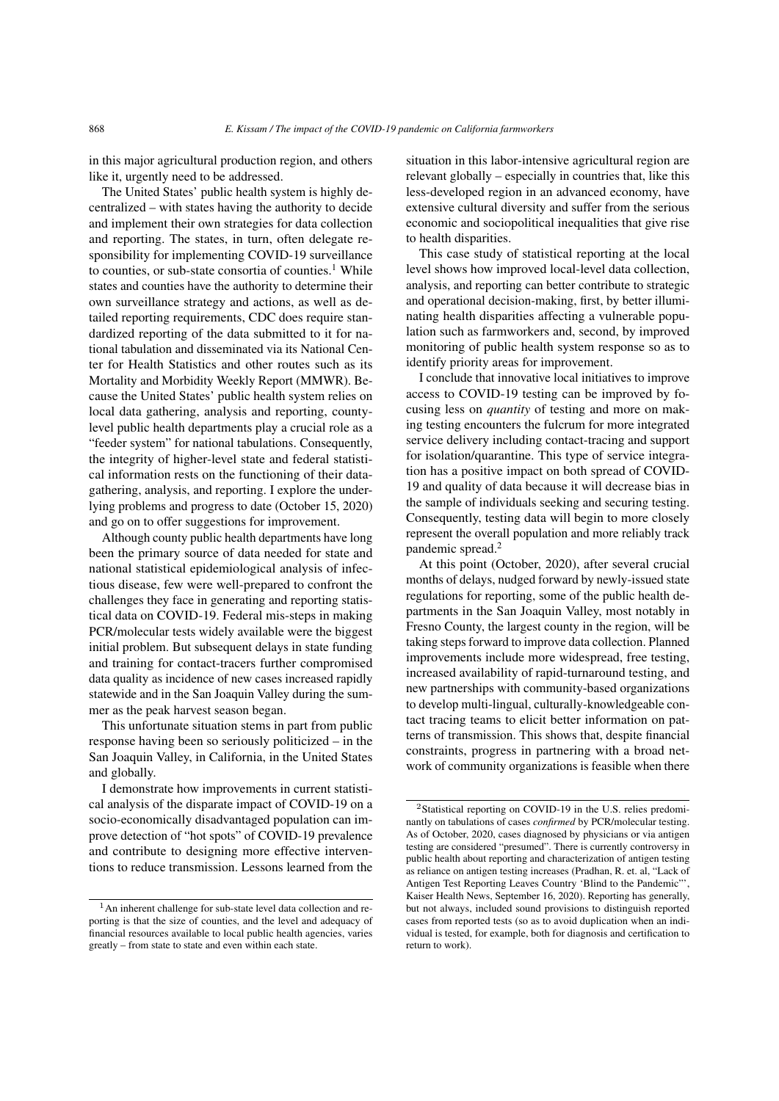in this major agricultural production region, and others like it, urgently need to be addressed.

The United States' public health system is highly decentralized – with states having the authority to decide and implement their own strategies for data collection and reporting. The states, in turn, often delegate responsibility for implementing COVID-19 surveillance to counties, or sub-state consortia of counties.<sup>[1](#page-1-0)</sup> While states and counties have the authority to determine their own surveillance strategy and actions, as well as detailed reporting requirements, CDC does require standardized reporting of the data submitted to it for national tabulation and disseminated via its National Center for Health Statistics and other routes such as its Mortality and Morbidity Weekly Report (MMWR). Because the United States' public health system relies on local data gathering, analysis and reporting, countylevel public health departments play a crucial role as a "feeder system" for national tabulations. Consequently, the integrity of higher-level state and federal statistical information rests on the functioning of their datagathering, analysis, and reporting. I explore the underlying problems and progress to date (October 15, 2020) and go on to offer suggestions for improvement.

Although county public health departments have long been the primary source of data needed for state and national statistical epidemiological analysis of infectious disease, few were well-prepared to confront the challenges they face in generating and reporting statistical data on COVID-19. Federal mis-steps in making PCR/molecular tests widely available were the biggest initial problem. But subsequent delays in state funding and training for contact-tracers further compromised data quality as incidence of new cases increased rapidly statewide and in the San Joaquin Valley during the summer as the peak harvest season began.

This unfortunate situation stems in part from public response having been so seriously politicized – in the San Joaquin Valley, in California, in the United States and globally.

I demonstrate how improvements in current statistical analysis of the disparate impact of COVID-19 on a socio-economically disadvantaged population can improve detection of "hot spots" of COVID-19 prevalence and contribute to designing more effective interventions to reduce transmission. Lessons learned from the situation in this labor-intensive agricultural region are relevant globally – especially in countries that, like this less-developed region in an advanced economy, have extensive cultural diversity and suffer from the serious economic and sociopolitical inequalities that give rise to health disparities.

This case study of statistical reporting at the local level shows how improved local-level data collection, analysis, and reporting can better contribute to strategic and operational decision-making, first, by better illuminating health disparities affecting a vulnerable population such as farmworkers and, second, by improved monitoring of public health system response so as to identify priority areas for improvement.

I conclude that innovative local initiatives to improve access to COVID-19 testing can be improved by focusing less on *quantity* of testing and more on making testing encounters the fulcrum for more integrated service delivery including contact-tracing and support for isolation/quarantine. This type of service integration has a positive impact on both spread of COVID-19 and quality of data because it will decrease bias in the sample of individuals seeking and securing testing. Consequently, testing data will begin to more closely represent the overall population and more reliably track pandemic spread.[2](#page-1-1)

At this point (October, 2020), after several crucial months of delays, nudged forward by newly-issued state regulations for reporting, some of the public health departments in the San Joaquin Valley, most notably in Fresno County, the largest county in the region, will be taking steps forward to improve data collection. Planned improvements include more widespread, free testing, increased availability of rapid-turnaround testing, and new partnerships with community-based organizations to develop multi-lingual, culturally-knowledgeable contact tracing teams to elicit better information on patterns of transmission. This shows that, despite financial constraints, progress in partnering with a broad network of community organizations is feasible when there

<span id="page-1-0"></span><sup>1</sup>An inherent challenge for sub-state level data collection and reporting is that the size of counties, and the level and adequacy of financial resources available to local public health agencies, varies greatly – from state to state and even within each state.

<span id="page-1-1"></span><sup>2</sup>Statistical reporting on COVID-19 in the U.S. relies predominantly on tabulations of cases *confirmed* by PCR/molecular testing. As of October, 2020, cases diagnosed by physicians or via antigen testing are considered "presumed". There is currently controversy in public health about reporting and characterization of antigen testing as reliance on antigen testing increases (Pradhan, R. et. al, "Lack of Antigen Test Reporting Leaves Country 'Blind to the Pandemic"', Kaiser Health News, September 16, 2020). Reporting has generally, but not always, included sound provisions to distinguish reported cases from reported tests (so as to avoid duplication when an individual is tested, for example, both for diagnosis and certification to return to work).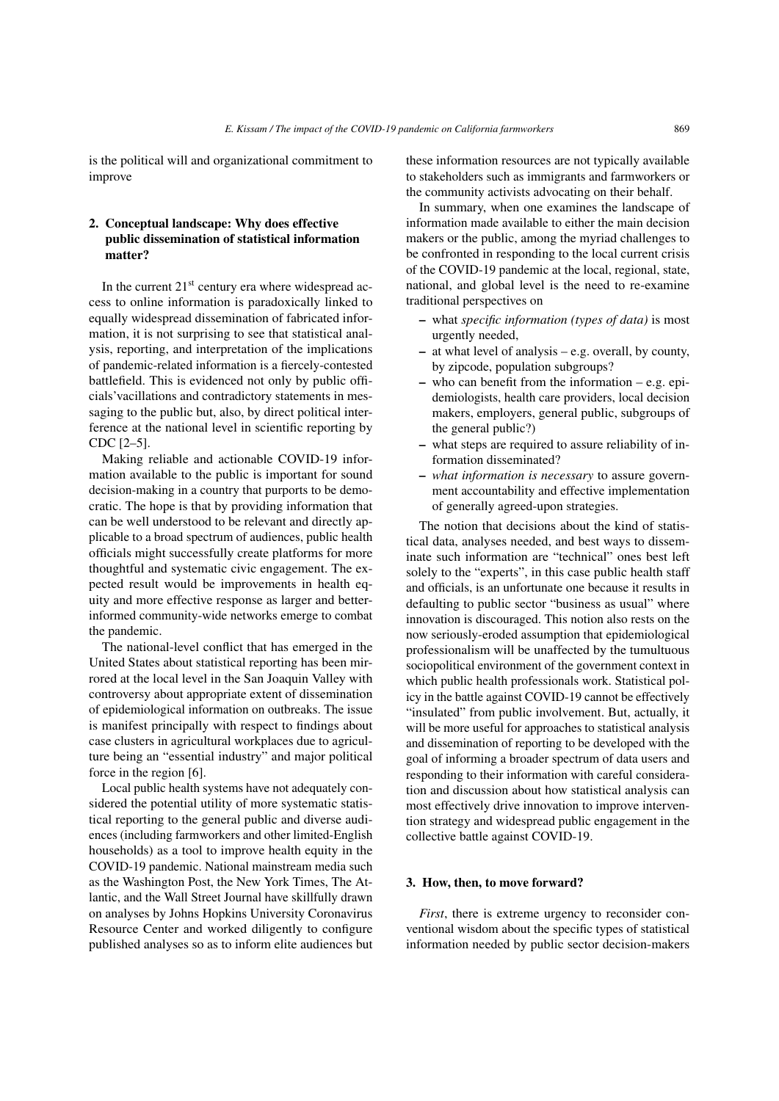is the political will and organizational commitment to improve

# 2. Conceptual landscape: Why does effective public dissemination of statistical information matter?

In the current  $21<sup>st</sup>$  century era where widespread access to online information is paradoxically linked to equally widespread dissemination of fabricated information, it is not surprising to see that statistical analysis, reporting, and interpretation of the implications of pandemic-related information is a fiercely-contested battlefield. This is evidenced not only by public officials'vacillations and contradictory statements in messaging to the public but, also, by direct political interference at the national level in scientific reporting by CDC [\[2](#page-28-1)[–5\]](#page-29-0).

Making reliable and actionable COVID-19 information available to the public is important for sound decision-making in a country that purports to be democratic. The hope is that by providing information that can be well understood to be relevant and directly applicable to a broad spectrum of audiences, public health officials might successfully create platforms for more thoughtful and systematic civic engagement. The expected result would be improvements in health equity and more effective response as larger and betterinformed community-wide networks emerge to combat the pandemic.

The national-level conflict that has emerged in the United States about statistical reporting has been mirrored at the local level in the San Joaquin Valley with controversy about appropriate extent of dissemination of epidemiological information on outbreaks. The issue is manifest principally with respect to findings about case clusters in agricultural workplaces due to agriculture being an "essential industry" and major political force in the region [\[6\]](#page-29-1).

Local public health systems have not adequately considered the potential utility of more systematic statistical reporting to the general public and diverse audiences (including farmworkers and other limited-English households) as a tool to improve health equity in the COVID-19 pandemic. National mainstream media such as the Washington Post, the New York Times, The Atlantic, and the Wall Street Journal have skillfully drawn on analyses by Johns Hopkins University Coronavirus Resource Center and worked diligently to configure published analyses so as to inform elite audiences but these information resources are not typically available to stakeholders such as immigrants and farmworkers or the community activists advocating on their behalf.

In summary, when one examines the landscape of information made available to either the main decision makers or the public, among the myriad challenges to be confronted in responding to the local current crisis of the COVID-19 pandemic at the local, regional, state, national, and global level is the need to re-examine traditional perspectives on

- what *specific information (types of data)* is most urgently needed,
- at what level of analysis e.g. overall, by county, by zipcode, population subgroups?
- who can benefit from the information e.g. epidemiologists, health care providers, local decision makers, employers, general public, subgroups of the general public?)
- what steps are required to assure reliability of information disseminated?
- *what information is necessary* to assure government accountability and effective implementation of generally agreed-upon strategies.

The notion that decisions about the kind of statistical data, analyses needed, and best ways to disseminate such information are "technical" ones best left solely to the "experts", in this case public health staff and officials, is an unfortunate one because it results in defaulting to public sector "business as usual" where innovation is discouraged. This notion also rests on the now seriously-eroded assumption that epidemiological professionalism will be unaffected by the tumultuous sociopolitical environment of the government context in which public health professionals work. Statistical policy in the battle against COVID-19 cannot be effectively "insulated" from public involvement. But, actually, it will be more useful for approaches to statistical analysis and dissemination of reporting to be developed with the goal of informing a broader spectrum of data users and responding to their information with careful consideration and discussion about how statistical analysis can most effectively drive innovation to improve intervention strategy and widespread public engagement in the collective battle against COVID-19.

## 3. How, then, to move forward?

*First*, there is extreme urgency to reconsider conventional wisdom about the specific types of statistical information needed by public sector decision-makers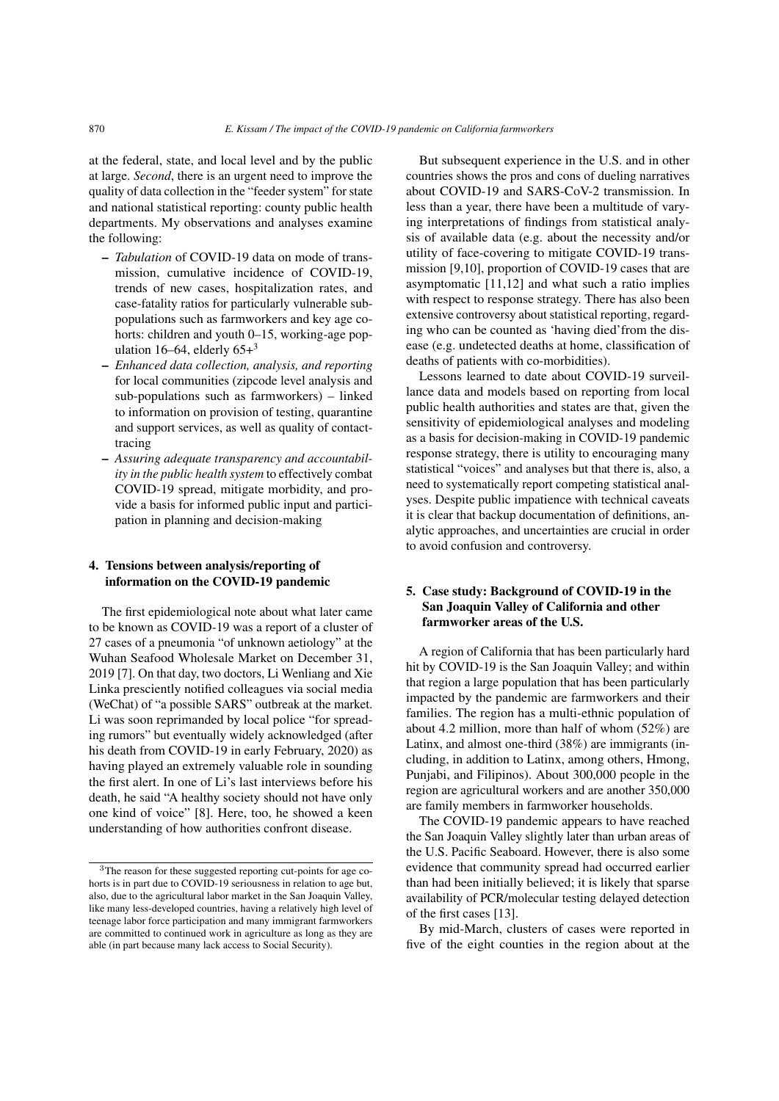at the federal, state, and local level and by the public at large. *Second*, there is an urgent need to improve the quality of data collection in the "feeder system" for state and national statistical reporting: county public health departments. My observations and analyses examine the following:

- *Tabulation* of COVID-19 data on mode of transmission, cumulative incidence of COVID-19, trends of new cases, hospitalization rates, and case-fatality ratios for particularly vulnerable subpopulations such as farmworkers and key age cohorts: children and youth 0–15, working-age population 16–64, elderly  $65+3$  $65+3$
- *Enhanced data collection, analysis, and reporting* for local communities (zipcode level analysis and sub-populations such as farmworkers) – linked to information on provision of testing, quarantine and support services, as well as quality of contacttracing
- *Assuring adequate transparency and accountability in the public health system* to effectively combat COVID-19 spread, mitigate morbidity, and provide a basis for informed public input and participation in planning and decision-making

#### 4. Tensions between analysis/reporting of information on the COVID-19 pandemic

The first epidemiological note about what later came to be known as COVID-19 was a report of a cluster of 27 cases of a pneumonia "of unknown aetiology" at the Wuhan Seafood Wholesale Market on December 31, 2019 [\[7\]](#page-29-2). On that day, two doctors, Li Wenliang and Xie Linka presciently notified colleagues via social media (WeChat) of "a possible SARS" outbreak at the market. Li was soon reprimanded by local police "for spreading rumors" but eventually widely acknowledged (after his death from COVID-19 in early February, 2020) as having played an extremely valuable role in sounding the first alert. In one of Li's last interviews before his death, he said "A healthy society should not have only one kind of voice" [\[8\]](#page-29-3). Here, too, he showed a keen understanding of how authorities confront disease.

But subsequent experience in the U.S. and in other countries shows the pros and cons of dueling narratives about COVID-19 and SARS-CoV-2 transmission. In less than a year, there have been a multitude of varying interpretations of findings from statistical analysis of available data (e.g. about the necessity and/or utility of face-covering to mitigate COVID-19 transmission [\[9](#page-29-4)[,10\]](#page-29-5), proportion of COVID-19 cases that are asymptomatic [\[11](#page-29-6)[,12\]](#page-29-7) and what such a ratio implies with respect to response strategy. There has also been extensive controversy about statistical reporting, regarding who can be counted as 'having died'from the disease (e.g. undetected deaths at home, classification of deaths of patients with co-morbidities).

Lessons learned to date about COVID-19 surveillance data and models based on reporting from local public health authorities and states are that, given the sensitivity of epidemiological analyses and modeling as a basis for decision-making in COVID-19 pandemic response strategy, there is utility to encouraging many statistical "voices" and analyses but that there is, also, a need to systematically report competing statistical analyses. Despite public impatience with technical caveats it is clear that backup documentation of definitions, analytic approaches, and uncertainties are crucial in order to avoid confusion and controversy.

# 5. Case study: Background of COVID-19 in the San Joaquin Valley of California and other farmworker areas of the U.S.

A region of California that has been particularly hard hit by COVID-19 is the San Joaquin Valley; and within that region a large population that has been particularly impacted by the pandemic are farmworkers and their families. The region has a multi-ethnic population of about 4.2 million, more than half of whom (52%) are Latinx, and almost one-third (38%) are immigrants (including, in addition to Latinx, among others, Hmong, Punjabi, and Filipinos). About 300,000 people in the region are agricultural workers and are another 350,000 are family members in farmworker households.

The COVID-19 pandemic appears to have reached the San Joaquin Valley slightly later than urban areas of the U.S. Pacific Seaboard. However, there is also some evidence that community spread had occurred earlier than had been initially believed; it is likely that sparse availability of PCR/molecular testing delayed detection of the first cases [\[13\]](#page-29-8).

By mid-March, clusters of cases were reported in five of the eight counties in the region about at the

<span id="page-3-0"></span><sup>3</sup>The reason for these suggested reporting cut-points for age cohorts is in part due to COVID-19 seriousness in relation to age but, also, due to the agricultural labor market in the San Joaquin Valley, like many less-developed countries, having a relatively high level of teenage labor force participation and many immigrant farmworkers are committed to continued work in agriculture as long as they are able (in part because many lack access to Social Security).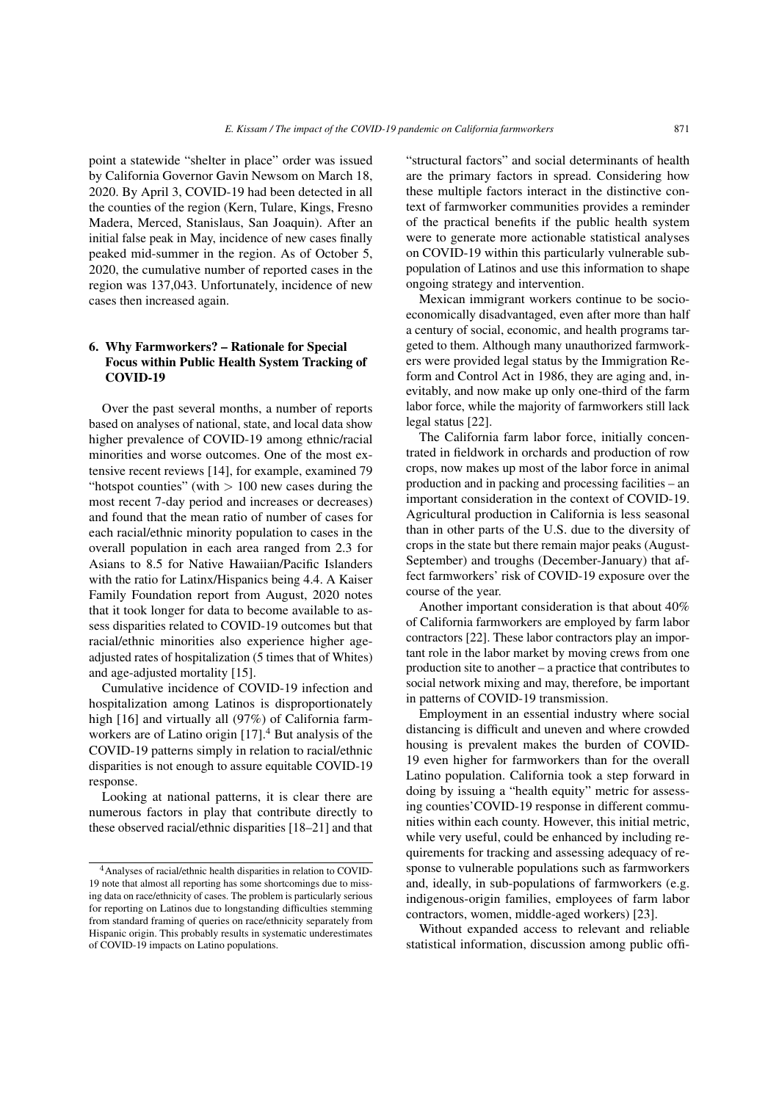point a statewide "shelter in place" order was issued by California Governor Gavin Newsom on March 18, 2020. By April 3, COVID-19 had been detected in all the counties of the region (Kern, Tulare, Kings, Fresno Madera, Merced, Stanislaus, San Joaquin). After an initial false peak in May, incidence of new cases finally peaked mid-summer in the region. As of October 5, 2020, the cumulative number of reported cases in the region was 137,043. Unfortunately, incidence of new cases then increased again.

## 6. Why Farmworkers? – Rationale for Special Focus within Public Health System Tracking of COVID-19

Over the past several months, a number of reports based on analyses of national, state, and local data show higher prevalence of COVID-19 among ethnic/racial minorities and worse outcomes. One of the most extensive recent reviews [\[14\]](#page-29-9), for example, examined 79 "hotspot counties" (with  $> 100$  new cases during the most recent 7-day period and increases or decreases) and found that the mean ratio of number of cases for each racial/ethnic minority population to cases in the overall population in each area ranged from 2.3 for Asians to 8.5 for Native Hawaiian/Pacific Islanders with the ratio for Latinx/Hispanics being 4.4. A Kaiser Family Foundation report from August, 2020 notes that it took longer for data to become available to assess disparities related to COVID-19 outcomes but that racial/ethnic minorities also experience higher ageadjusted rates of hospitalization (5 times that of Whites) and age-adjusted mortality [\[15\]](#page-29-10).

Cumulative incidence of COVID-19 infection and hospitalization among Latinos is disproportionately high [\[16\]](#page-29-11) and virtually all (97%) of California farm-workers are of Latino origin [\[17\]](#page-29-12).<sup>[4](#page-4-0)</sup> But analysis of the COVID-19 patterns simply in relation to racial/ethnic disparities is not enough to assure equitable COVID-19 response.

Looking at national patterns, it is clear there are numerous factors in play that contribute directly to these observed racial/ethnic disparities [\[18–](#page-29-13)[21\]](#page-29-14) and that "structural factors" and social determinants of health are the primary factors in spread. Considering how these multiple factors interact in the distinctive context of farmworker communities provides a reminder of the practical benefits if the public health system were to generate more actionable statistical analyses on COVID-19 within this particularly vulnerable subpopulation of Latinos and use this information to shape ongoing strategy and intervention.

Mexican immigrant workers continue to be socioeconomically disadvantaged, even after more than half a century of social, economic, and health programs targeted to them. Although many unauthorized farmworkers were provided legal status by the Immigration Reform and Control Act in 1986, they are aging and, inevitably, and now make up only one-third of the farm labor force, while the majority of farmworkers still lack legal status [\[22\]](#page-29-15).

The California farm labor force, initially concentrated in fieldwork in orchards and production of row crops, now makes up most of the labor force in animal production and in packing and processing facilities – an important consideration in the context of COVID-19. Agricultural production in California is less seasonal than in other parts of the U.S. due to the diversity of crops in the state but there remain major peaks (August-September) and troughs (December-January) that affect farmworkers' risk of COVID-19 exposure over the course of the year.

Another important consideration is that about 40% of California farmworkers are employed by farm labor contractors [\[22\]](#page-29-15). These labor contractors play an important role in the labor market by moving crews from one production site to another – a practice that contributes to social network mixing and may, therefore, be important in patterns of COVID-19 transmission.

Employment in an essential industry where social distancing is difficult and uneven and where crowded housing is prevalent makes the burden of COVID-19 even higher for farmworkers than for the overall Latino population. California took a step forward in doing by issuing a "health equity" metric for assessing counties'COVID-19 response in different communities within each county. However, this initial metric, while very useful, could be enhanced by including requirements for tracking and assessing adequacy of response to vulnerable populations such as farmworkers and, ideally, in sub-populations of farmworkers (e.g. indigenous-origin families, employees of farm labor contractors, women, middle-aged workers) [\[23\]](#page-29-16).

Without expanded access to relevant and reliable statistical information, discussion among public offi-

<span id="page-4-0"></span><sup>4</sup>Analyses of racial/ethnic health disparities in relation to COVID-19 note that almost all reporting has some shortcomings due to missing data on race/ethnicity of cases. The problem is particularly serious for reporting on Latinos due to longstanding difficulties stemming from standard framing of queries on race/ethnicity separately from Hispanic origin. This probably results in systematic underestimates of COVID-19 impacts on Latino populations.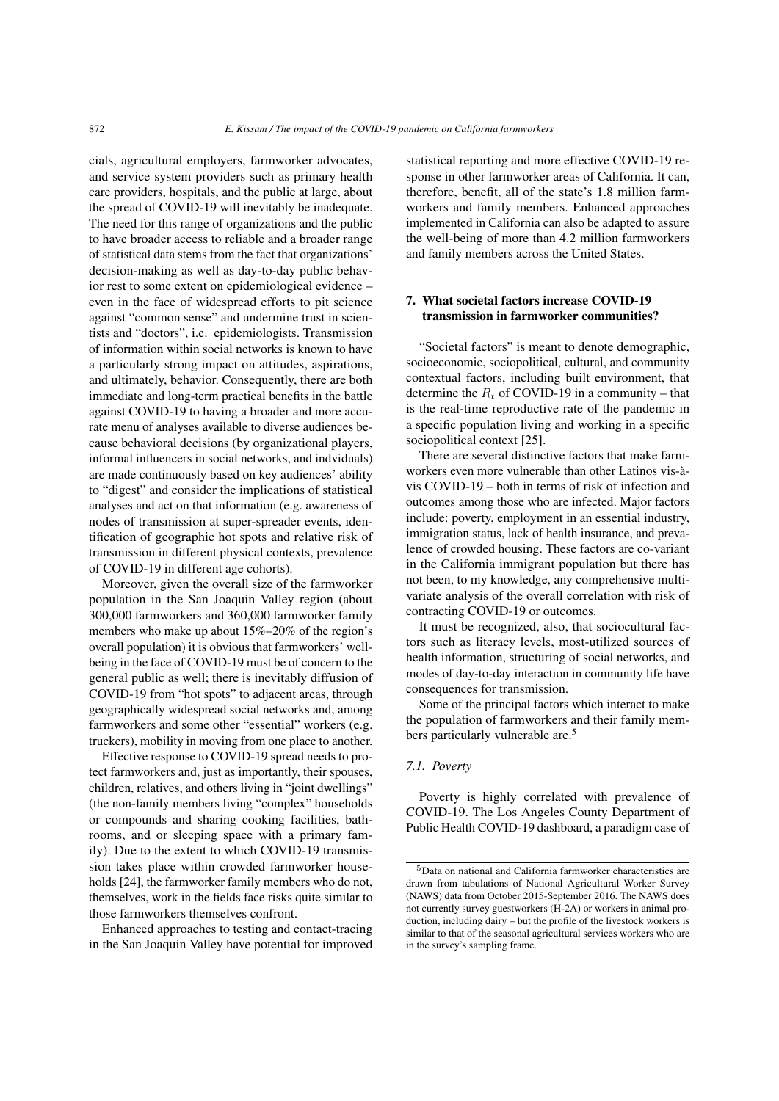cials, agricultural employers, farmworker advocates, and service system providers such as primary health care providers, hospitals, and the public at large, about the spread of COVID-19 will inevitably be inadequate. The need for this range of organizations and the public to have broader access to reliable and a broader range of statistical data stems from the fact that organizations' decision-making as well as day-to-day public behavior rest to some extent on epidemiological evidence – even in the face of widespread efforts to pit science against "common sense" and undermine trust in scientists and "doctors", i.e. epidemiologists. Transmission of information within social networks is known to have a particularly strong impact on attitudes, aspirations, and ultimately, behavior. Consequently, there are both immediate and long-term practical benefits in the battle against COVID-19 to having a broader and more accurate menu of analyses available to diverse audiences because behavioral decisions (by organizational players, informal influencers in social networks, and indviduals) are made continuously based on key audiences' ability to "digest" and consider the implications of statistical analyses and act on that information (e.g. awareness of nodes of transmission at super-spreader events, identification of geographic hot spots and relative risk of transmission in different physical contexts, prevalence of COVID-19 in different age cohorts).

Moreover, given the overall size of the farmworker population in the San Joaquin Valley region (about 300,000 farmworkers and 360,000 farmworker family members who make up about 15%–20% of the region's overall population) it is obvious that farmworkers' wellbeing in the face of COVID-19 must be of concern to the general public as well; there is inevitably diffusion of COVID-19 from "hot spots" to adjacent areas, through geographically widespread social networks and, among farmworkers and some other "essential" workers (e.g. truckers), mobility in moving from one place to another.

Effective response to COVID-19 spread needs to protect farmworkers and, just as importantly, their spouses, children, relatives, and others living in "joint dwellings" (the non-family members living "complex" households or compounds and sharing cooking facilities, bathrooms, and or sleeping space with a primary family). Due to the extent to which COVID-19 transmission takes place within crowded farmworker households [\[24\]](#page-29-17), the farmworker family members who do not, themselves, work in the fields face risks quite similar to those farmworkers themselves confront.

Enhanced approaches to testing and contact-tracing in the San Joaquin Valley have potential for improved statistical reporting and more effective COVID-19 response in other farmworker areas of California. It can, therefore, benefit, all of the state's 1.8 million farmworkers and family members. Enhanced approaches implemented in California can also be adapted to assure the well-being of more than 4.2 million farmworkers and family members across the United States.

## 7. What societal factors increase COVID-19 transmission in farmworker communities?

"Societal factors" is meant to denote demographic, socioeconomic, sociopolitical, cultural, and community contextual factors, including built environment, that determine the  $R_t$  of COVID-19 in a community – that is the real-time reproductive rate of the pandemic in a specific population living and working in a specific sociopolitical context [\[25\]](#page-29-18).

There are several distinctive factors that make farmworkers even more vulnerable than other Latinos vis-àvis COVID-19 – both in terms of risk of infection and outcomes among those who are infected. Major factors include: poverty, employment in an essential industry, immigration status, lack of health insurance, and prevalence of crowded housing. These factors are co-variant in the California immigrant population but there has not been, to my knowledge, any comprehensive multivariate analysis of the overall correlation with risk of contracting COVID-19 or outcomes.

It must be recognized, also, that sociocultural factors such as literacy levels, most-utilized sources of health information, structuring of social networks, and modes of day-to-day interaction in community life have consequences for transmission.

Some of the principal factors which interact to make the population of farmworkers and their family mem-bers particularly vulnerable are.<sup>[5](#page-5-0)</sup>

#### *7.1. Poverty*

Poverty is highly correlated with prevalence of COVID-19. The Los Angeles County Department of Public Health COVID-19 dashboard, a paradigm case of

<span id="page-5-0"></span><sup>5</sup>Data on national and California farmworker characteristics are drawn from tabulations of National Agricultural Worker Survey (NAWS) data from October 2015-September 2016. The NAWS does not currently survey guestworkers (H-2A) or workers in animal production, including dairy – but the profile of the livestock workers is similar to that of the seasonal agricultural services workers who are in the survey's sampling frame.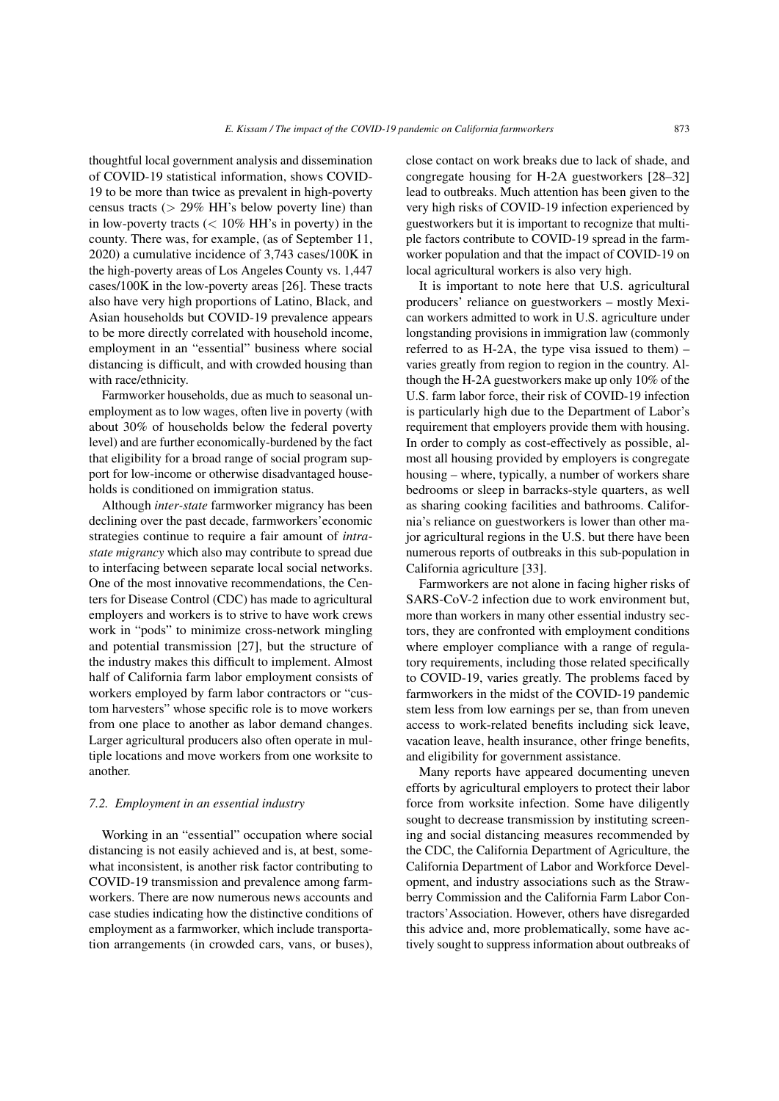thoughtful local government analysis and dissemination of COVID-19 statistical information, shows COVID-19 to be more than twice as prevalent in high-poverty census tracts ( $> 29\%$  HH's below poverty line) than in low-poverty tracts  $(< 10\% \text{ HH's in powerly})$  in the county. There was, for example, (as of September 11, 2020) a cumulative incidence of 3,743 cases/100K in the high-poverty areas of Los Angeles County vs. 1,447 cases/100K in the low-poverty areas [\[26\]](#page-29-19). These tracts also have very high proportions of Latino, Black, and Asian households but COVID-19 prevalence appears to be more directly correlated with household income, employment in an "essential" business where social distancing is difficult, and with crowded housing than with race/ethnicity.

Farmworker households, due as much to seasonal unemployment as to low wages, often live in poverty (with about 30% of households below the federal poverty level) and are further economically-burdened by the fact that eligibility for a broad range of social program support for low-income or otherwise disadvantaged households is conditioned on immigration status.

Although *inter-state* farmworker migrancy has been declining over the past decade, farmworkers'economic strategies continue to require a fair amount of *intrastate migrancy* which also may contribute to spread due to interfacing between separate local social networks. One of the most innovative recommendations, the Centers for Disease Control (CDC) has made to agricultural employers and workers is to strive to have work crews work in "pods" to minimize cross-network mingling and potential transmission [\[27\]](#page-29-20), but the structure of the industry makes this difficult to implement. Almost half of California farm labor employment consists of workers employed by farm labor contractors or "custom harvesters" whose specific role is to move workers from one place to another as labor demand changes. Larger agricultural producers also often operate in multiple locations and move workers from one worksite to another.

#### *7.2. Employment in an essential industry*

Working in an "essential" occupation where social distancing is not easily achieved and is, at best, somewhat inconsistent, is another risk factor contributing to COVID-19 transmission and prevalence among farmworkers. There are now numerous news accounts and case studies indicating how the distinctive conditions of employment as a farmworker, which include transportation arrangements (in crowded cars, vans, or buses), close contact on work breaks due to lack of shade, and congregate housing for H-2A guestworkers [\[28–](#page-29-21)[32\]](#page-29-22) lead to outbreaks. Much attention has been given to the very high risks of COVID-19 infection experienced by guestworkers but it is important to recognize that multiple factors contribute to COVID-19 spread in the farmworker population and that the impact of COVID-19 on local agricultural workers is also very high.

It is important to note here that U.S. agricultural producers' reliance on guestworkers – mostly Mexican workers admitted to work in U.S. agriculture under longstanding provisions in immigration law (commonly referred to as H-2A, the type visa issued to them) – varies greatly from region to region in the country. Although the H-2A guestworkers make up only 10% of the U.S. farm labor force, their risk of COVID-19 infection is particularly high due to the Department of Labor's requirement that employers provide them with housing. In order to comply as cost-effectively as possible, almost all housing provided by employers is congregate housing – where, typically, a number of workers share bedrooms or sleep in barracks-style quarters, as well as sharing cooking facilities and bathrooms. California's reliance on guestworkers is lower than other major agricultural regions in the U.S. but there have been numerous reports of outbreaks in this sub-population in California agriculture [\[33\]](#page-30-0).

Farmworkers are not alone in facing higher risks of SARS-CoV-2 infection due to work environment but, more than workers in many other essential industry sectors, they are confronted with employment conditions where employer compliance with a range of regulatory requirements, including those related specifically to COVID-19, varies greatly. The problems faced by farmworkers in the midst of the COVID-19 pandemic stem less from low earnings per se, than from uneven access to work-related benefits including sick leave, vacation leave, health insurance, other fringe benefits, and eligibility for government assistance.

Many reports have appeared documenting uneven efforts by agricultural employers to protect their labor force from worksite infection. Some have diligently sought to decrease transmission by instituting screening and social distancing measures recommended by the CDC, the California Department of Agriculture, the California Department of Labor and Workforce Development, and industry associations such as the Strawberry Commission and the California Farm Labor Contractors'Association. However, others have disregarded this advice and, more problematically, some have actively sought to suppress information about outbreaks of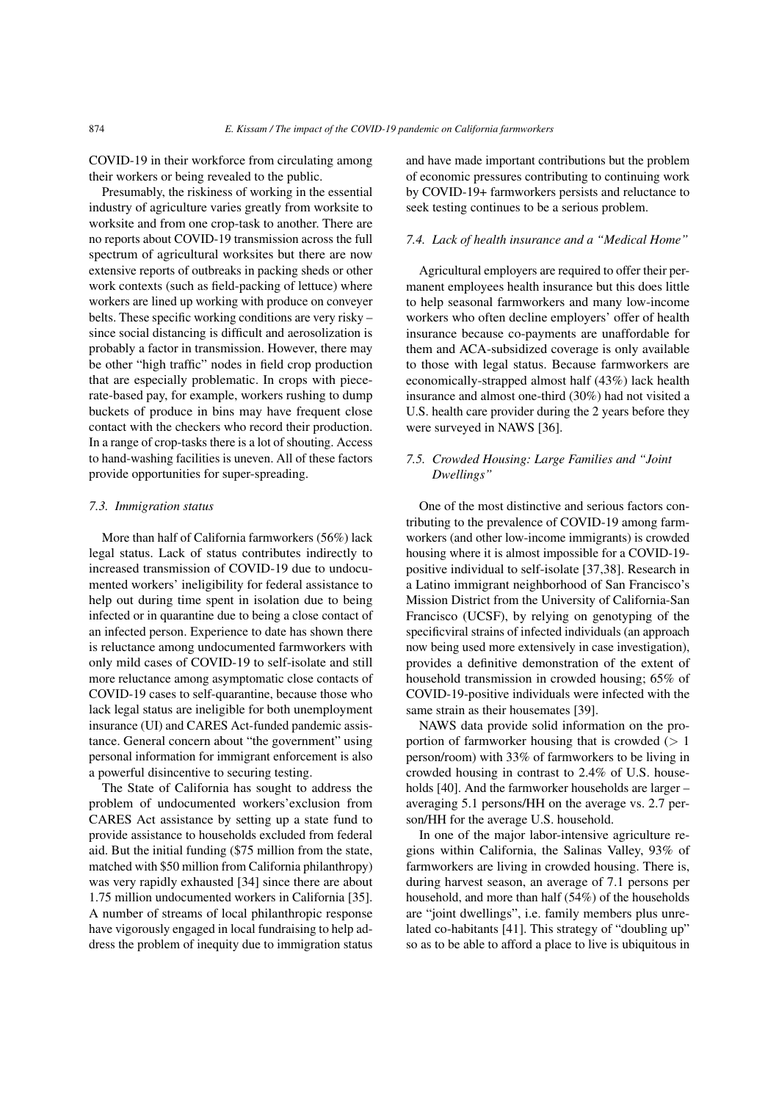COVID-19 in their workforce from circulating among their workers or being revealed to the public.

Presumably, the riskiness of working in the essential industry of agriculture varies greatly from worksite to worksite and from one crop-task to another. There are no reports about COVID-19 transmission across the full spectrum of agricultural worksites but there are now extensive reports of outbreaks in packing sheds or other work contexts (such as field-packing of lettuce) where workers are lined up working with produce on conveyer belts. These specific working conditions are very risky – since social distancing is difficult and aerosolization is probably a factor in transmission. However, there may be other "high traffic" nodes in field crop production that are especially problematic. In crops with piecerate-based pay, for example, workers rushing to dump buckets of produce in bins may have frequent close contact with the checkers who record their production. In a range of crop-tasks there is a lot of shouting. Access to hand-washing facilities is uneven. All of these factors provide opportunities for super-spreading.

#### *7.3. Immigration status*

More than half of California farmworkers (56%) lack legal status. Lack of status contributes indirectly to increased transmission of COVID-19 due to undocumented workers' ineligibility for federal assistance to help out during time spent in isolation due to being infected or in quarantine due to being a close contact of an infected person. Experience to date has shown there is reluctance among undocumented farmworkers with only mild cases of COVID-19 to self-isolate and still more reluctance among asymptomatic close contacts of COVID-19 cases to self-quarantine, because those who lack legal status are ineligible for both unemployment insurance (UI) and CARES Act-funded pandemic assistance. General concern about "the government" using personal information for immigrant enforcement is also a powerful disincentive to securing testing.

The State of California has sought to address the problem of undocumented workers'exclusion from CARES Act assistance by setting up a state fund to provide assistance to households excluded from federal aid. But the initial funding (\$75 million from the state, matched with \$50 million from California philanthropy) was very rapidly exhausted [\[34\]](#page-30-1) since there are about 1.75 million undocumented workers in California [\[35\]](#page-30-2). A number of streams of local philanthropic response have vigorously engaged in local fundraising to help address the problem of inequity due to immigration status and have made important contributions but the problem of economic pressures contributing to continuing work by COVID-19+ farmworkers persists and reluctance to seek testing continues to be a serious problem.

#### *7.4. Lack of health insurance and a "Medical Home"*

Agricultural employers are required to offer their permanent employees health insurance but this does little to help seasonal farmworkers and many low-income workers who often decline employers' offer of health insurance because co-payments are unaffordable for them and ACA-subsidized coverage is only available to those with legal status. Because farmworkers are economically-strapped almost half (43%) lack health insurance and almost one-third (30%) had not visited a U.S. health care provider during the 2 years before they were surveyed in NAWS [\[36\]](#page-30-3).

# *7.5. Crowded Housing: Large Families and "Joint Dwellings"*

One of the most distinctive and serious factors contributing to the prevalence of COVID-19 among farmworkers (and other low-income immigrants) is crowded housing where it is almost impossible for a COVID-19 positive individual to self-isolate [\[37,](#page-30-4)[38\]](#page-30-5). Research in a Latino immigrant neighborhood of San Francisco's Mission District from the University of California-San Francisco (UCSF), by relying on genotyping of the specificviral strains of infected individuals (an approach now being used more extensively in case investigation), provides a definitive demonstration of the extent of household transmission in crowded housing; 65% of COVID-19-positive individuals were infected with the same strain as their housemates [\[39\]](#page-30-6).

NAWS data provide solid information on the proportion of farmworker housing that is crowded  $(> 1$ person/room) with 33% of farmworkers to be living in crowded housing in contrast to 2.4% of U.S. house-holds [\[40\]](#page-30-7). And the farmworker households are larger – averaging 5.1 persons/HH on the average vs. 2.7 person/HH for the average U.S. household.

In one of the major labor-intensive agriculture regions within California, the Salinas Valley, 93% of farmworkers are living in crowded housing. There is, during harvest season, an average of 7.1 persons per household, and more than half (54%) of the households are "joint dwellings", i.e. family members plus unrelated co-habitants [\[41\]](#page-30-8). This strategy of "doubling up" so as to be able to afford a place to live is ubiquitous in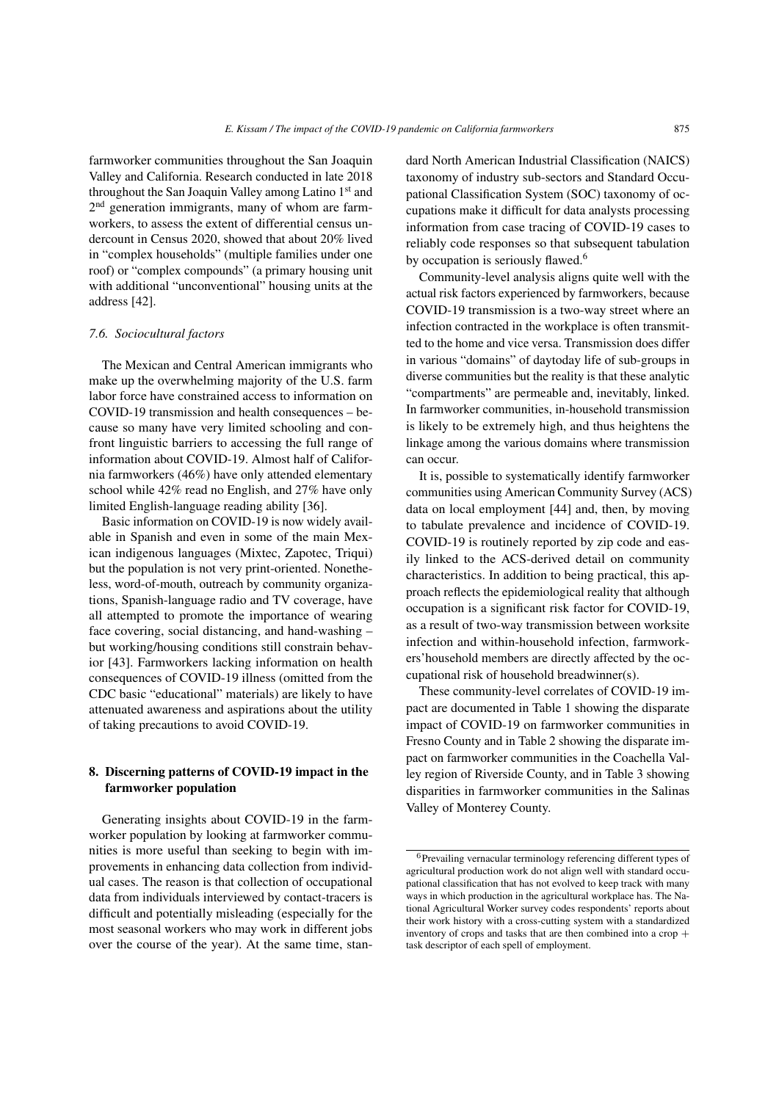farmworker communities throughout the San Joaquin Valley and California. Research conducted in late 2018 throughout the San Joaquin Valley among Latino 1st and 2<sup>nd</sup> generation immigrants, many of whom are farmworkers, to assess the extent of differential census undercount in Census 2020, showed that about 20% lived in "complex households" (multiple families under one roof) or "complex compounds" (a primary housing unit with additional "unconventional" housing units at the address [\[42\]](#page-30-9).

#### *7.6. Sociocultural factors*

The Mexican and Central American immigrants who make up the overwhelming majority of the U.S. farm labor force have constrained access to information on COVID-19 transmission and health consequences – because so many have very limited schooling and confront linguistic barriers to accessing the full range of information about COVID-19. Almost half of California farmworkers (46%) have only attended elementary school while 42% read no English, and 27% have only limited English-language reading ability [\[36\]](#page-30-3).

Basic information on COVID-19 is now widely available in Spanish and even in some of the main Mexican indigenous languages (Mixtec, Zapotec, Triqui) but the population is not very print-oriented. Nonetheless, word-of-mouth, outreach by community organizations, Spanish-language radio and TV coverage, have all attempted to promote the importance of wearing face covering, social distancing, and hand-washing – but working/housing conditions still constrain behavior [\[43\]](#page-30-10). Farmworkers lacking information on health consequences of COVID-19 illness (omitted from the CDC basic "educational" materials) are likely to have attenuated awareness and aspirations about the utility of taking precautions to avoid COVID-19.

## 8. Discerning patterns of COVID-19 impact in the farmworker population

Generating insights about COVID-19 in the farmworker population by looking at farmworker communities is more useful than seeking to begin with improvements in enhancing data collection from individual cases. The reason is that collection of occupational data from individuals interviewed by contact-tracers is difficult and potentially misleading (especially for the most seasonal workers who may work in different jobs over the course of the year). At the same time, standard North American Industrial Classification (NAICS) taxonomy of industry sub-sectors and Standard Occupational Classification System (SOC) taxonomy of occupations make it difficult for data analysts processing information from case tracing of COVID-19 cases to reliably code responses so that subsequent tabulation by occupation is seriously flawed.<sup>[6](#page-8-0)</sup>

Community-level analysis aligns quite well with the actual risk factors experienced by farmworkers, because COVID-19 transmission is a two-way street where an infection contracted in the workplace is often transmitted to the home and vice versa. Transmission does differ in various "domains" of daytoday life of sub-groups in diverse communities but the reality is that these analytic "compartments" are permeable and, inevitably, linked. In farmworker communities, in-household transmission is likely to be extremely high, and thus heightens the linkage among the various domains where transmission can occur.

It is, possible to systematically identify farmworker communities using American Community Survey (ACS) data on local employment [\[44\]](#page-30-11) and, then, by moving to tabulate prevalence and incidence of COVID-19. COVID-19 is routinely reported by zip code and easily linked to the ACS-derived detail on community characteristics. In addition to being practical, this approach reflects the epidemiological reality that although occupation is a significant risk factor for COVID-19, as a result of two-way transmission between worksite infection and within-household infection, farmworkers'household members are directly affected by the occupational risk of household breadwinner(s).

These community-level correlates of COVID-19 impact are documented in Table [1](#page-9-0) showing the disparate impact of COVID-19 on farmworker communities in Fresno County and in Table [2](#page-11-0) showing the disparate impact on farmworker communities in the Coachella Valley region of Riverside County, and in Table [3](#page-13-0) showing disparities in farmworker communities in the Salinas Valley of Monterey County.

<span id="page-8-0"></span><sup>6</sup>Prevailing vernacular terminology referencing different types of agricultural production work do not align well with standard occupational classification that has not evolved to keep track with many ways in which production in the agricultural workplace has. The National Agricultural Worker survey codes respondents' reports about their work history with a cross-cutting system with a standardized inventory of crops and tasks that are then combined into a crop  $+$ task descriptor of each spell of employment.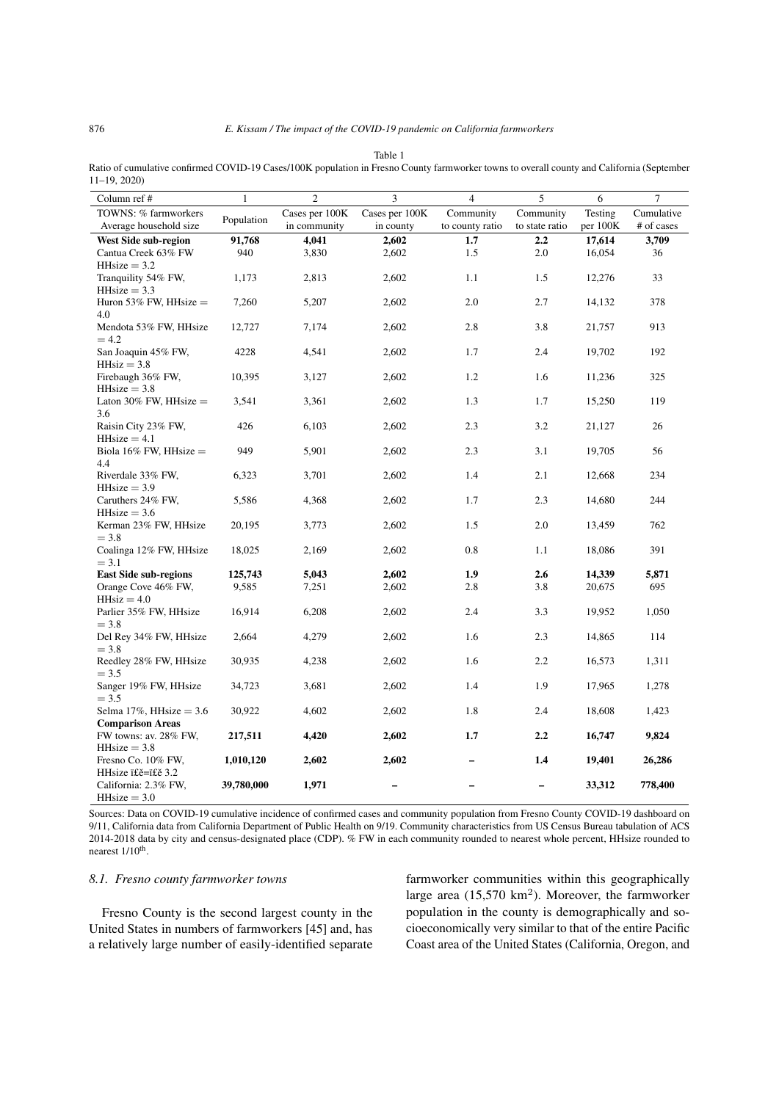<span id="page-9-0"></span>Table 1 Ratio of cumulative confirmed COVID-19 Cases/100K population in Fresno County farmworker towns to overall county and California (September 11–19, 2020)

| Column ref #                    | $\mathbf{1}$ | $\overline{c}$ | 3              | $\overline{4}$  | 5              | 6        | $\boldsymbol{7}$ |  |
|---------------------------------|--------------|----------------|----------------|-----------------|----------------|----------|------------------|--|
| TOWNS: % farmworkers            | Population   | Cases per 100K | Cases per 100K | Community       | Community      | Testing  | Cumulative       |  |
| Average household size          |              | in community   | in county      | to county ratio | to state ratio | per 100K | # of cases       |  |
| <b>West Side sub-region</b>     | 91,768       | 4,041<br>2,602 |                | 1.7             | 2.2            | 17,614   | 3,709            |  |
| Cantua Creek 63% FW             | 940          | 3,830          | 2,602          | 1.5             | $2.0\,$        | 16,054   | 36               |  |
| $HHsize = 3.2$                  |              |                |                |                 |                |          |                  |  |
| Tranquility 54% FW,             | 1,173        | 2,813          | 2,602          | 1.1             | 1.5            | 12,276   | 33               |  |
| $HHsize = 3.3$                  |              |                |                |                 |                |          |                  |  |
| Huron 53% FW, HHsize $=$        | 7,260        | 5,207          | 2,602          | $2.0\,$         | 2.7            | 14,132   | 378              |  |
| 4.0                             |              |                |                |                 |                |          |                  |  |
| Mendota 53% FW, HHsize          | 12,727       | 7,174          | 2,602          | 2.8             | 3.8            | 21,757   | 913              |  |
| $=4.2$                          |              |                |                |                 |                |          |                  |  |
| San Joaquin 45% FW,             | 4228         | 4,541          | 2,602          | 1.7             | 2.4            | 19,702   | 192              |  |
| $HH$ HHsiz = 3.8                |              |                |                |                 |                |          |                  |  |
| Firebaugh 36% FW,               | 10,395       | 3,127          | 2,602          | 1.2             | 1.6            | 11,236   |                  |  |
|                                 |              |                |                |                 |                |          | 325              |  |
| $HHsize = 3.8$                  |              |                |                |                 |                |          |                  |  |
| Laton 30% FW, HHsize $=$<br>3.6 | 3,541        | 3,361          | 2,602          | 1.3             | 1.7            | 15,250   | 119              |  |
|                                 |              |                |                |                 |                |          |                  |  |
| Raisin City 23% FW,             | 426          | 6,103          | 2,602          | 2.3             | 3.2            | 21,127   | 26               |  |
| $HHsize = 4.1$                  |              |                |                |                 |                |          |                  |  |
| Biola 16% FW, HHsize $=$        | 949          | 5,901          | 2,602          | 2.3             | 3.1            | 19,705   | 56               |  |
| 4.4                             |              |                |                |                 |                |          |                  |  |
| Riverdale 33% FW,               | 6,323        | 3,701          | 2,602          | 1.4             | 2.1            | 12,668   | 234              |  |
| $HHsize = 3.9$                  |              |                |                |                 |                |          |                  |  |
| Caruthers 24% FW,               | 5,586        | 4,368          | 2,602          | 1.7             | 2.3            | 14,680   | 244              |  |
| $HHsize = 3.6$                  |              |                |                |                 |                |          |                  |  |
| Kerman 23% FW, HHsize           | 20,195       | 3,773          | 2,602          | 1.5             | 2.0            | 13,459   | 762              |  |
| $= 3.8$                         |              |                |                |                 |                |          |                  |  |
| Coalinga 12% FW, HHsize         | 18,025       | 2,169          | 2,602          | $0.8\,$         | 1.1            | 18,086   | 391              |  |
| $= 3.1$                         |              |                |                |                 |                |          |                  |  |
| <b>East Side sub-regions</b>    | 125,743      | 5,043          | 2,602          | 1.9             | 2.6            | 14,339   | 5,871            |  |
| Orange Cove 46% FW,             | 9,585        | 7,251          | 2,602          | 2.8             | 3.8            | 20,675   | 695              |  |
| $HH$ siz = 4.0                  |              |                |                |                 |                |          |                  |  |
| Parlier 35% FW, HHsize          | 16,914       | 6,208          | 2,602          | 2.4             | 3.3            | 19,952   | 1,050            |  |
| $= 3.8$                         |              |                |                |                 |                |          |                  |  |
| Del Rey 34% FW, HHsize          | 2,664        | 4,279          | 2,602          | 1.6             | 2.3            | 14,865   | 114              |  |
| $= 3.8$                         |              |                |                |                 |                |          |                  |  |
| Reedley 28% FW, HHsize          | 30,935       | 4,238          | 2,602          | 1.6             | 2.2            | 16,573   | 1,311            |  |
| $= 3.5$                         |              |                |                |                 |                |          |                  |  |
| Sanger 19% FW, HHsize           | 34,723       | 3,681          | 2,602          | 1.4             | 1.9            | 17,965   | 1,278            |  |
| $= 3.5$                         |              |                |                |                 |                |          |                  |  |
| Selma 17%, HHsize = $3.6$       | 30,922       | 4,602          | 2,602          | 1.8             | 2.4            | 18,608   | 1,423            |  |
| <b>Comparison Areas</b>         |              |                |                |                 |                |          |                  |  |
| FW towns: av. 28% FW,           | 217,511      | 4,420          | 2,602          | 1.7             | 2.2            | 16,747   | 9,824            |  |
| $HHsize = 3.8$                  |              |                |                |                 |                |          |                  |  |
| Fresno Co. 10% FW,              | 1,010,120    | 2,602          | 2,602          |                 | 1.4            | 19,401   | 26,286           |  |
| HHsize ï£ě=ï£ě 3.2              |              |                |                |                 |                |          |                  |  |
| California: 2.3% FW,            | 39,780,000   | 1,971          |                |                 |                | 33,312   | 778,400          |  |
| $HHsize = 3.0$                  |              |                |                |                 |                |          |                  |  |

Sources: Data on COVID-19 cumulative incidence of confirmed cases and community population from Fresno County COVID-19 dashboard on 9/11, California data from California Department of Public Health on 9/19. Community characteristics from US Census Bureau tabulation of ACS 2014-2018 data by city and census-designated place (CDP). % FW in each community rounded to nearest whole percent, HHsize rounded to nearest 1/10<sup>th</sup>.

## *8.1. Fresno county farmworker towns*

Fresno County is the second largest county in the United States in numbers of farmworkers [\[45\]](#page-30-12) and, has a relatively large number of easily-identified separate farmworker communities within this geographically large area  $(15,570 \text{ km}^2)$ . Moreover, the farmworker population in the county is demographically and socioeconomically very similar to that of the entire Pacific Coast area of the United States (California, Oregon, and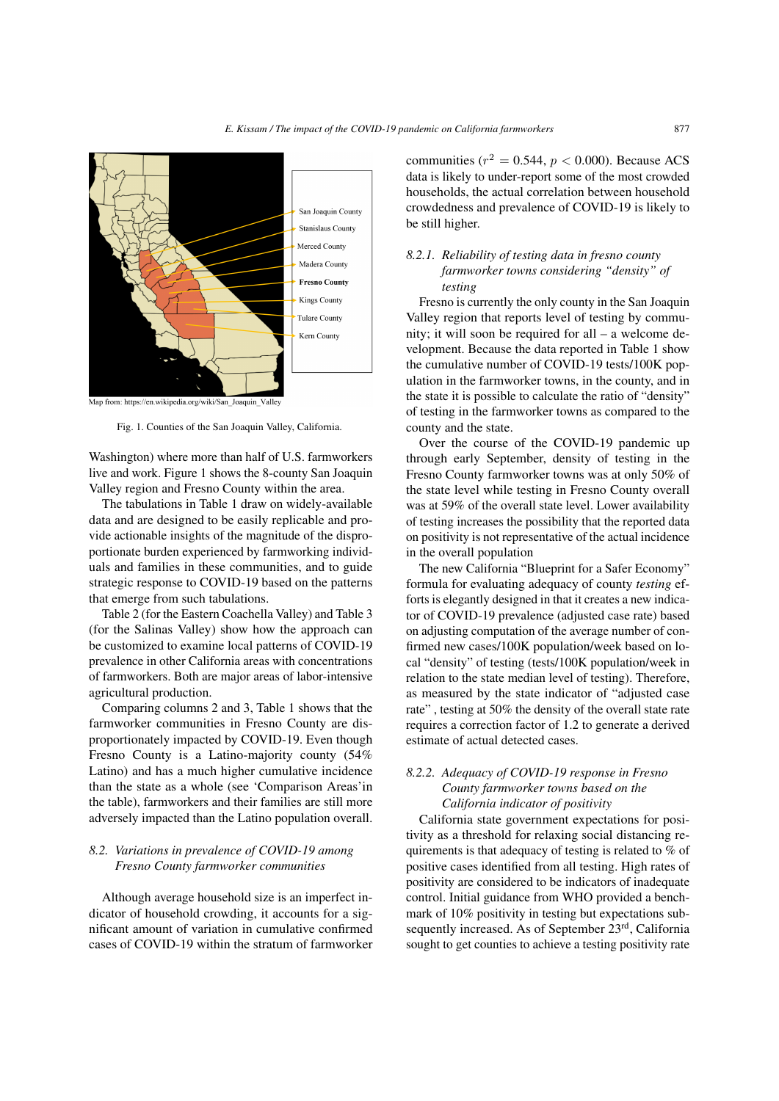

Map from: https://en.wikipedia.org/wiki/San\_Joaquin\_Valley

<span id="page-10-0"></span>Fig. 1. Counties of the San Joaquin Valley, California.

Washington) where more than half of U.S. farmworkers live and work. Figure [1](#page-10-0) shows the 8-county San Joaquin Valley region and Fresno County within the area.

The tabulations in Table [1](#page-9-0) draw on widely-available data and are designed to be easily replicable and provide actionable insights of the magnitude of the disproportionate burden experienced by farmworking individuals and families in these communities, and to guide strategic response to COVID-19 based on the patterns that emerge from such tabulations.

Table [2](#page-11-0) (for the Eastern Coachella Valley) and Table [3](#page-13-0) (for the Salinas Valley) show how the approach can be customized to examine local patterns of COVID-19 prevalence in other California areas with concentrations of farmworkers. Both are major areas of labor-intensive agricultural production.

Comparing columns 2 and 3, Table [1](#page-9-0) shows that the farmworker communities in Fresno County are disproportionately impacted by COVID-19. Even though Fresno County is a Latino-majority county (54% Latino) and has a much higher cumulative incidence than the state as a whole (see 'Comparison Areas'in the table), farmworkers and their families are still more adversely impacted than the Latino population overall.

## *8.2. Variations in prevalence of COVID-19 among Fresno County farmworker communities*

Although average household size is an imperfect indicator of household crowding, it accounts for a significant amount of variation in cumulative confirmed cases of COVID-19 within the stratum of farmworker

communities ( $r^2 = 0.544$ ,  $p < 0.000$ ). Because ACS data is likely to under-report some of the most crowded households, the actual correlation between household crowdedness and prevalence of COVID-19 is likely to be still higher.

## *8.2.1. Reliability of testing data in fresno county farmworker towns considering "density" of testing*

Fresno is currently the only county in the San Joaquin Valley region that reports level of testing by community; it will soon be required for all – a welcome development. Because the data reported in Table [1](#page-9-0) show the cumulative number of COVID-19 tests/100K population in the farmworker towns, in the county, and in the state it is possible to calculate the ratio of "density" of testing in the farmworker towns as compared to the county and the state.

Over the course of the COVID-19 pandemic up through early September, density of testing in the Fresno County farmworker towns was at only 50% of the state level while testing in Fresno County overall was at 59% of the overall state level. Lower availability of testing increases the possibility that the reported data on positivity is not representative of the actual incidence in the overall population

The new California "Blueprint for a Safer Economy" formula for evaluating adequacy of county *testing* efforts is elegantly designed in that it creates a new indicator of COVID-19 prevalence (adjusted case rate) based on adjusting computation of the average number of confirmed new cases/100K population/week based on local "density" of testing (tests/100K population/week in relation to the state median level of testing). Therefore, as measured by the state indicator of "adjusted case rate" , testing at 50% the density of the overall state rate requires a correction factor of 1.2 to generate a derived estimate of actual detected cases.

# *8.2.2. Adequacy of COVID-19 response in Fresno County farmworker towns based on the California indicator of positivity*

California state government expectations for positivity as a threshold for relaxing social distancing requirements is that adequacy of testing is related to % of positive cases identified from all testing. High rates of positivity are considered to be indicators of inadequate control. Initial guidance from WHO provided a benchmark of 10% positivity in testing but expectations subsequently increased. As of September 23<sup>rd</sup>, California sought to get counties to achieve a testing positivity rate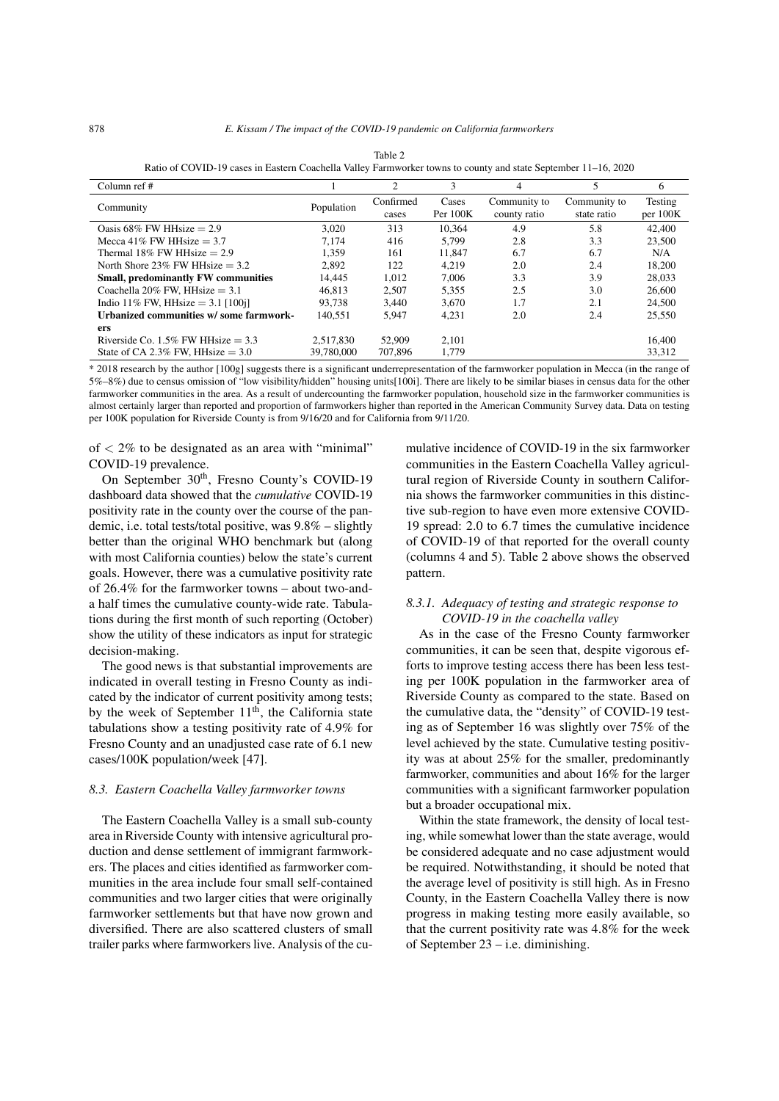<span id="page-11-0"></span>

| Column ref $#$                             |            | 2                  | 3                 | 4                            |                             | 6                   |  |  |  |
|--------------------------------------------|------------|--------------------|-------------------|------------------------------|-----------------------------|---------------------|--|--|--|
| Community                                  | Population | Confirmed<br>cases | Cases<br>Per 100K | Community to<br>county ratio | Community to<br>state ratio | Testing<br>per 100K |  |  |  |
| Oasis 68% FW HH size $= 2.9$               | 3.020      | 313                | 10.364            | 4.9                          | 5.8                         | 42,400              |  |  |  |
| Mecca 41% FW HHsize $=$ 3.7                | 7.174      | 416                | 5.799             | 2.8                          | 3.3                         | 23,500              |  |  |  |
| Thermal 18% FW HHsize $= 2.9$              | 1.359      | 161                | 11.847            | 6.7                          | 6.7                         | N/A                 |  |  |  |
| North Shore 23% FW HHsize $=$ 3.2          | 2.892      | 122                | 4.219             | 2.0                          | 2.4                         | 18.200              |  |  |  |
| <b>Small, predominantly FW communities</b> | 14.445     | 1.012              | 7.006             | 3.3                          | 3.9                         | 28,033              |  |  |  |
| Coachella 20% FW, HHsize $= 3.1$           | 46.813     | 2.507              | 5,355             | 2.5                          | 3.0                         | 26,600              |  |  |  |
| Indio 11% FW, HHsize $= 3.1$ [100j]        | 93.738     | 3.440              | 3.670             | 1.7                          | 2.1                         | 24,500              |  |  |  |
| Urbanized communities w/some farmwork-     | 140.551    | 5.947              | 4.231             | 2.0                          | 2.4                         | 25,550              |  |  |  |
| ers                                        |            |                    |                   |                              |                             |                     |  |  |  |
| Riverside Co. $1.5\%$ FW HH size $= 3.3$   | 2.517.830  | 52,909             | 2.101             |                              |                             | 16.400              |  |  |  |
| State of CA 2.3% FW. HHsize $= 3.0$        | 39,780,000 | 707,896            | 1.779             |                              |                             | 33.312              |  |  |  |

Table 2 Ratio of COVID-19 cases in Eastern Coachella Valley Farmworker towns to county and state September 11–16, 2020

\* 2018 research by the author [100g] suggests there is a significant underrepresentation of the farmworker population in Mecca (in the range of 5%–8%) due to census omission of "low visibility/hidden" housing units[100i]. There are likely to be similar biases in census data for the other farmworker communities in the area. As a result of undercounting the farmworker population, household size in the farmworker communities is almost certainly larger than reported and proportion of farmworkers higher than reported in the American Community Survey data. Data on testing per 100K population for Riverside County is from 9/16/20 and for California from 9/11/20.

of  $<$  2% to be designated as an area with "minimal" COVID-19 prevalence.

On September 30<sup>th</sup>, Fresno County's COVID-19 dashboard data showed that the *cumulative* COVID-19 positivity rate in the county over the course of the pandemic, i.e. total tests/total positive, was 9.8% – slightly better than the original WHO benchmark but (along with most California counties) below the state's current goals. However, there was a cumulative positivity rate of 26.4% for the farmworker towns – about two-anda half times the cumulative county-wide rate. Tabulations during the first month of such reporting (October) show the utility of these indicators as input for strategic decision-making.

The good news is that substantial improvements are indicated in overall testing in Fresno County as indicated by the indicator of current positivity among tests; by the week of September  $11<sup>th</sup>$ , the California state tabulations show a testing positivity rate of 4.9% for Fresno County and an unadjusted case rate of 6.1 new cases/100K population/week [\[47\]](#page-30-13).

#### *8.3. Eastern Coachella Valley farmworker towns*

The Eastern Coachella Valley is a small sub-county area in Riverside County with intensive agricultural production and dense settlement of immigrant farmworkers. The places and cities identified as farmworker communities in the area include four small self-contained communities and two larger cities that were originally farmworker settlements but that have now grown and diversified. There are also scattered clusters of small trailer parks where farmworkers live. Analysis of the cumulative incidence of COVID-19 in the six farmworker communities in the Eastern Coachella Valley agricultural region of Riverside County in southern California shows the farmworker communities in this distinctive sub-region to have even more extensive COVID-19 spread: 2.0 to 6.7 times the cumulative incidence of COVID-19 of that reported for the overall county (columns 4 and 5). Table [2](#page-11-0) above shows the observed pattern.

## *8.3.1. Adequacy of testing and strategic response to COVID-19 in the coachella valley*

As in the case of the Fresno County farmworker communities, it can be seen that, despite vigorous efforts to improve testing access there has been less testing per 100K population in the farmworker area of Riverside County as compared to the state. Based on the cumulative data, the "density" of COVID-19 testing as of September 16 was slightly over 75% of the level achieved by the state. Cumulative testing positivity was at about 25% for the smaller, predominantly farmworker, communities and about 16% for the larger communities with a significant farmworker population but a broader occupational mix.

Within the state framework, the density of local testing, while somewhat lower than the state average, would be considered adequate and no case adjustment would be required. Notwithstanding, it should be noted that the average level of positivity is still high. As in Fresno County, in the Eastern Coachella Valley there is now progress in making testing more easily available, so that the current positivity rate was 4.8% for the week of September 23 – i.e. diminishing.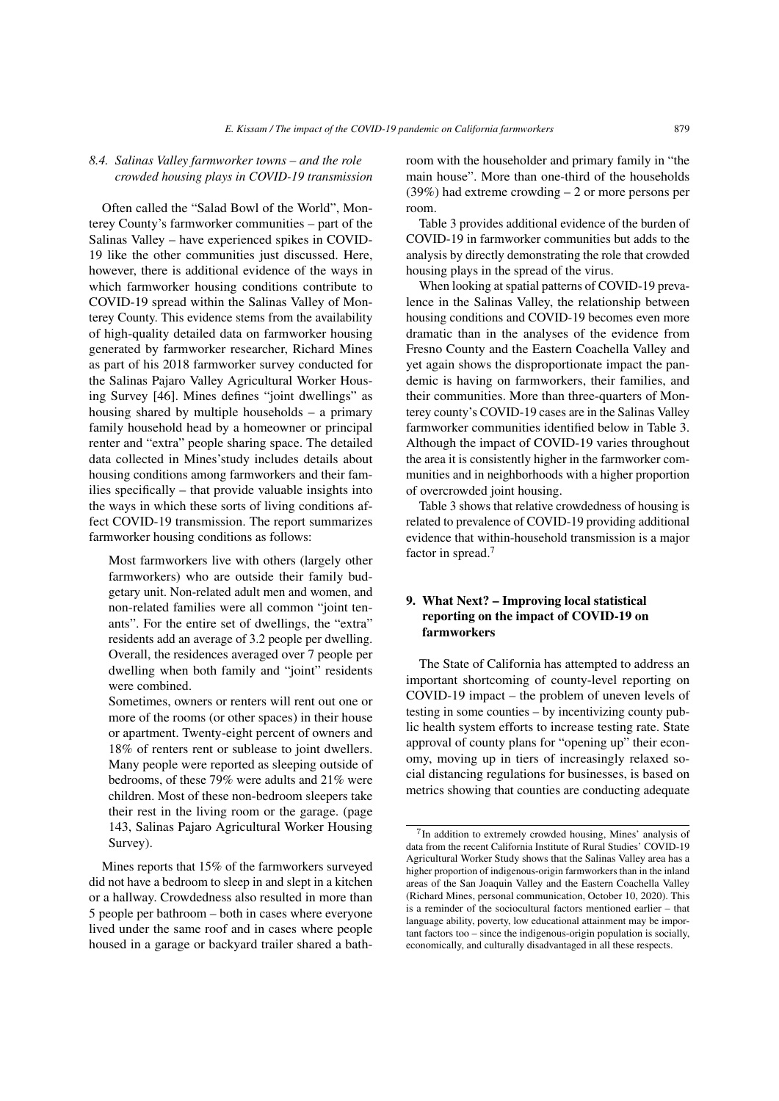#### *8.4. Salinas Valley farmworker towns – and the role crowded housing plays in COVID-19 transmission*

Often called the "Salad Bowl of the World", Monterey County's farmworker communities – part of the Salinas Valley – have experienced spikes in COVID-19 like the other communities just discussed. Here, however, there is additional evidence of the ways in which farmworker housing conditions contribute to COVID-19 spread within the Salinas Valley of Monterey County. This evidence stems from the availability of high-quality detailed data on farmworker housing generated by farmworker researcher, Richard Mines as part of his 2018 farmworker survey conducted for the Salinas Pajaro Valley Agricultural Worker Housing Survey [\[46\]](#page-30-14). Mines defines "joint dwellings" as housing shared by multiple households – a primary family household head by a homeowner or principal renter and "extra" people sharing space. The detailed data collected in Mines'study includes details about housing conditions among farmworkers and their families specifically – that provide valuable insights into the ways in which these sorts of living conditions affect COVID-19 transmission. The report summarizes farmworker housing conditions as follows:

Most farmworkers live with others (largely other farmworkers) who are outside their family budgetary unit. Non-related adult men and women, and non-related families were all common "joint tenants". For the entire set of dwellings, the "extra" residents add an average of 3.2 people per dwelling. Overall, the residences averaged over 7 people per dwelling when both family and "joint" residents were combined.

Sometimes, owners or renters will rent out one or more of the rooms (or other spaces) in their house or apartment. Twenty-eight percent of owners and 18% of renters rent or sublease to joint dwellers. Many people were reported as sleeping outside of bedrooms, of these 79% were adults and 21% were children. Most of these non-bedroom sleepers take their rest in the living room or the garage. (page 143, Salinas Pajaro Agricultural Worker Housing Survey).

Mines reports that 15% of the farmworkers surveyed did not have a bedroom to sleep in and slept in a kitchen or a hallway. Crowdedness also resulted in more than 5 people per bathroom – both in cases where everyone lived under the same roof and in cases where people housed in a garage or backyard trailer shared a bathroom with the householder and primary family in "the main house". More than one-third of the households (39%) had extreme crowding – 2 or more persons per room.

Table [3](#page-13-0) provides additional evidence of the burden of COVID-19 in farmworker communities but adds to the analysis by directly demonstrating the role that crowded housing plays in the spread of the virus.

When looking at spatial patterns of COVID-19 prevalence in the Salinas Valley, the relationship between housing conditions and COVID-19 becomes even more dramatic than in the analyses of the evidence from Fresno County and the Eastern Coachella Valley and yet again shows the disproportionate impact the pandemic is having on farmworkers, their families, and their communities. More than three-quarters of Monterey county's COVID-19 cases are in the Salinas Valley farmworker communities identified below in Table [3.](#page-13-0) Although the impact of COVID-19 varies throughout the area it is consistently higher in the farmworker communities and in neighborhoods with a higher proportion of overcrowded joint housing.

Table [3](#page-13-0) shows that relative crowdedness of housing is related to prevalence of COVID-19 providing additional evidence that within-household transmission is a major factor in spread.<sup>[7](#page-12-0)</sup>

# 9. What Next? – Improving local statistical reporting on the impact of COVID-19 on farmworkers

The State of California has attempted to address an important shortcoming of county-level reporting on COVID-19 impact – the problem of uneven levels of testing in some counties – by incentivizing county public health system efforts to increase testing rate. State approval of county plans for "opening up" their economy, moving up in tiers of increasingly relaxed social distancing regulations for businesses, is based on metrics showing that counties are conducting adequate

<span id="page-12-0"></span><sup>&</sup>lt;sup>7</sup>In addition to extremely crowded housing, Mines' analysis of data from the recent California Institute of Rural Studies' COVID-19 Agricultural Worker Study shows that the Salinas Valley area has a higher proportion of indigenous-origin farmworkers than in the inland areas of the San Joaquin Valley and the Eastern Coachella Valley (Richard Mines, personal communication, October 10, 2020). This is a reminder of the sociocultural factors mentioned earlier – that language ability, poverty, low educational attainment may be important factors too – since the indigenous-origin population is socially, economically, and culturally disadvantaged in all these respects.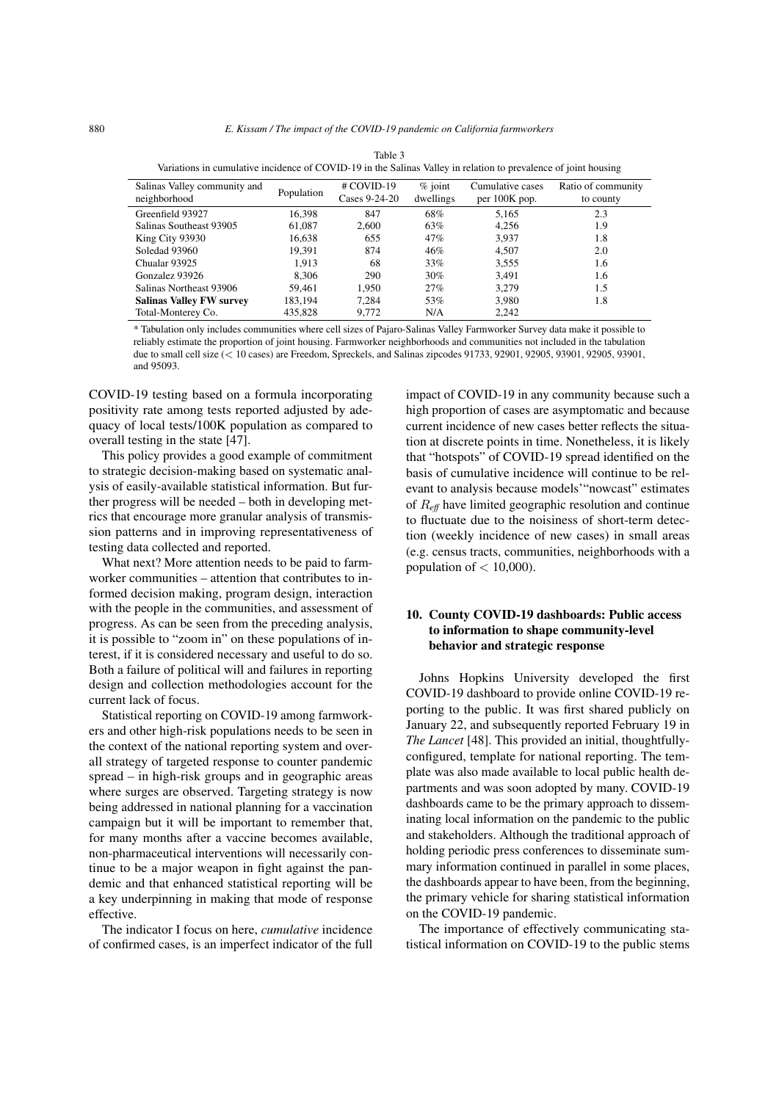<span id="page-13-0"></span>

| Variations in cumulative incidence of COVID-19 in the Salinas Valley in relation to prevalence of joint housing |            |                               |                        |                                     |                                 |  |  |  |  |  |  |
|-----------------------------------------------------------------------------------------------------------------|------------|-------------------------------|------------------------|-------------------------------------|---------------------------------|--|--|--|--|--|--|
| Salinas Valley community and<br>neighborhood                                                                    | Population | $#$ COVID-19<br>Cases 9-24-20 | $%$ joint<br>dwellings | Cumulative cases<br>per $100K$ pop. | Ratio of community<br>to county |  |  |  |  |  |  |
| Greenfield 93927                                                                                                | 16.398     | 847                           | 68%                    | 5,165                               | 2.3                             |  |  |  |  |  |  |
| Salinas Southeast 93905                                                                                         | 61.087     | 2.600                         | 63%                    | 4,256                               | 1.9                             |  |  |  |  |  |  |
| King City 93930                                                                                                 | 16.638     | 655                           | 47%                    | 3.937                               | 1.8                             |  |  |  |  |  |  |
| Soledad 93960                                                                                                   | 19.391     | 874                           | 46%                    | 4.507                               | 2.0                             |  |  |  |  |  |  |
| Chualar 93925                                                                                                   | 1.913      | 68                            | 33%                    | 3,555                               | 1.6                             |  |  |  |  |  |  |
| Gonzalez 93926                                                                                                  | 8.306      | 290                           | $30\%$                 | 3.491                               | 1.6                             |  |  |  |  |  |  |
| Salinas Northeast 93906                                                                                         | 59.461     | 1.950                         | 27%                    | 3.279                               | 1.5                             |  |  |  |  |  |  |
| <b>Salinas Valley FW survey</b>                                                                                 | 183.194    | 7.284                         | 53%                    | 3.980                               | 1.8                             |  |  |  |  |  |  |
| Total-Monterey Co.                                                                                              | 435,828    | 9.772                         | N/A                    | 2.242                               |                                 |  |  |  |  |  |  |

| Table 3                                                                                                        |  |
|----------------------------------------------------------------------------------------------------------------|--|
| Variations in cumulative incidence of COVID-19 in the Salinas Valley in relation to prevalence of joint housin |  |
|                                                                                                                |  |

\* Tabulation only includes communities where cell sizes of Pajaro-Salinas Valley Farmworker Survey data make it possible to reliably estimate the proportion of joint housing. Farmworker neighborhoods and communities not included in the tabulation due to small cell size (< 10 cases) are Freedom, Spreckels, and Salinas zipcodes 91733, 92901, 92905, 93901, 92905, 93901, and 95093.

COVID-19 testing based on a formula incorporating positivity rate among tests reported adjusted by adequacy of local tests/100K population as compared to overall testing in the state [\[47\]](#page-30-13).

This policy provides a good example of commitment to strategic decision-making based on systematic analysis of easily-available statistical information. But further progress will be needed – both in developing metrics that encourage more granular analysis of transmission patterns and in improving representativeness of testing data collected and reported.

What next? More attention needs to be paid to farmworker communities – attention that contributes to informed decision making, program design, interaction with the people in the communities, and assessment of progress. As can be seen from the preceding analysis, it is possible to "zoom in" on these populations of interest, if it is considered necessary and useful to do so. Both a failure of political will and failures in reporting design and collection methodologies account for the current lack of focus.

Statistical reporting on COVID-19 among farmworkers and other high-risk populations needs to be seen in the context of the national reporting system and overall strategy of targeted response to counter pandemic spread – in high-risk groups and in geographic areas where surges are observed. Targeting strategy is now being addressed in national planning for a vaccination campaign but it will be important to remember that, for many months after a vaccine becomes available, non-pharmaceutical interventions will necessarily continue to be a major weapon in fight against the pandemic and that enhanced statistical reporting will be a key underpinning in making that mode of response effective.

The indicator I focus on here, *cumulative* incidence of confirmed cases, is an imperfect indicator of the full impact of COVID-19 in any community because such a high proportion of cases are asymptomatic and because current incidence of new cases better reflects the situation at discrete points in time. Nonetheless, it is likely that "hotspots" of COVID-19 spread identified on the basis of cumulative incidence will continue to be relevant to analysis because models'"nowcast" estimates of R*eff* have limited geographic resolution and continue to fluctuate due to the noisiness of short-term detection (weekly incidence of new cases) in small areas (e.g. census tracts, communities, neighborhoods with a population of  $<$  10,000).

## 10. County COVID-19 dashboards: Public access to information to shape community-level behavior and strategic response

Johns Hopkins University developed the first COVID-19 dashboard to provide online COVID-19 reporting to the public. It was first shared publicly on January 22, and subsequently reported February 19 in *The Lancet* [\[48\]](#page-30-15). This provided an initial, thoughtfullyconfigured, template for national reporting. The template was also made available to local public health departments and was soon adopted by many. COVID-19 dashboards came to be the primary approach to disseminating local information on the pandemic to the public and stakeholders. Although the traditional approach of holding periodic press conferences to disseminate summary information continued in parallel in some places, the dashboards appear to have been, from the beginning, the primary vehicle for sharing statistical information on the COVID-19 pandemic.

The importance of effectively communicating statistical information on COVID-19 to the public stems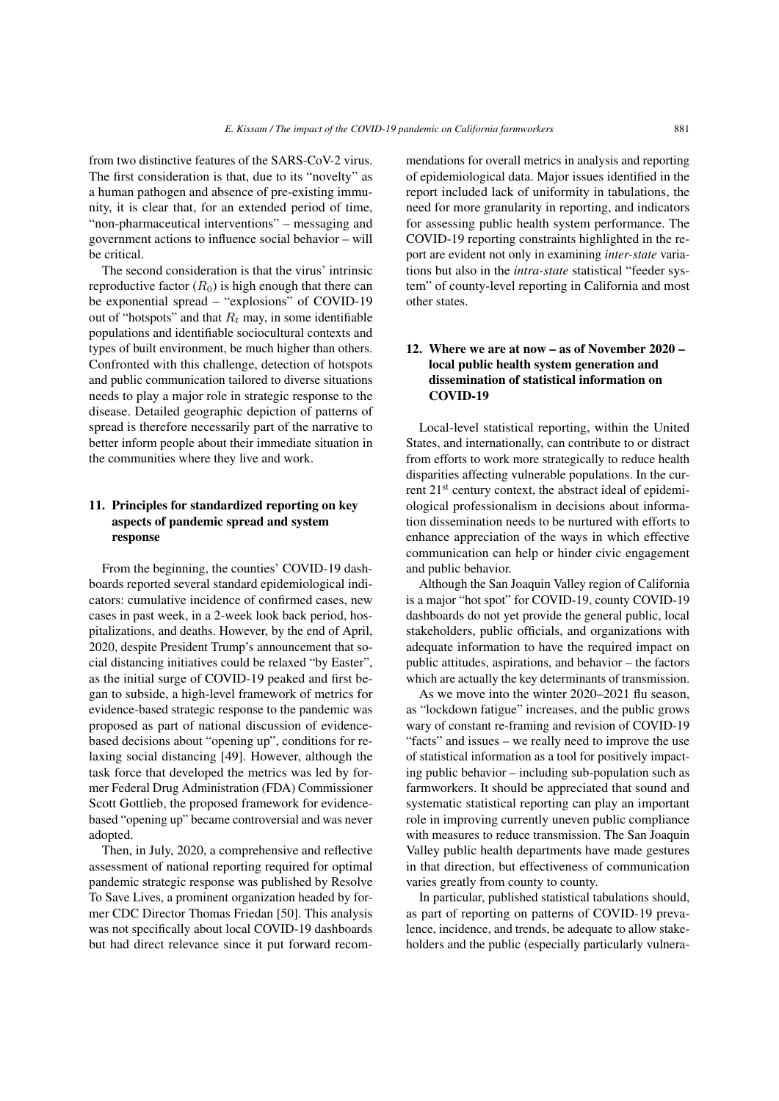from two distinctive features of the SARS-CoV-2 virus. The first consideration is that, due to its "novelty" as a human pathogen and absence of pre-existing immunity, it is clear that, for an extended period of time, "non-pharmaceutical interventions" – messaging and government actions to influence social behavior – will be critical.

The second consideration is that the virus' intrinsic reproductive factor  $(R_0)$  is high enough that there can be exponential spread – "explosions" of COVID-19 out of "hotspots" and that  $R_t$  may, in some identifiable populations and identifiable sociocultural contexts and types of built environment, be much higher than others. Confronted with this challenge, detection of hotspots and public communication tailored to diverse situations needs to play a major role in strategic response to the disease. Detailed geographic depiction of patterns of spread is therefore necessarily part of the narrative to better inform people about their immediate situation in the communities where they live and work.

## 11. Principles for standardized reporting on key aspects of pandemic spread and system response

From the beginning, the counties' COVID-19 dashboards reported several standard epidemiological indicators: cumulative incidence of confirmed cases, new cases in past week, in a 2-week look back period, hospitalizations, and deaths. However, by the end of April, 2020, despite President Trump's announcement that social distancing initiatives could be relaxed "by Easter", as the initial surge of COVID-19 peaked and first began to subside, a high-level framework of metrics for evidence-based strategic response to the pandemic was proposed as part of national discussion of evidencebased decisions about "opening up", conditions for relaxing social distancing [\[49\]](#page-30-16). However, although the task force that developed the metrics was led by former Federal Drug Administration (FDA) Commissioner Scott Gottlieb, the proposed framework for evidencebased "opening up" became controversial and was never adopted.

Then, in July, 2020, a comprehensive and reflective assessment of national reporting required for optimal pandemic strategic response was published by Resolve To Save Lives, a prominent organization headed by former CDC Director Thomas Friedan [\[50\]](#page-30-17). This analysis was not specifically about local COVID-19 dashboards but had direct relevance since it put forward recommendations for overall metrics in analysis and reporting of epidemiological data. Major issues identified in the report included lack of uniformity in tabulations, the need for more granularity in reporting, and indicators for assessing public health system performance. The COVID-19 reporting constraints highlighted in the report are evident not only in examining *inter-state* variations but also in the *intra-state* statistical "feeder system" of county-level reporting in California and most other states.

# 12. Where we are at now – as of November 2020 – local public health system generation and dissemination of statistical information on COVID-19

Local-level statistical reporting, within the United States, and internationally, can contribute to or distract from efforts to work more strategically to reduce health disparities affecting vulnerable populations. In the current 21<sup>st</sup> century context, the abstract ideal of epidemiological professionalism in decisions about information dissemination needs to be nurtured with efforts to enhance appreciation of the ways in which effective communication can help or hinder civic engagement and public behavior.

Although the San Joaquin Valley region of California is a major "hot spot" for COVID-19, county COVID-19 dashboards do not yet provide the general public, local stakeholders, public officials, and organizations with adequate information to have the required impact on public attitudes, aspirations, and behavior – the factors which are actually the key determinants of transmission.

As we move into the winter 2020–2021 flu season, as "lockdown fatigue" increases, and the public grows wary of constant re-framing and revision of COVID-19 "facts" and issues – we really need to improve the use of statistical information as a tool for positively impacting public behavior – including sub-population such as farmworkers. It should be appreciated that sound and systematic statistical reporting can play an important role in improving currently uneven public compliance with measures to reduce transmission. The San Joaquin Valley public health departments have made gestures in that direction, but effectiveness of communication varies greatly from county to county.

In particular, published statistical tabulations should, as part of reporting on patterns of COVID-19 prevalence, incidence, and trends, be adequate to allow stakeholders and the public (especially particularly vulnera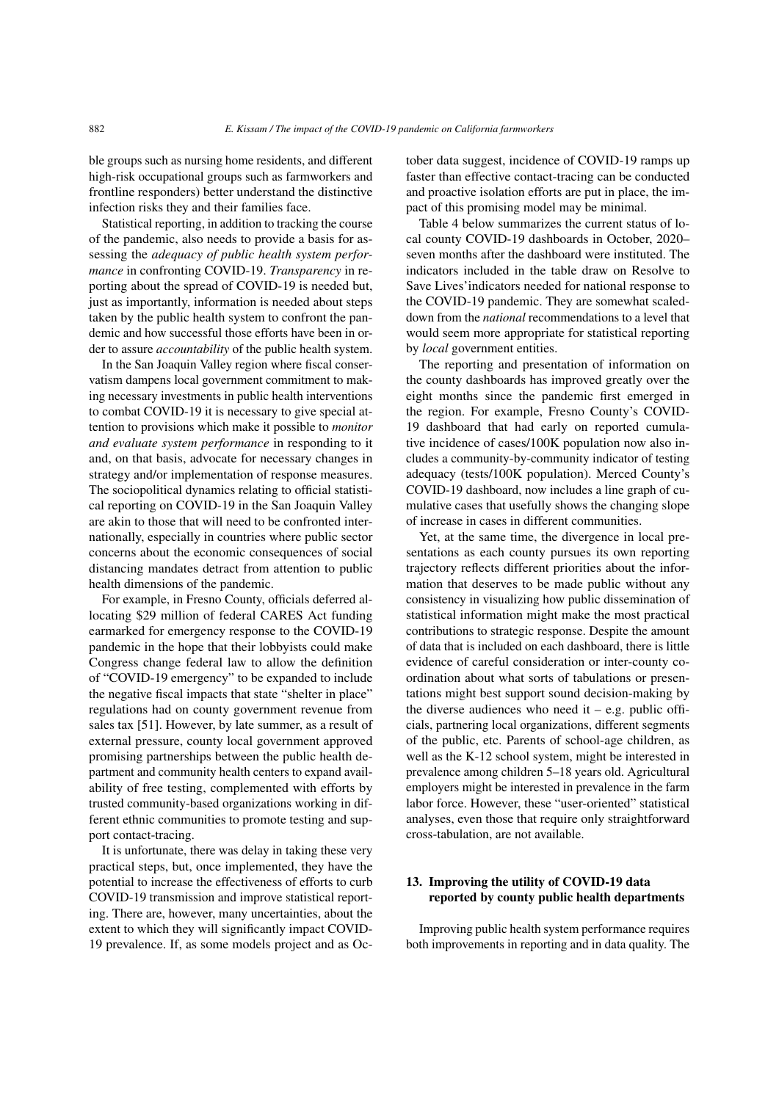ble groups such as nursing home residents, and different high-risk occupational groups such as farmworkers and frontline responders) better understand the distinctive infection risks they and their families face.

Statistical reporting, in addition to tracking the course of the pandemic, also needs to provide a basis for assessing the *adequacy of public health system performance* in confronting COVID-19. *Transparency* in reporting about the spread of COVID-19 is needed but, just as importantly, information is needed about steps taken by the public health system to confront the pandemic and how successful those efforts have been in order to assure *accountability* of the public health system.

In the San Joaquin Valley region where fiscal conservatism dampens local government commitment to making necessary investments in public health interventions to combat COVID-19 it is necessary to give special attention to provisions which make it possible to *monitor and evaluate system performance* in responding to it and, on that basis, advocate for necessary changes in strategy and/or implementation of response measures. The sociopolitical dynamics relating to official statistical reporting on COVID-19 in the San Joaquin Valley are akin to those that will need to be confronted internationally, especially in countries where public sector concerns about the economic consequences of social distancing mandates detract from attention to public health dimensions of the pandemic.

For example, in Fresno County, officials deferred allocating \$29 million of federal CARES Act funding earmarked for emergency response to the COVID-19 pandemic in the hope that their lobbyists could make Congress change federal law to allow the definition of "COVID-19 emergency" to be expanded to include the negative fiscal impacts that state "shelter in place" regulations had on county government revenue from sales tax [\[51\]](#page-30-18). However, by late summer, as a result of external pressure, county local government approved promising partnerships between the public health department and community health centers to expand availability of free testing, complemented with efforts by trusted community-based organizations working in different ethnic communities to promote testing and support contact-tracing.

It is unfortunate, there was delay in taking these very practical steps, but, once implemented, they have the potential to increase the effectiveness of efforts to curb COVID-19 transmission and improve statistical reporting. There are, however, many uncertainties, about the extent to which they will significantly impact COVID-19 prevalence. If, as some models project and as October data suggest, incidence of COVID-19 ramps up faster than effective contact-tracing can be conducted and proactive isolation efforts are put in place, the impact of this promising model may be minimal.

Table [4](#page-16-0) below summarizes the current status of local county COVID-19 dashboards in October, 2020– seven months after the dashboard were instituted. The indicators included in the table draw on Resolve to Save Lives'indicators needed for national response to the COVID-19 pandemic. They are somewhat scaleddown from the *national* recommendations to a level that would seem more appropriate for statistical reporting by *local* government entities.

The reporting and presentation of information on the county dashboards has improved greatly over the eight months since the pandemic first emerged in the region. For example, Fresno County's COVID-19 dashboard that had early on reported cumulative incidence of cases/100K population now also includes a community-by-community indicator of testing adequacy (tests/100K population). Merced County's COVID-19 dashboard, now includes a line graph of cumulative cases that usefully shows the changing slope of increase in cases in different communities.

Yet, at the same time, the divergence in local presentations as each county pursues its own reporting trajectory reflects different priorities about the information that deserves to be made public without any consistency in visualizing how public dissemination of statistical information might make the most practical contributions to strategic response. Despite the amount of data that is included on each dashboard, there is little evidence of careful consideration or inter-county coordination about what sorts of tabulations or presentations might best support sound decision-making by the diverse audiences who need it – e.g. public officials, partnering local organizations, different segments of the public, etc. Parents of school-age children, as well as the K-12 school system, might be interested in prevalence among children 5–18 years old. Agricultural employers might be interested in prevalence in the farm labor force. However, these "user-oriented" statistical analyses, even those that require only straightforward cross-tabulation, are not available.

# 13. Improving the utility of COVID-19 data reported by county public health departments

Improving public health system performance requires both improvements in reporting and in data quality. The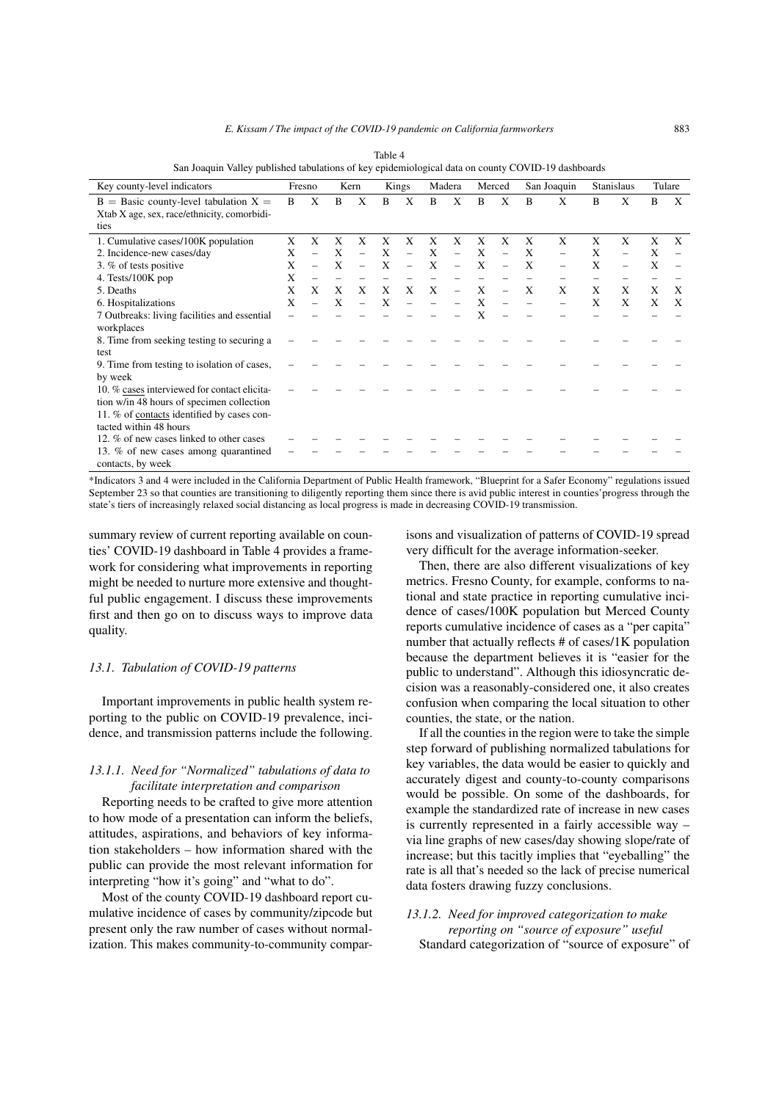<span id="page-16-0"></span>

| $\alpha$ or $\alpha$ or $\alpha$ or $\beta$ and $\beta$ and $\alpha$ and $\alpha$ or $\alpha$ or $\alpha$ or $\beta$ or $\alpha$ or $\alpha$ or $\beta$ or $\beta$ or $\beta$ or $\alpha$ or $\alpha$ or $\alpha$ or $\beta$ |   |        |   |               |   |        |   |                          |   |             |   |                   |   |        |   |   |
|------------------------------------------------------------------------------------------------------------------------------------------------------------------------------------------------------------------------------|---|--------|---|---------------|---|--------|---|--------------------------|---|-------------|---|-------------------|---|--------|---|---|
| Key county-level indicators                                                                                                                                                                                                  |   | Fresno |   | Kern<br>Kings |   | Madera |   | Merced                   |   | San Joaquin |   | <b>Stanislaus</b> |   | Tulare |   |   |
| $B =$ Basic county-level tabulation $X =$                                                                                                                                                                                    | B | X      | B | Χ             | B | X      | B | X                        | B | X           | B | X                 | В | Χ      | B | X |
| Xtab X age, sex, race/ethnicity, comorbidi-                                                                                                                                                                                  |   |        |   |               |   |        |   |                          |   |             |   |                   |   |        |   |   |
| ties                                                                                                                                                                                                                         |   |        |   |               |   |        |   |                          |   |             |   |                   |   |        |   |   |
| 1. Cumulative cases/100K population                                                                                                                                                                                          | X | X      | X | X             | X | X      | X | X                        | X | X           | X | X                 | X | X      | X | X |
| 2. Incidence-new cases/day                                                                                                                                                                                                   | X |        | X |               | X |        | X |                          | X |             | X |                   | X |        | X |   |
| 3. % of tests positive                                                                                                                                                                                                       | X |        | X |               | X |        | X |                          | X |             | X |                   | X |        | X |   |
| 4. Tests/100K pop                                                                                                                                                                                                            | X |        |   |               |   |        |   |                          |   |             |   |                   |   |        |   |   |
| 5. Deaths                                                                                                                                                                                                                    | X | X      | X | X             | X | X      | X | $\overline{\phantom{0}}$ | X |             | X | X                 | X | X      | X | X |
| 6. Hospitalizations                                                                                                                                                                                                          | X |        | X |               | X |        |   |                          | X |             |   |                   | X | X      | X | X |
| 7 Outbreaks: living facilities and essential                                                                                                                                                                                 |   |        |   |               |   |        |   |                          | X |             |   |                   |   |        |   |   |
| workplaces                                                                                                                                                                                                                   |   |        |   |               |   |        |   |                          |   |             |   |                   |   |        |   |   |
| 8. Time from seeking testing to securing a                                                                                                                                                                                   |   |        |   |               |   |        |   |                          |   |             |   |                   |   |        |   |   |
| test                                                                                                                                                                                                                         |   |        |   |               |   |        |   |                          |   |             |   |                   |   |        |   |   |
| 9. Time from testing to isolation of cases,                                                                                                                                                                                  |   |        |   |               |   |        |   |                          |   |             |   |                   |   |        |   |   |
| by week                                                                                                                                                                                                                      |   |        |   |               |   |        |   |                          |   |             |   |                   |   |        |   |   |
| 10. % cases interviewed for contact elicita-                                                                                                                                                                                 |   |        |   |               |   |        |   |                          |   |             |   |                   |   |        |   |   |
| tion w/in 48 hours of specimen collection                                                                                                                                                                                    |   |        |   |               |   |        |   |                          |   |             |   |                   |   |        |   |   |
| 11. % of contacts identified by cases con-                                                                                                                                                                                   |   |        |   |               |   |        |   |                          |   |             |   |                   |   |        |   |   |
| tacted within 48 hours                                                                                                                                                                                                       |   |        |   |               |   |        |   |                          |   |             |   |                   |   |        |   |   |
| 12. % of new cases linked to other cases                                                                                                                                                                                     |   |        |   |               |   |        |   |                          |   |             |   |                   |   |        |   |   |
| 13. % of new cases among quarantined                                                                                                                                                                                         |   |        |   |               |   |        |   |                          |   |             |   |                   |   |        |   |   |
| contacts, by week                                                                                                                                                                                                            |   |        |   |               |   |        |   |                          |   |             |   |                   |   |        |   |   |

Table 4 San Joaquin Valley published tabulations of key epidemiological data on county COVID-19 dashboards

\*Indicators 3 and 4 were included in the California Department of Public Health framework, "Blueprint for a Safer Economy" regulations issued September 23 so that counties are transitioning to diligently reporting them since there is avid public interest in counties'progress through the state's tiers of increasingly relaxed social distancing as local progress is made in decreasing COVID-19 transmission.

summary review of current reporting available on counties' COVID-19 dashboard in Table [4](#page-16-0) provides a framework for considering what improvements in reporting might be needed to nurture more extensive and thoughtful public engagement. I discuss these improvements first and then go on to discuss ways to improve data quality.

#### *13.1. Tabulation of COVID-19 patterns*

Important improvements in public health system reporting to the public on COVID-19 prevalence, incidence, and transmission patterns include the following.

## *13.1.1. Need for "Normalized" tabulations of data to facilitate interpretation and comparison*

Reporting needs to be crafted to give more attention to how mode of a presentation can inform the beliefs, attitudes, aspirations, and behaviors of key information stakeholders – how information shared with the public can provide the most relevant information for interpreting "how it's going" and "what to do".

Most of the county COVID-19 dashboard report cumulative incidence of cases by community/zipcode but present only the raw number of cases without normalization. This makes community-to-community comparisons and visualization of patterns of COVID-19 spread very difficult for the average information-seeker.

Then, there are also different visualizations of key metrics. Fresno County, for example, conforms to national and state practice in reporting cumulative incidence of cases/100K population but Merced County reports cumulative incidence of cases as a "per capita" number that actually reflects # of cases/1K population because the department believes it is "easier for the public to understand". Although this idiosyncratic decision was a reasonably-considered one, it also creates confusion when comparing the local situation to other counties, the state, or the nation.

If all the counties in the region were to take the simple step forward of publishing normalized tabulations for key variables, the data would be easier to quickly and accurately digest and county-to-county comparisons would be possible. On some of the dashboards, for example the standardized rate of increase in new cases is currently represented in a fairly accessible way – via line graphs of new cases/day showing slope/rate of increase; but this tacitly implies that "eyeballing" the rate is all that's needed so the lack of precise numerical data fosters drawing fuzzy conclusions.

# *13.1.2. Need for improved categorization to make reporting on "source of exposure" useful* Standard categorization of "source of exposure" of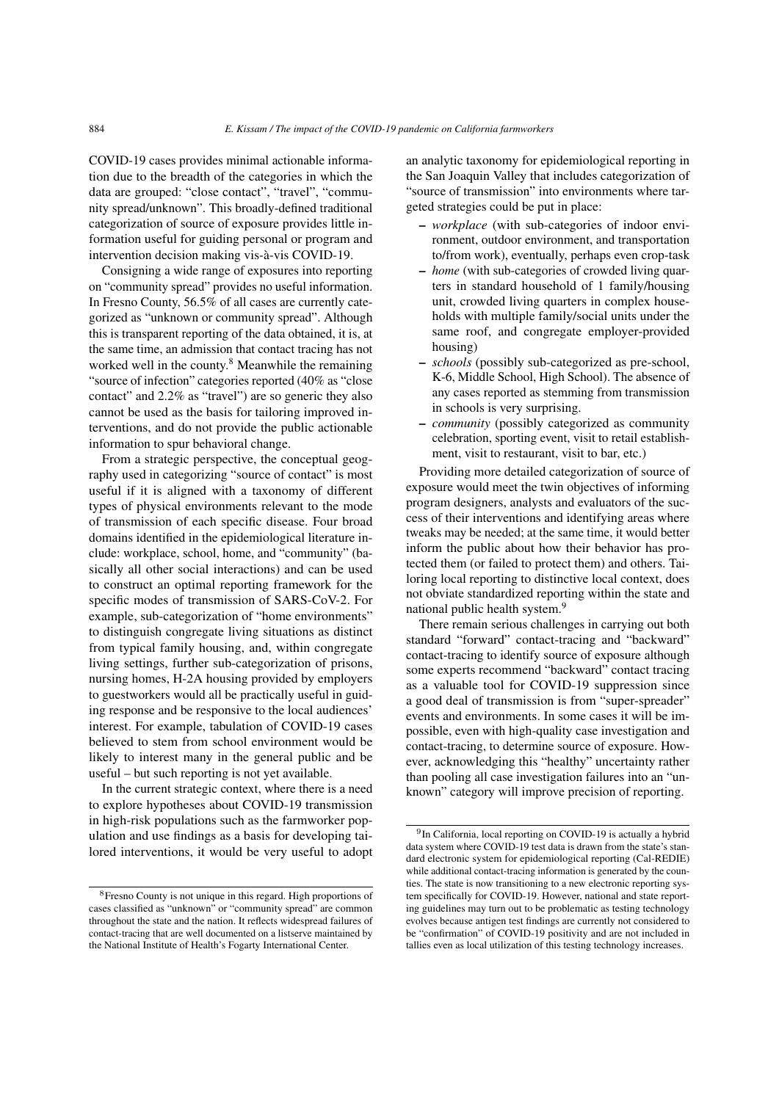COVID-19 cases provides minimal actionable information due to the breadth of the categories in which the data are grouped: "close contact", "travel", "community spread/unknown". This broadly-defined traditional categorization of source of exposure provides little information useful for guiding personal or program and intervention decision making vis-à-vis COVID-19.

Consigning a wide range of exposures into reporting on "community spread" provides no useful information. In Fresno County, 56.5% of all cases are currently categorized as "unknown or community spread". Although this is transparent reporting of the data obtained, it is, at the same time, an admission that contact tracing has not worked well in the county.<sup>[8](#page-17-0)</sup> Meanwhile the remaining "source of infection" categories reported (40% as "close contact" and 2.2% as "travel") are so generic they also cannot be used as the basis for tailoring improved interventions, and do not provide the public actionable information to spur behavioral change.

From a strategic perspective, the conceptual geography used in categorizing "source of contact" is most useful if it is aligned with a taxonomy of different types of physical environments relevant to the mode of transmission of each specific disease. Four broad domains identified in the epidemiological literature include: workplace, school, home, and "community" (basically all other social interactions) and can be used to construct an optimal reporting framework for the specific modes of transmission of SARS-CoV-2. For example, sub-categorization of "home environments" to distinguish congregate living situations as distinct from typical family housing, and, within congregate living settings, further sub-categorization of prisons, nursing homes, H-2A housing provided by employers to guestworkers would all be practically useful in guiding response and be responsive to the local audiences' interest. For example, tabulation of COVID-19 cases believed to stem from school environment would be likely to interest many in the general public and be useful – but such reporting is not yet available.

In the current strategic context, where there is a need to explore hypotheses about COVID-19 transmission in high-risk populations such as the farmworker population and use findings as a basis for developing tailored interventions, it would be very useful to adopt an analytic taxonomy for epidemiological reporting in the San Joaquin Valley that includes categorization of "source of transmission" into environments where targeted strategies could be put in place:

- *workplace* (with sub-categories of indoor environment, outdoor environment, and transportation to/from work), eventually, perhaps even crop-task
- *home* (with sub-categories of crowded living quarters in standard household of 1 family/housing unit, crowded living quarters in complex households with multiple family/social units under the same roof, and congregate employer-provided housing)
- *schools* (possibly sub-categorized as pre-school, K-6, Middle School, High School). The absence of any cases reported as stemming from transmission in schools is very surprising.
- *community* (possibly categorized as community celebration, sporting event, visit to retail establishment, visit to restaurant, visit to bar, etc.)

Providing more detailed categorization of source of exposure would meet the twin objectives of informing program designers, analysts and evaluators of the success of their interventions and identifying areas where tweaks may be needed; at the same time, it would better inform the public about how their behavior has protected them (or failed to protect them) and others. Tailoring local reporting to distinctive local context, does not obviate standardized reporting within the state and national public health system.[9](#page-17-1)

There remain serious challenges in carrying out both standard "forward" contact-tracing and "backward" contact-tracing to identify source of exposure although some experts recommend "backward" contact tracing as a valuable tool for COVID-19 suppression since a good deal of transmission is from "super-spreader" events and environments. In some cases it will be impossible, even with high-quality case investigation and contact-tracing, to determine source of exposure. However, acknowledging this "healthy" uncertainty rather than pooling all case investigation failures into an "unknown" category will improve precision of reporting.

<span id="page-17-0"></span><sup>8</sup>Fresno County is not unique in this regard. High proportions of cases classified as "unknown" or "community spread" are common throughout the state and the nation. It reflects widespread failures of contact-tracing that are well documented on a listserve maintained by the National Institute of Health's Fogarty International Center.

<span id="page-17-1"></span><sup>&</sup>lt;sup>9</sup>In California, local reporting on COVID-19 is actually a hybrid data system where COVID-19 test data is drawn from the state's standard electronic system for epidemiological reporting (Cal-REDIE) while additional contact-tracing information is generated by the counties. The state is now transitioning to a new electronic reporting system specifically for COVID-19. However, national and state reporting guidelines may turn out to be problematic as testing technology evolves because antigen test findings are currently not considered to be "confirmation" of COVID-19 positivity and are not included in tallies even as local utilization of this testing technology increases.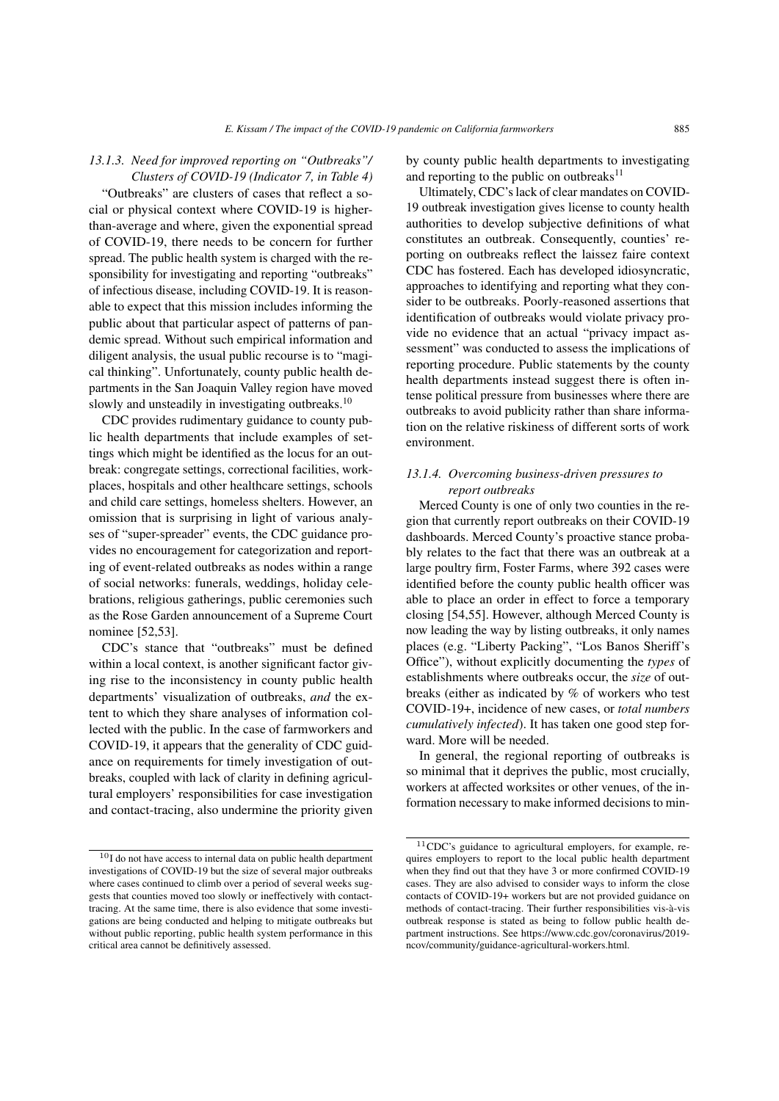# *13.1.3. Need for improved reporting on "Outbreaks"/ Clusters of COVID-19 (Indicator 7, in Table [4\)](#page-16-0)*

"Outbreaks" are clusters of cases that reflect a social or physical context where COVID-19 is higherthan-average and where, given the exponential spread of COVID-19, there needs to be concern for further spread. The public health system is charged with the responsibility for investigating and reporting "outbreaks" of infectious disease, including COVID-19. It is reasonable to expect that this mission includes informing the public about that particular aspect of patterns of pandemic spread. Without such empirical information and diligent analysis, the usual public recourse is to "magical thinking". Unfortunately, county public health departments in the San Joaquin Valley region have moved slowly and unsteadily in investigating outbreaks.<sup>[10](#page-18-0)</sup>

CDC provides rudimentary guidance to county public health departments that include examples of settings which might be identified as the locus for an outbreak: congregate settings, correctional facilities, workplaces, hospitals and other healthcare settings, schools and child care settings, homeless shelters. However, an omission that is surprising in light of various analyses of "super-spreader" events, the CDC guidance provides no encouragement for categorization and reporting of event-related outbreaks as nodes within a range of social networks: funerals, weddings, holiday celebrations, religious gatherings, public ceremonies such as the Rose Garden announcement of a Supreme Court nominee [\[52,](#page-30-19)[53\]](#page-30-20).

CDC's stance that "outbreaks" must be defined within a local context, is another significant factor giving rise to the inconsistency in county public health departments' visualization of outbreaks, *and* the extent to which they share analyses of information collected with the public. In the case of farmworkers and COVID-19, it appears that the generality of CDC guidance on requirements for timely investigation of outbreaks, coupled with lack of clarity in defining agricultural employers' responsibilities for case investigation and contact-tracing, also undermine the priority given by county public health departments to investigating and reporting to the public on outbreaks<sup>[11](#page-18-1)</sup>

Ultimately, CDC's lack of clear mandates on COVID-19 outbreak investigation gives license to county health authorities to develop subjective definitions of what constitutes an outbreak. Consequently, counties' reporting on outbreaks reflect the laissez faire context CDC has fostered. Each has developed idiosyncratic, approaches to identifying and reporting what they consider to be outbreaks. Poorly-reasoned assertions that identification of outbreaks would violate privacy provide no evidence that an actual "privacy impact assessment" was conducted to assess the implications of reporting procedure. Public statements by the county health departments instead suggest there is often intense political pressure from businesses where there are outbreaks to avoid publicity rather than share information on the relative riskiness of different sorts of work environment.

## *13.1.4. Overcoming business-driven pressures to report outbreaks*

Merced County is one of only two counties in the region that currently report outbreaks on their COVID-19 dashboards. Merced County's proactive stance probably relates to the fact that there was an outbreak at a large poultry firm, Foster Farms, where 392 cases were identified before the county public health officer was able to place an order in effect to force a temporary closing [\[54](#page-30-21)[,55\]](#page-30-22). However, although Merced County is now leading the way by listing outbreaks, it only names places (e.g. "Liberty Packing", "Los Banos Sheriff's Office"), without explicitly documenting the *types* of establishments where outbreaks occur, the *size* of outbreaks (either as indicated by % of workers who test COVID-19+, incidence of new cases, or *total numbers cumulatively infected*). It has taken one good step forward. More will be needed.

In general, the regional reporting of outbreaks is so minimal that it deprives the public, most crucially, workers at affected worksites or other venues, of the information necessary to make informed decisions to min-

<span id="page-18-0"></span><sup>10</sup>I do not have access to internal data on public health department investigations of COVID-19 but the size of several major outbreaks where cases continued to climb over a period of several weeks suggests that counties moved too slowly or ineffectively with contacttracing. At the same time, there is also evidence that some investigations are being conducted and helping to mitigate outbreaks but without public reporting, public health system performance in this critical area cannot be definitively assessed.

<span id="page-18-1"></span><sup>11</sup>CDC's guidance to agricultural employers, for example, requires employers to report to the local public health department when they find out that they have 3 or more confirmed COVID-19 cases. They are also advised to consider ways to inform the close contacts of COVID-19+ workers but are not provided guidance on methods of contact-tracing. Their further responsibilities vis-à-vis outbreak response is stated as being to follow public health department instructions. See https://www.cdc.gov/coronavirus/2019 ncov/community/guidance-agricultural-workers.html.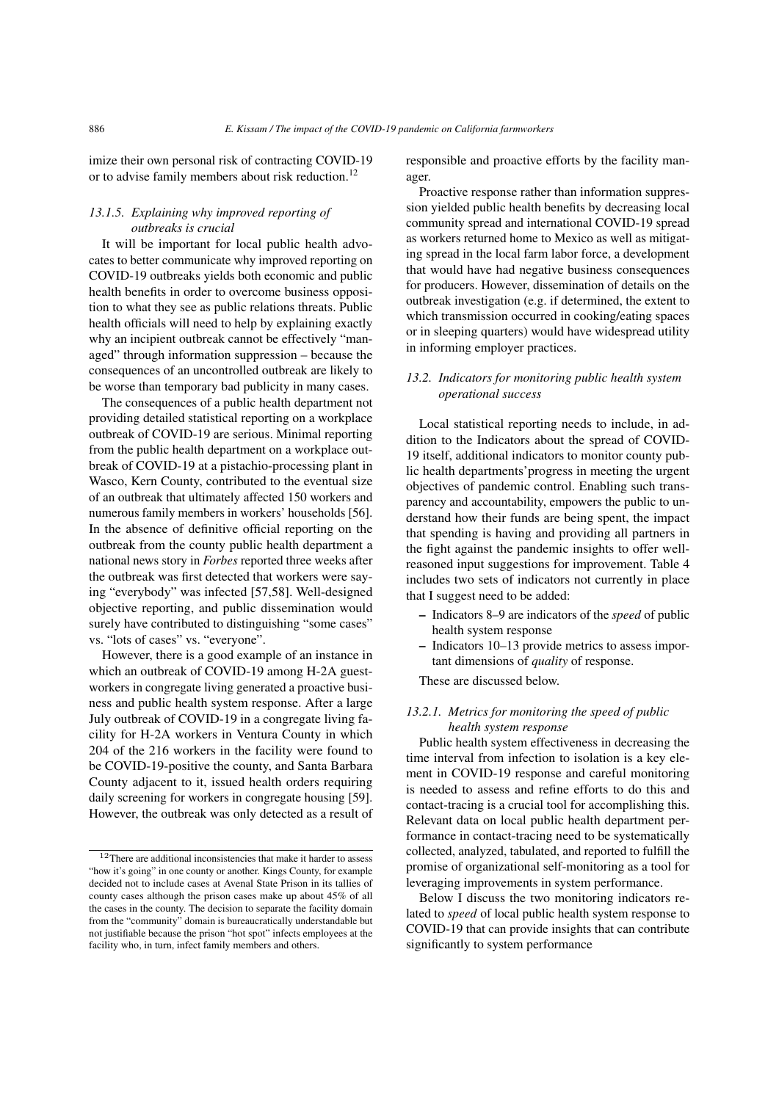imize their own personal risk of contracting COVID-19 or to advise family members about risk reduction.<sup>[12](#page-19-0)</sup>

## *13.1.5. Explaining why improved reporting of outbreaks is crucial*

It will be important for local public health advocates to better communicate why improved reporting on COVID-19 outbreaks yields both economic and public health benefits in order to overcome business opposition to what they see as public relations threats. Public health officials will need to help by explaining exactly why an incipient outbreak cannot be effectively "managed" through information suppression – because the consequences of an uncontrolled outbreak are likely to be worse than temporary bad publicity in many cases.

The consequences of a public health department not providing detailed statistical reporting on a workplace outbreak of COVID-19 are serious. Minimal reporting from the public health department on a workplace outbreak of COVID-19 at a pistachio-processing plant in Wasco, Kern County, contributed to the eventual size of an outbreak that ultimately affected 150 workers and numerous family members in workers' households [\[56\]](#page-30-23). In the absence of definitive official reporting on the outbreak from the county public health department a national news story in *Forbes* reported three weeks after the outbreak was first detected that workers were saying "everybody" was infected [\[57,](#page-30-24)[58\]](#page-30-25). Well-designed objective reporting, and public dissemination would surely have contributed to distinguishing "some cases" vs. "lots of cases" vs. "everyone".

However, there is a good example of an instance in which an outbreak of COVID-19 among H-2A guestworkers in congregate living generated a proactive business and public health system response. After a large July outbreak of COVID-19 in a congregate living facility for H-2A workers in Ventura County in which 204 of the 216 workers in the facility were found to be COVID-19-positive the county, and Santa Barbara County adjacent to it, issued health orders requiring daily screening for workers in congregate housing [\[59\]](#page-31-0). However, the outbreak was only detected as a result of responsible and proactive efforts by the facility manager.

Proactive response rather than information suppression yielded public health benefits by decreasing local community spread and international COVID-19 spread as workers returned home to Mexico as well as mitigating spread in the local farm labor force, a development that would have had negative business consequences for producers. However, dissemination of details on the outbreak investigation (e.g. if determined, the extent to which transmission occurred in cooking/eating spaces or in sleeping quarters) would have widespread utility in informing employer practices.

# *13.2. Indicators for monitoring public health system operational success*

Local statistical reporting needs to include, in addition to the Indicators about the spread of COVID-19 itself, additional indicators to monitor county public health departments'progress in meeting the urgent objectives of pandemic control. Enabling such transparency and accountability, empowers the public to understand how their funds are being spent, the impact that spending is having and providing all partners in the fight against the pandemic insights to offer wellreasoned input suggestions for improvement. Table [4](#page-16-0) includes two sets of indicators not currently in place that I suggest need to be added:

- Indicators 8–9 are indicators of the *speed* of public health system response
- Indicators 10–13 provide metrics to assess important dimensions of *quality* of response.

These are discussed below.

# *13.2.1. Metrics for monitoring the speed of public health system response*

Public health system effectiveness in decreasing the time interval from infection to isolation is a key element in COVID-19 response and careful monitoring is needed to assess and refine efforts to do this and contact-tracing is a crucial tool for accomplishing this. Relevant data on local public health department performance in contact-tracing need to be systematically collected, analyzed, tabulated, and reported to fulfill the promise of organizational self-monitoring as a tool for leveraging improvements in system performance.

Below I discuss the two monitoring indicators related to *speed* of local public health system response to COVID-19 that can provide insights that can contribute significantly to system performance

<span id="page-19-0"></span> $^{12}\mathrm{There}$  are additional inconsistencies that make it harder to assess "how it's going" in one county or another. Kings County, for example decided not to include cases at Avenal State Prison in its tallies of county cases although the prison cases make up about 45% of all the cases in the county. The decision to separate the facility domain from the "community" domain is bureaucratically understandable but not justifiable because the prison "hot spot" infects employees at the facility who, in turn, infect family members and others.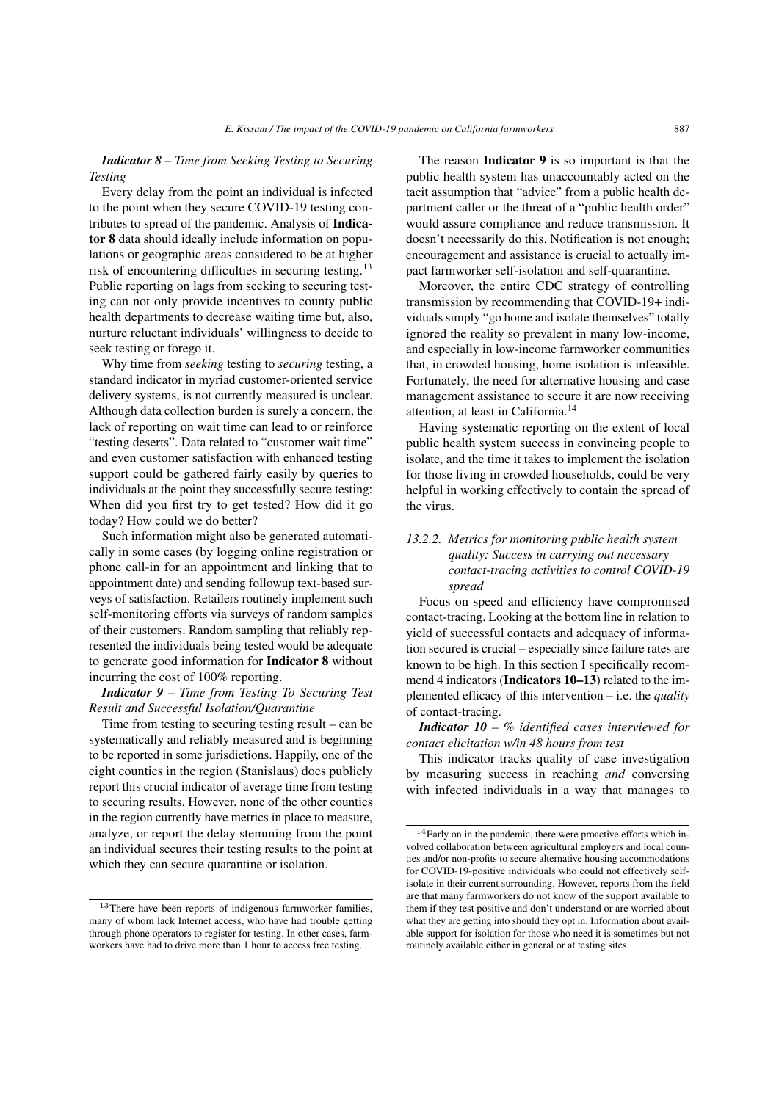## *Indicator 8* – *Time from Seeking Testing to Securing Testing*

Every delay from the point an individual is infected to the point when they secure COVID-19 testing contributes to spread of the pandemic. Analysis of Indicator 8 data should ideally include information on populations or geographic areas considered to be at higher risk of encountering difficulties in securing testing.<sup>[13](#page-20-0)</sup> Public reporting on lags from seeking to securing testing can not only provide incentives to county public health departments to decrease waiting time but, also, nurture reluctant individuals' willingness to decide to seek testing or forego it.

Why time from *seeking* testing to *securing* testing, a standard indicator in myriad customer-oriented service delivery systems, is not currently measured is unclear. Although data collection burden is surely a concern, the lack of reporting on wait time can lead to or reinforce "testing deserts". Data related to "customer wait time" and even customer satisfaction with enhanced testing support could be gathered fairly easily by queries to individuals at the point they successfully secure testing: When did you first try to get tested? How did it go today? How could we do better?

Such information might also be generated automatically in some cases (by logging online registration or phone call-in for an appointment and linking that to appointment date) and sending followup text-based surveys of satisfaction. Retailers routinely implement such self-monitoring efforts via surveys of random samples of their customers. Random sampling that reliably represented the individuals being tested would be adequate to generate good information for Indicator 8 without incurring the cost of 100% reporting.

## *Indicator 9 – Time from Testing To Securing Test Result and Successful Isolation/Quarantine*

Time from testing to securing testing result – can be systematically and reliably measured and is beginning to be reported in some jurisdictions. Happily, one of the eight counties in the region (Stanislaus) does publicly report this crucial indicator of average time from testing to securing results. However, none of the other counties in the region currently have metrics in place to measure, analyze, or report the delay stemming from the point an individual secures their testing results to the point at which they can secure quarantine or isolation.

The reason **Indicator 9** is so important is that the public health system has unaccountably acted on the tacit assumption that "advice" from a public health department caller or the threat of a "public health order" would assure compliance and reduce transmission. It doesn't necessarily do this. Notification is not enough; encouragement and assistance is crucial to actually impact farmworker self-isolation and self-quarantine.

Moreover, the entire CDC strategy of controlling transmission by recommending that COVID-19+ individuals simply "go home and isolate themselves" totally ignored the reality so prevalent in many low-income, and especially in low-income farmworker communities that, in crowded housing, home isolation is infeasible. Fortunately, the need for alternative housing and case management assistance to secure it are now receiving attention, at least in California.[14](#page-20-1)

Having systematic reporting on the extent of local public health system success in convincing people to isolate, and the time it takes to implement the isolation for those living in crowded households, could be very helpful in working effectively to contain the spread of the virus.

# *13.2.2. Metrics for monitoring public health system quality: Success in carrying out necessary contact-tracing activities to control COVID-19 spread*

Focus on speed and efficiency have compromised contact-tracing. Looking at the bottom line in relation to yield of successful contacts and adequacy of information secured is crucial – especially since failure rates are known to be high. In this section I specifically recommend 4 indicators (Indicators 10–13) related to the implemented efficacy of this intervention – i.e. the *quality* of contact-tracing.

*Indicator 10 – % identified cases interviewed for contact elicitation w/in 48 hours from test*

This indicator tracks quality of case investigation by measuring success in reaching *and* conversing with infected individuals in a way that manages to

<span id="page-20-0"></span><sup>13</sup>There have been reports of indigenous farmworker families, many of whom lack Internet access, who have had trouble getting through phone operators to register for testing. In other cases, farmworkers have had to drive more than 1 hour to access free testing.

<span id="page-20-1"></span> $14$ Early on in the pandemic, there were proactive efforts which involved collaboration between agricultural employers and local counties and/or non-profits to secure alternative housing accommodations for COVID-19-positive individuals who could not effectively selfisolate in their current surrounding. However, reports from the field are that many farmworkers do not know of the support available to them if they test positive and don't understand or are worried about what they are getting into should they opt in. Information about available support for isolation for those who need it is sometimes but not routinely available either in general or at testing sites.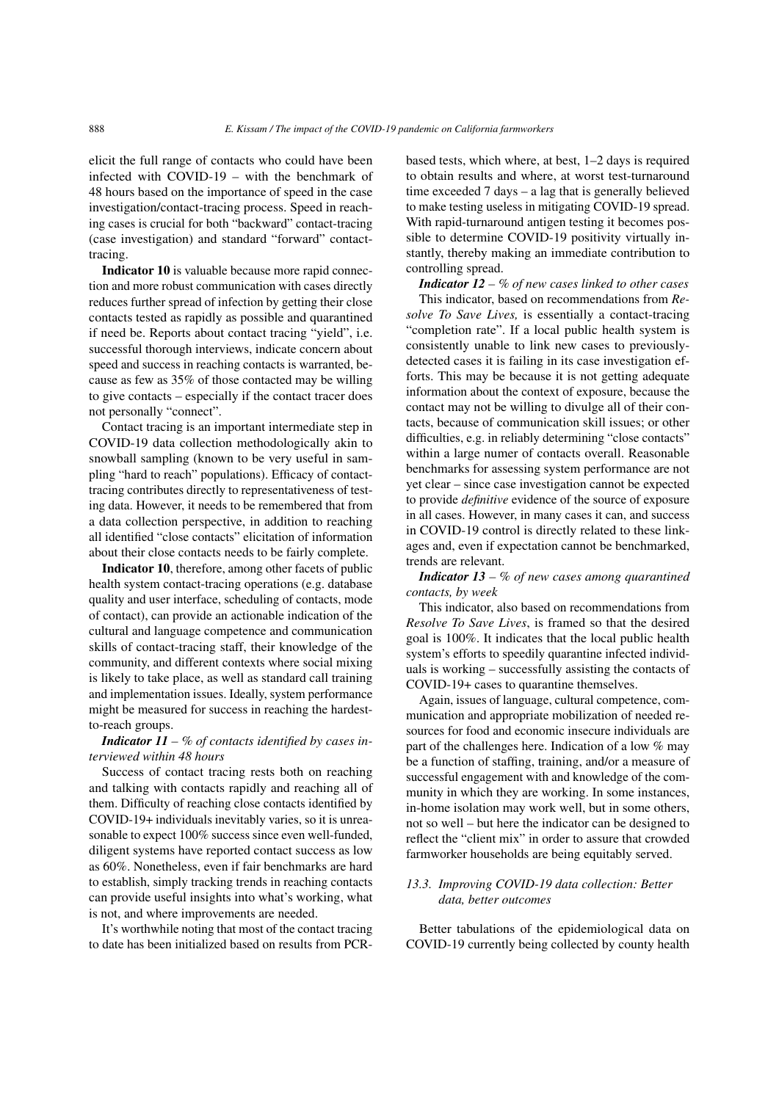elicit the full range of contacts who could have been infected with COVID-19 – with the benchmark of 48 hours based on the importance of speed in the case investigation/contact-tracing process. Speed in reaching cases is crucial for both "backward" contact-tracing (case investigation) and standard "forward" contacttracing.

Indicator 10 is valuable because more rapid connection and more robust communication with cases directly reduces further spread of infection by getting their close contacts tested as rapidly as possible and quarantined if need be. Reports about contact tracing "yield", i.e. successful thorough interviews, indicate concern about speed and success in reaching contacts is warranted, because as few as 35% of those contacted may be willing to give contacts – especially if the contact tracer does not personally "connect".

Contact tracing is an important intermediate step in COVID-19 data collection methodologically akin to snowball sampling (known to be very useful in sampling "hard to reach" populations). Efficacy of contacttracing contributes directly to representativeness of testing data. However, it needs to be remembered that from a data collection perspective, in addition to reaching all identified "close contacts" elicitation of information about their close contacts needs to be fairly complete.

Indicator 10, therefore, among other facets of public health system contact-tracing operations (e.g. database quality and user interface, scheduling of contacts, mode of contact), can provide an actionable indication of the cultural and language competence and communication skills of contact-tracing staff, their knowledge of the community, and different contexts where social mixing is likely to take place, as well as standard call training and implementation issues. Ideally, system performance might be measured for success in reaching the hardestto-reach groups.

## *Indicator 11 – % of contacts identified by cases interviewed within 48 hours*

Success of contact tracing rests both on reaching and talking with contacts rapidly and reaching all of them. Difficulty of reaching close contacts identified by COVID-19+ individuals inevitably varies, so it is unreasonable to expect 100% success since even well-funded, diligent systems have reported contact success as low as 60%. Nonetheless, even if fair benchmarks are hard to establish, simply tracking trends in reaching contacts can provide useful insights into what's working, what is not, and where improvements are needed.

It's worthwhile noting that most of the contact tracing to date has been initialized based on results from PCR- based tests, which where, at best, 1–2 days is required to obtain results and where, at worst test-turnaround time exceeded 7 days – a lag that is generally believed to make testing useless in mitigating COVID-19 spread. With rapid-turnaround antigen testing it becomes possible to determine COVID-19 positivity virtually instantly, thereby making an immediate contribution to controlling spread.

*Indicator 12 – % of new cases linked to other cases*

This indicator, based on recommendations from *Resolve To Save Lives,* is essentially a contact-tracing "completion rate". If a local public health system is consistently unable to link new cases to previouslydetected cases it is failing in its case investigation efforts. This may be because it is not getting adequate information about the context of exposure, because the contact may not be willing to divulge all of their contacts, because of communication skill issues; or other difficulties, e.g. in reliably determining "close contacts" within a large numer of contacts overall. Reasonable benchmarks for assessing system performance are not yet clear – since case investigation cannot be expected to provide *definitive* evidence of the source of exposure in all cases. However, in many cases it can, and success in COVID-19 control is directly related to these linkages and, even if expectation cannot be benchmarked, trends are relevant.

*Indicator 13 – % of new cases among quarantined contacts, by week*

This indicator, also based on recommendations from *Resolve To Save Lives*, is framed so that the desired goal is 100%. It indicates that the local public health system's efforts to speedily quarantine infected individuals is working – successfully assisting the contacts of COVID-19+ cases to quarantine themselves.

Again, issues of language, cultural competence, communication and appropriate mobilization of needed resources for food and economic insecure individuals are part of the challenges here. Indication of a low % may be a function of staffing, training, and/or a measure of successful engagement with and knowledge of the community in which they are working. In some instances, in-home isolation may work well, but in some others, not so well – but here the indicator can be designed to reflect the "client mix" in order to assure that crowded farmworker households are being equitably served.

## *13.3. Improving COVID-19 data collection: Better data, better outcomes*

Better tabulations of the epidemiological data on COVID-19 currently being collected by county health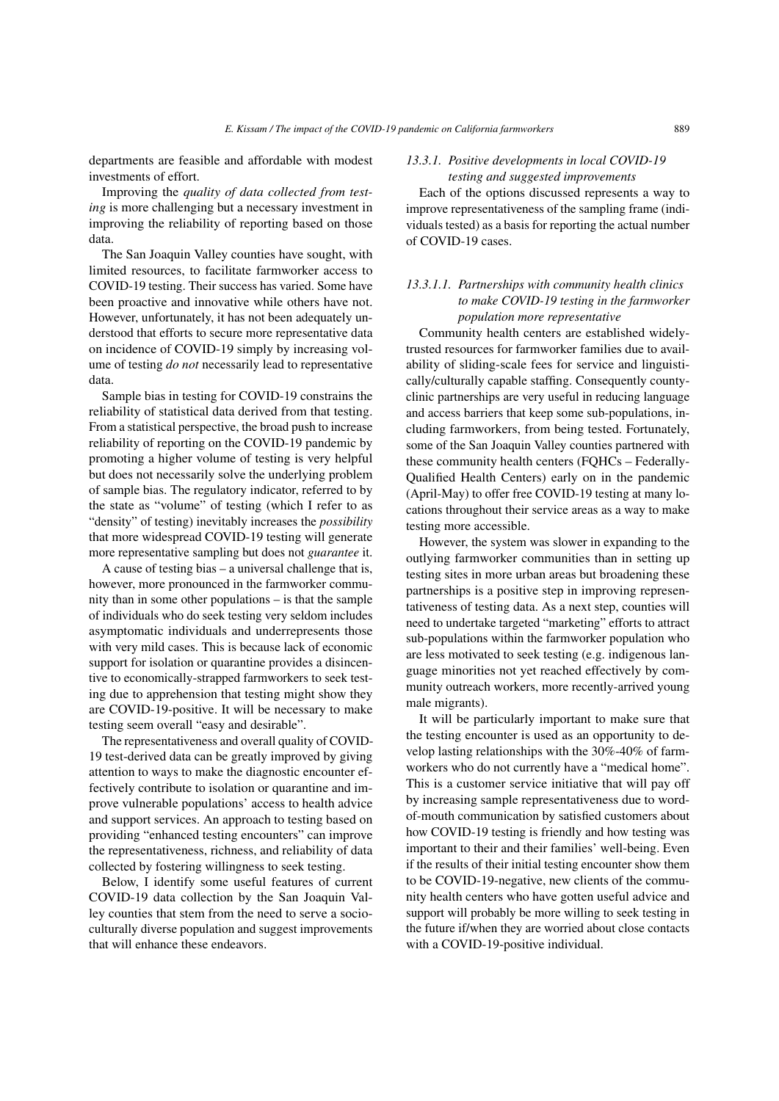departments are feasible and affordable with modest investments of effort.

Improving the *quality of data collected from testing* is more challenging but a necessary investment in improving the reliability of reporting based on those data.

The San Joaquin Valley counties have sought, with limited resources, to facilitate farmworker access to COVID-19 testing. Their success has varied. Some have been proactive and innovative while others have not. However, unfortunately, it has not been adequately understood that efforts to secure more representative data on incidence of COVID-19 simply by increasing volume of testing *do not* necessarily lead to representative data.

Sample bias in testing for COVID-19 constrains the reliability of statistical data derived from that testing. From a statistical perspective, the broad push to increase reliability of reporting on the COVID-19 pandemic by promoting a higher volume of testing is very helpful but does not necessarily solve the underlying problem of sample bias. The regulatory indicator, referred to by the state as "volume" of testing (which I refer to as "density" of testing) inevitably increases the *possibility* that more widespread COVID-19 testing will generate more representative sampling but does not *guarantee* it.

A cause of testing bias – a universal challenge that is, however, more pronounced in the farmworker community than in some other populations – is that the sample of individuals who do seek testing very seldom includes asymptomatic individuals and underrepresents those with very mild cases. This is because lack of economic support for isolation or quarantine provides a disincentive to economically-strapped farmworkers to seek testing due to apprehension that testing might show they are COVID-19-positive. It will be necessary to make testing seem overall "easy and desirable".

The representativeness and overall quality of COVID-19 test-derived data can be greatly improved by giving attention to ways to make the diagnostic encounter effectively contribute to isolation or quarantine and improve vulnerable populations' access to health advice and support services. An approach to testing based on providing "enhanced testing encounters" can improve the representativeness, richness, and reliability of data collected by fostering willingness to seek testing.

Below, I identify some useful features of current COVID-19 data collection by the San Joaquin Valley counties that stem from the need to serve a socioculturally diverse population and suggest improvements that will enhance these endeavors.

## *13.3.1. Positive developments in local COVID-19 testing and suggested improvements*

Each of the options discussed represents a way to improve representativeness of the sampling frame (individuals tested) as a basis for reporting the actual number of COVID-19 cases.

# *13.3.1.1. Partnerships with community health clinics to make COVID-19 testing in the farmworker population more representative*

Community health centers are established widelytrusted resources for farmworker families due to availability of sliding-scale fees for service and linguistically/culturally capable staffing. Consequently countyclinic partnerships are very useful in reducing language and access barriers that keep some sub-populations, including farmworkers, from being tested. Fortunately, some of the San Joaquin Valley counties partnered with these community health centers (FQHCs – Federally-Qualified Health Centers) early on in the pandemic (April-May) to offer free COVID-19 testing at many locations throughout their service areas as a way to make testing more accessible.

However, the system was slower in expanding to the outlying farmworker communities than in setting up testing sites in more urban areas but broadening these partnerships is a positive step in improving representativeness of testing data. As a next step, counties will need to undertake targeted "marketing" efforts to attract sub-populations within the farmworker population who are less motivated to seek testing (e.g. indigenous language minorities not yet reached effectively by community outreach workers, more recently-arrived young male migrants).

It will be particularly important to make sure that the testing encounter is used as an opportunity to develop lasting relationships with the 30%-40% of farmworkers who do not currently have a "medical home". This is a customer service initiative that will pay off by increasing sample representativeness due to wordof-mouth communication by satisfied customers about how COVID-19 testing is friendly and how testing was important to their and their families' well-being. Even if the results of their initial testing encounter show them to be COVID-19-negative, new clients of the community health centers who have gotten useful advice and support will probably be more willing to seek testing in the future if/when they are worried about close contacts with a COVID-19-positive individual.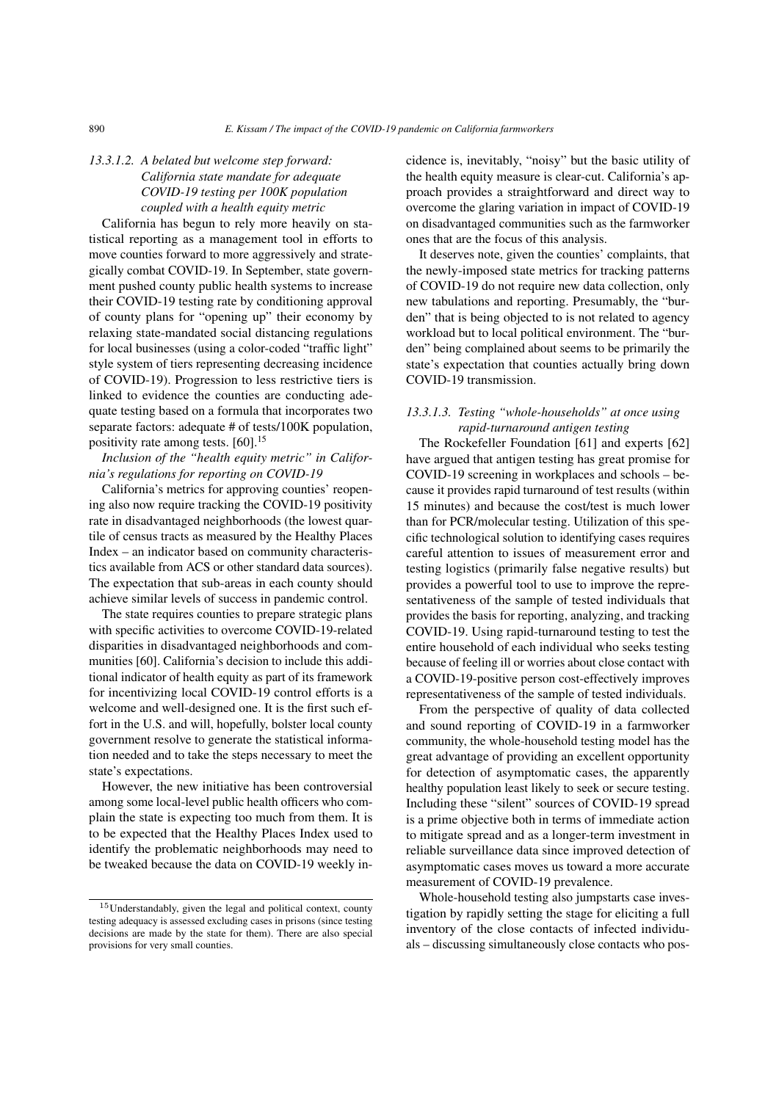# *13.3.1.2. A belated but welcome step forward: California state mandate for adequate COVID-19 testing per 100K population coupled with a health equity metric*

California has begun to rely more heavily on statistical reporting as a management tool in efforts to move counties forward to more aggressively and strategically combat COVID-19. In September, state government pushed county public health systems to increase their COVID-19 testing rate by conditioning approval of county plans for "opening up" their economy by relaxing state-mandated social distancing regulations for local businesses (using a color-coded "traffic light" style system of tiers representing decreasing incidence of COVID-19). Progression to less restrictive tiers is linked to evidence the counties are conducting adequate testing based on a formula that incorporates two separate factors: adequate # of tests/100K population, positivity rate among tests. [\[60\]](#page-31-1).<sup>[15](#page-23-0)</sup>

*Inclusion of the "health equity metric" in California's regulations for reporting on COVID-19*

California's metrics for approving counties' reopening also now require tracking the COVID-19 positivity rate in disadvantaged neighborhoods (the lowest quartile of census tracts as measured by the Healthy Places Index – an indicator based on community characteristics available from ACS or other standard data sources). The expectation that sub-areas in each county should achieve similar levels of success in pandemic control.

The state requires counties to prepare strategic plans with specific activities to overcome COVID-19-related disparities in disadvantaged neighborhoods and communities [\[60\]](#page-31-1). California's decision to include this additional indicator of health equity as part of its framework for incentivizing local COVID-19 control efforts is a welcome and well-designed one. It is the first such effort in the U.S. and will, hopefully, bolster local county government resolve to generate the statistical information needed and to take the steps necessary to meet the state's expectations.

However, the new initiative has been controversial among some local-level public health officers who complain the state is expecting too much from them. It is to be expected that the Healthy Places Index used to identify the problematic neighborhoods may need to be tweaked because the data on COVID-19 weekly incidence is, inevitably, "noisy" but the basic utility of the health equity measure is clear-cut. California's approach provides a straightforward and direct way to overcome the glaring variation in impact of COVID-19 on disadvantaged communities such as the farmworker ones that are the focus of this analysis.

It deserves note, given the counties' complaints, that the newly-imposed state metrics for tracking patterns of COVID-19 do not require new data collection, only new tabulations and reporting. Presumably, the "burden" that is being objected to is not related to agency workload but to local political environment. The "burden" being complained about seems to be primarily the state's expectation that counties actually bring down COVID-19 transmission.

## *13.3.1.3. Testing "whole-households" at once using rapid-turnaround antigen testing*

The Rockefeller Foundation [\[61\]](#page-31-2) and experts [\[62\]](#page-31-3) have argued that antigen testing has great promise for COVID-19 screening in workplaces and schools – because it provides rapid turnaround of test results (within 15 minutes) and because the cost/test is much lower than for PCR/molecular testing. Utilization of this specific technological solution to identifying cases requires careful attention to issues of measurement error and testing logistics (primarily false negative results) but provides a powerful tool to use to improve the representativeness of the sample of tested individuals that provides the basis for reporting, analyzing, and tracking COVID-19. Using rapid-turnaround testing to test the entire household of each individual who seeks testing because of feeling ill or worries about close contact with a COVID-19-positive person cost-effectively improves representativeness of the sample of tested individuals.

From the perspective of quality of data collected and sound reporting of COVID-19 in a farmworker community, the whole-household testing model has the great advantage of providing an excellent opportunity for detection of asymptomatic cases, the apparently healthy population least likely to seek or secure testing. Including these "silent" sources of COVID-19 spread is a prime objective both in terms of immediate action to mitigate spread and as a longer-term investment in reliable surveillance data since improved detection of asymptomatic cases moves us toward a more accurate measurement of COVID-19 prevalence.

Whole-household testing also jumpstarts case investigation by rapidly setting the stage for eliciting a full inventory of the close contacts of infected individuals – discussing simultaneously close contacts who pos-

<span id="page-23-0"></span><sup>&</sup>lt;sup>15</sup>Understandably, given the legal and political context, county testing adequacy is assessed excluding cases in prisons (since testing decisions are made by the state for them). There are also special provisions for very small counties.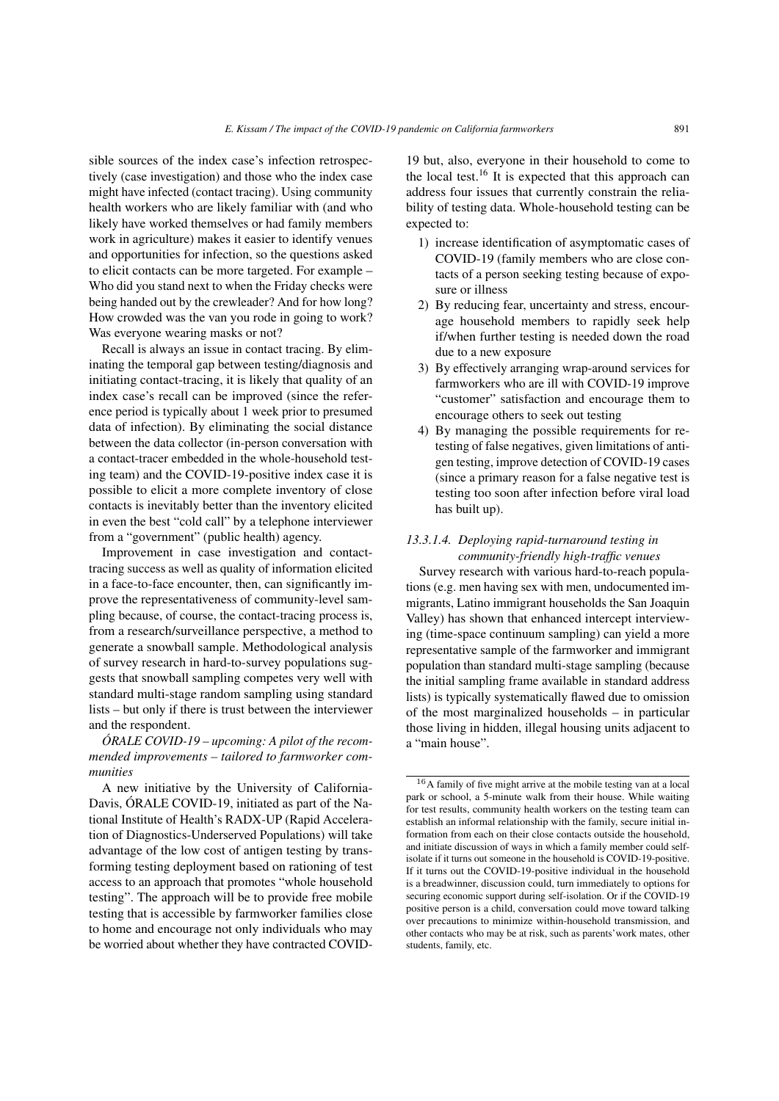sible sources of the index case's infection retrospectively (case investigation) and those who the index case might have infected (contact tracing). Using community health workers who are likely familiar with (and who likely have worked themselves or had family members work in agriculture) makes it easier to identify venues and opportunities for infection, so the questions asked to elicit contacts can be more targeted. For example – Who did you stand next to when the Friday checks were being handed out by the crewleader? And for how long? How crowded was the van you rode in going to work? Was everyone wearing masks or not?

Recall is always an issue in contact tracing. By eliminating the temporal gap between testing/diagnosis and initiating contact-tracing, it is likely that quality of an index case's recall can be improved (since the reference period is typically about 1 week prior to presumed data of infection). By eliminating the social distance between the data collector (in-person conversation with a contact-tracer embedded in the whole-household testing team) and the COVID-19-positive index case it is possible to elicit a more complete inventory of close contacts is inevitably better than the inventory elicited in even the best "cold call" by a telephone interviewer from a "government" (public health) agency.

Improvement in case investigation and contacttracing success as well as quality of information elicited in a face-to-face encounter, then, can significantly improve the representativeness of community-level sampling because, of course, the contact-tracing process is, from a research/surveillance perspective, a method to generate a snowball sample. Methodological analysis of survey research in hard-to-survey populations suggests that snowball sampling competes very well with standard multi-stage random sampling using standard lists – but only if there is trust between the interviewer and the respondent.

*ÓRALE COVID-19 – upcoming: A pilot of the recommended improvements – tailored to farmworker communities*

A new initiative by the University of California-Davis, ÓRALE COVID-19, initiated as part of the National Institute of Health's RADX-UP (Rapid Acceleration of Diagnostics-Underserved Populations) will take advantage of the low cost of antigen testing by transforming testing deployment based on rationing of test access to an approach that promotes "whole household testing". The approach will be to provide free mobile testing that is accessible by farmworker families close to home and encourage not only individuals who may be worried about whether they have contracted COVID-

19 but, also, everyone in their household to come to the local test.<sup>[16](#page-24-0)</sup> It is expected that this approach can address four issues that currently constrain the reliability of testing data. Whole-household testing can be expected to:

- 1) increase identification of asymptomatic cases of COVID-19 (family members who are close contacts of a person seeking testing because of exposure or illness
- 2) By reducing fear, uncertainty and stress, encourage household members to rapidly seek help if/when further testing is needed down the road due to a new exposure
- 3) By effectively arranging wrap-around services for farmworkers who are ill with COVID-19 improve "customer" satisfaction and encourage them to encourage others to seek out testing
- 4) By managing the possible requirements for retesting of false negatives, given limitations of antigen testing, improve detection of COVID-19 cases (since a primary reason for a false negative test is testing too soon after infection before viral load has built up).

## *13.3.1.4. Deploying rapid-turnaround testing in community-friendly high-traffic venues*

Survey research with various hard-to-reach populations (e.g. men having sex with men, undocumented immigrants, Latino immigrant households the San Joaquin Valley) has shown that enhanced intercept interviewing (time-space continuum sampling) can yield a more representative sample of the farmworker and immigrant population than standard multi-stage sampling (because the initial sampling frame available in standard address lists) is typically systematically flawed due to omission of the most marginalized households – in particular those living in hidden, illegal housing units adjacent to a "main house".

<span id="page-24-0"></span><sup>16</sup>A family of five might arrive at the mobile testing van at a local park or school, a 5-minute walk from their house. While waiting for test results, community health workers on the testing team can establish an informal relationship with the family, secure initial information from each on their close contacts outside the household, and initiate discussion of ways in which a family member could selfisolate if it turns out someone in the household is COVID-19-positive. If it turns out the COVID-19-positive individual in the household is a breadwinner, discussion could, turn immediately to options for securing economic support during self-isolation. Or if the COVID-19 positive person is a child, conversation could move toward talking over precautions to minimize within-household transmission, and other contacts who may be at risk, such as parents'work mates, other students, family, etc.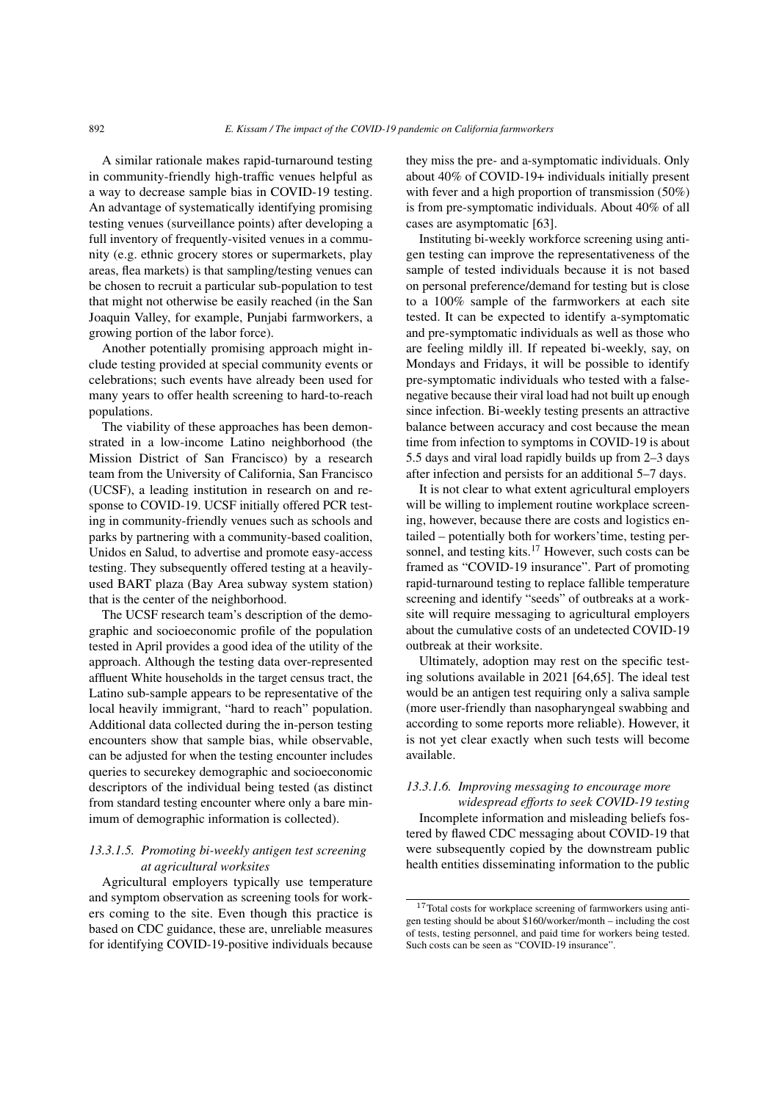A similar rationale makes rapid-turnaround testing in community-friendly high-traffic venues helpful as a way to decrease sample bias in COVID-19 testing. An advantage of systematically identifying promising testing venues (surveillance points) after developing a full inventory of frequently-visited venues in a community (e.g. ethnic grocery stores or supermarkets, play areas, flea markets) is that sampling/testing venues can be chosen to recruit a particular sub-population to test that might not otherwise be easily reached (in the San Joaquin Valley, for example, Punjabi farmworkers, a growing portion of the labor force).

Another potentially promising approach might include testing provided at special community events or celebrations; such events have already been used for many years to offer health screening to hard-to-reach populations.

The viability of these approaches has been demonstrated in a low-income Latino neighborhood (the Mission District of San Francisco) by a research team from the University of California, San Francisco (UCSF), a leading institution in research on and response to COVID-19. UCSF initially offered PCR testing in community-friendly venues such as schools and parks by partnering with a community-based coalition, Unidos en Salud, to advertise and promote easy-access testing. They subsequently offered testing at a heavilyused BART plaza (Bay Area subway system station) that is the center of the neighborhood.

The UCSF research team's description of the demographic and socioeconomic profile of the population tested in April provides a good idea of the utility of the approach. Although the testing data over-represented affluent White households in the target census tract, the Latino sub-sample appears to be representative of the local heavily immigrant, "hard to reach" population. Additional data collected during the in-person testing encounters show that sample bias, while observable, can be adjusted for when the testing encounter includes queries to securekey demographic and socioeconomic descriptors of the individual being tested (as distinct from standard testing encounter where only a bare minimum of demographic information is collected).

# *13.3.1.5. Promoting bi-weekly antigen test screening at agricultural worksites*

Agricultural employers typically use temperature and symptom observation as screening tools for workers coming to the site. Even though this practice is based on CDC guidance, these are, unreliable measures for identifying COVID-19-positive individuals because they miss the pre- and a-symptomatic individuals. Only about 40% of COVID-19+ individuals initially present with fever and a high proportion of transmission (50%) is from pre-symptomatic individuals. About 40% of all cases are asymptomatic [\[63\]](#page-31-4).

Instituting bi-weekly workforce screening using antigen testing can improve the representativeness of the sample of tested individuals because it is not based on personal preference/demand for testing but is close to a 100% sample of the farmworkers at each site tested. It can be expected to identify a-symptomatic and pre-symptomatic individuals as well as those who are feeling mildly ill. If repeated bi-weekly, say, on Mondays and Fridays, it will be possible to identify pre-symptomatic individuals who tested with a falsenegative because their viral load had not built up enough since infection. Bi-weekly testing presents an attractive balance between accuracy and cost because the mean time from infection to symptoms in COVID-19 is about 5.5 days and viral load rapidly builds up from 2–3 days after infection and persists for an additional 5–7 days.

It is not clear to what extent agricultural employers will be willing to implement routine workplace screening, however, because there are costs and logistics entailed – potentially both for workers'time, testing per-sonnel, and testing kits.<sup>[17](#page-25-0)</sup> However, such costs can be framed as "COVID-19 insurance". Part of promoting rapid-turnaround testing to replace fallible temperature screening and identify "seeds" of outbreaks at a worksite will require messaging to agricultural employers about the cumulative costs of an undetected COVID-19 outbreak at their worksite.

Ultimately, adoption may rest on the specific testing solutions available in 2021 [\[64,](#page-31-5)[65\]](#page-31-6). The ideal test would be an antigen test requiring only a saliva sample (more user-friendly than nasopharyngeal swabbing and according to some reports more reliable). However, it is not yet clear exactly when such tests will become available.

## *13.3.1.6. Improving messaging to encourage more*

*widespread efforts to seek COVID-19 testing* Incomplete information and misleading beliefs fostered by flawed CDC messaging about COVID-19 that were subsequently copied by the downstream public health entities disseminating information to the public

<span id="page-25-0"></span><sup>17</sup>Total costs for workplace screening of farmworkers using antigen testing should be about \$160/worker/month – including the cost of tests, testing personnel, and paid time for workers being tested. Such costs can be seen as "COVID-19 insurance".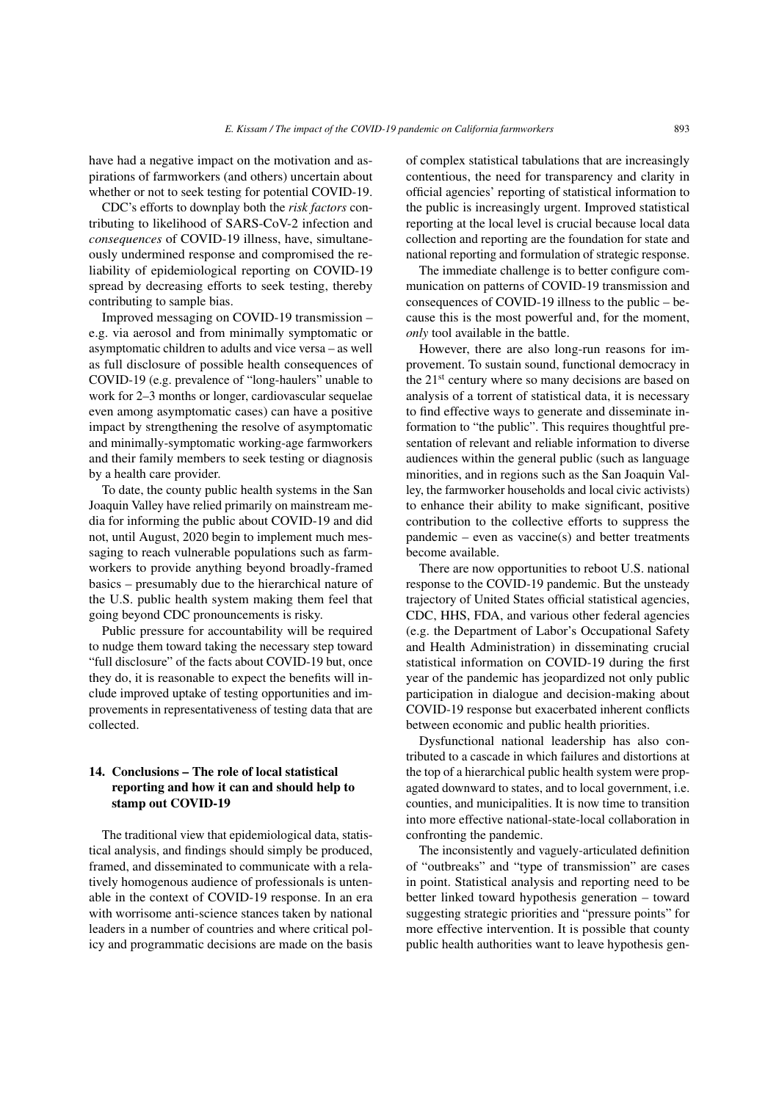have had a negative impact on the motivation and aspirations of farmworkers (and others) uncertain about whether or not to seek testing for potential COVID-19.

CDC's efforts to downplay both the *risk factors* contributing to likelihood of SARS-CoV-2 infection and *consequences* of COVID-19 illness, have, simultaneously undermined response and compromised the reliability of epidemiological reporting on COVID-19 spread by decreasing efforts to seek testing, thereby contributing to sample bias.

Improved messaging on COVID-19 transmission – e.g. via aerosol and from minimally symptomatic or asymptomatic children to adults and vice versa – as well as full disclosure of possible health consequences of COVID-19 (e.g. prevalence of "long-haulers" unable to work for 2–3 months or longer, cardiovascular sequelae even among asymptomatic cases) can have a positive impact by strengthening the resolve of asymptomatic and minimally-symptomatic working-age farmworkers and their family members to seek testing or diagnosis by a health care provider.

To date, the county public health systems in the San Joaquin Valley have relied primarily on mainstream media for informing the public about COVID-19 and did not, until August, 2020 begin to implement much messaging to reach vulnerable populations such as farmworkers to provide anything beyond broadly-framed basics – presumably due to the hierarchical nature of the U.S. public health system making them feel that going beyond CDC pronouncements is risky.

Public pressure for accountability will be required to nudge them toward taking the necessary step toward "full disclosure" of the facts about COVID-19 but, once they do, it is reasonable to expect the benefits will include improved uptake of testing opportunities and improvements in representativeness of testing data that are collected.

## 14. Conclusions – The role of local statistical reporting and how it can and should help to stamp out COVID-19

The traditional view that epidemiological data, statistical analysis, and findings should simply be produced, framed, and disseminated to communicate with a relatively homogenous audience of professionals is untenable in the context of COVID-19 response. In an era with worrisome anti-science stances taken by national leaders in a number of countries and where critical policy and programmatic decisions are made on the basis of complex statistical tabulations that are increasingly contentious, the need for transparency and clarity in official agencies' reporting of statistical information to the public is increasingly urgent. Improved statistical reporting at the local level is crucial because local data collection and reporting are the foundation for state and national reporting and formulation of strategic response.

The immediate challenge is to better configure communication on patterns of COVID-19 transmission and consequences of COVID-19 illness to the public – because this is the most powerful and, for the moment, *only* tool available in the battle.

However, there are also long-run reasons for improvement. To sustain sound, functional democracy in the 21st century where so many decisions are based on analysis of a torrent of statistical data, it is necessary to find effective ways to generate and disseminate information to "the public". This requires thoughtful presentation of relevant and reliable information to diverse audiences within the general public (such as language minorities, and in regions such as the San Joaquin Valley, the farmworker households and local civic activists) to enhance their ability to make significant, positive contribution to the collective efforts to suppress the pandemic – even as vaccine(s) and better treatments become available.

There are now opportunities to reboot U.S. national response to the COVID-19 pandemic. But the unsteady trajectory of United States official statistical agencies, CDC, HHS, FDA, and various other federal agencies (e.g. the Department of Labor's Occupational Safety and Health Administration) in disseminating crucial statistical information on COVID-19 during the first year of the pandemic has jeopardized not only public participation in dialogue and decision-making about COVID-19 response but exacerbated inherent conflicts between economic and public health priorities.

Dysfunctional national leadership has also contributed to a cascade in which failures and distortions at the top of a hierarchical public health system were propagated downward to states, and to local government, i.e. counties, and municipalities. It is now time to transition into more effective national-state-local collaboration in confronting the pandemic.

The inconsistently and vaguely-articulated definition of "outbreaks" and "type of transmission" are cases in point. Statistical analysis and reporting need to be better linked toward hypothesis generation – toward suggesting strategic priorities and "pressure points" for more effective intervention. It is possible that county public health authorities want to leave hypothesis gen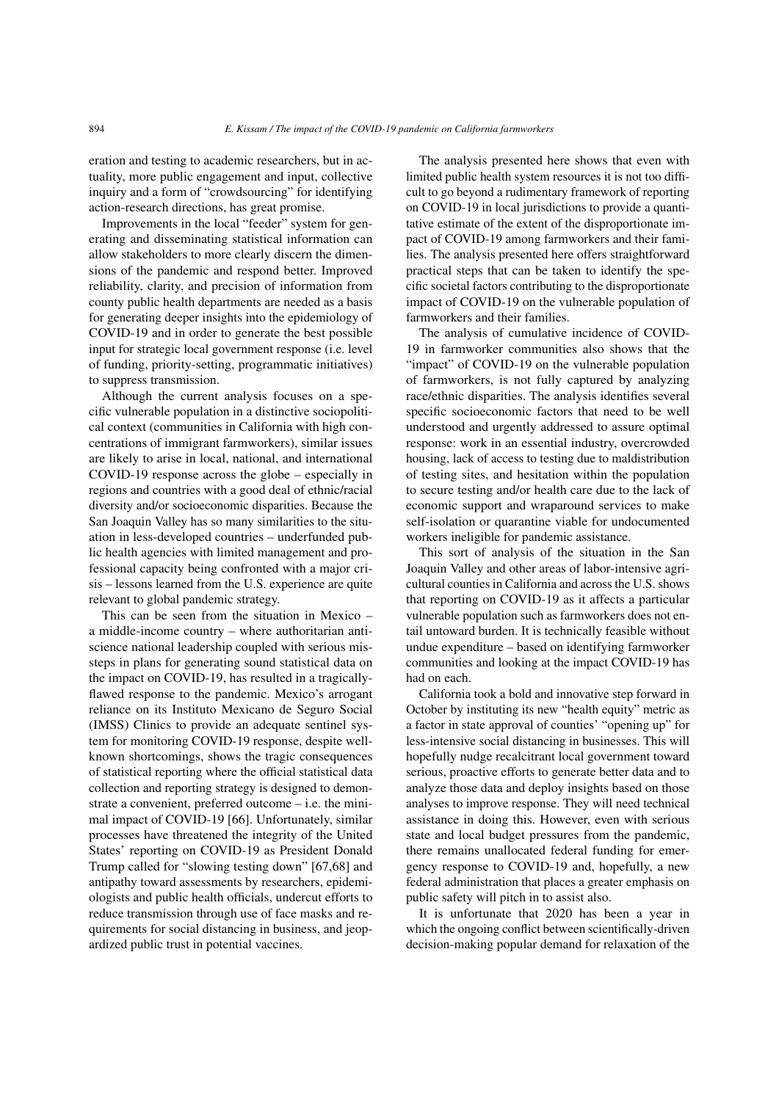eration and testing to academic researchers, but in actuality, more public engagement and input, collective inquiry and a form of "crowdsourcing" for identifying action-research directions, has great promise.

Improvements in the local "feeder" system for generating and disseminating statistical information can allow stakeholders to more clearly discern the dimensions of the pandemic and respond better. Improved reliability, clarity, and precision of information from county public health departments are needed as a basis for generating deeper insights into the epidemiology of COVID-19 and in order to generate the best possible input for strategic local government response (i.e. level of funding, priority-setting, programmatic initiatives) to suppress transmission.

Although the current analysis focuses on a specific vulnerable population in a distinctive sociopolitical context (communities in California with high concentrations of immigrant farmworkers), similar issues are likely to arise in local, national, and international COVID-19 response across the globe – especially in regions and countries with a good deal of ethnic/racial diversity and/or socioeconomic disparities. Because the San Joaquin Valley has so many similarities to the situation in less-developed countries – underfunded public health agencies with limited management and professional capacity being confronted with a major crisis – lessons learned from the U.S. experience are quite relevant to global pandemic strategy.

This can be seen from the situation in Mexico – a middle-income country – where authoritarian antiscience national leadership coupled with serious missteps in plans for generating sound statistical data on the impact on COVID-19, has resulted in a tragicallyflawed response to the pandemic. Mexico's arrogant reliance on its Instituto Mexicano de Seguro Social (IMSS) Clinics to provide an adequate sentinel system for monitoring COVID-19 response, despite wellknown shortcomings, shows the tragic consequences of statistical reporting where the official statistical data collection and reporting strategy is designed to demonstrate a convenient, preferred outcome – i.e. the minimal impact of COVID-19 [\[66\]](#page-31-7). Unfortunately, similar processes have threatened the integrity of the United States' reporting on COVID-19 as President Donald Trump called for "slowing testing down" [\[67](#page-31-8)[,68\]](#page-31-9) and antipathy toward assessments by researchers, epidemiologists and public health officials, undercut efforts to reduce transmission through use of face masks and requirements for social distancing in business, and jeopardized public trust in potential vaccines.

The analysis presented here shows that even with limited public health system resources it is not too difficult to go beyond a rudimentary framework of reporting on COVID-19 in local jurisdictions to provide a quantitative estimate of the extent of the disproportionate impact of COVID-19 among farmworkers and their families. The analysis presented here offers straightforward practical steps that can be taken to identify the specific societal factors contributing to the disproportionate impact of COVID-19 on the vulnerable population of farmworkers and their families.

The analysis of cumulative incidence of COVID-19 in farmworker communities also shows that the "impact" of COVID-19 on the vulnerable population of farmworkers, is not fully captured by analyzing race/ethnic disparities. The analysis identifies several specific socioeconomic factors that need to be well understood and urgently addressed to assure optimal response: work in an essential industry, overcrowded housing, lack of access to testing due to maldistribution of testing sites, and hesitation within the population to secure testing and/or health care due to the lack of economic support and wraparound services to make self-isolation or quarantine viable for undocumented workers ineligible for pandemic assistance.

This sort of analysis of the situation in the San Joaquin Valley and other areas of labor-intensive agricultural counties in California and across the U.S. shows that reporting on COVID-19 as it affects a particular vulnerable population such as farmworkers does not entail untoward burden. It is technically feasible without undue expenditure – based on identifying farmworker communities and looking at the impact COVID-19 has had on each.

California took a bold and innovative step forward in October by instituting its new "health equity" metric as a factor in state approval of counties' "opening up" for less-intensive social distancing in businesses. This will hopefully nudge recalcitrant local government toward serious, proactive efforts to generate better data and to analyze those data and deploy insights based on those analyses to improve response. They will need technical assistance in doing this. However, even with serious state and local budget pressures from the pandemic, there remains unallocated federal funding for emergency response to COVID-19 and, hopefully, a new federal administration that places a greater emphasis on public safety will pitch in to assist also.

It is unfortunate that 2020 has been a year in which the ongoing conflict between scientifically-driven decision-making popular demand for relaxation of the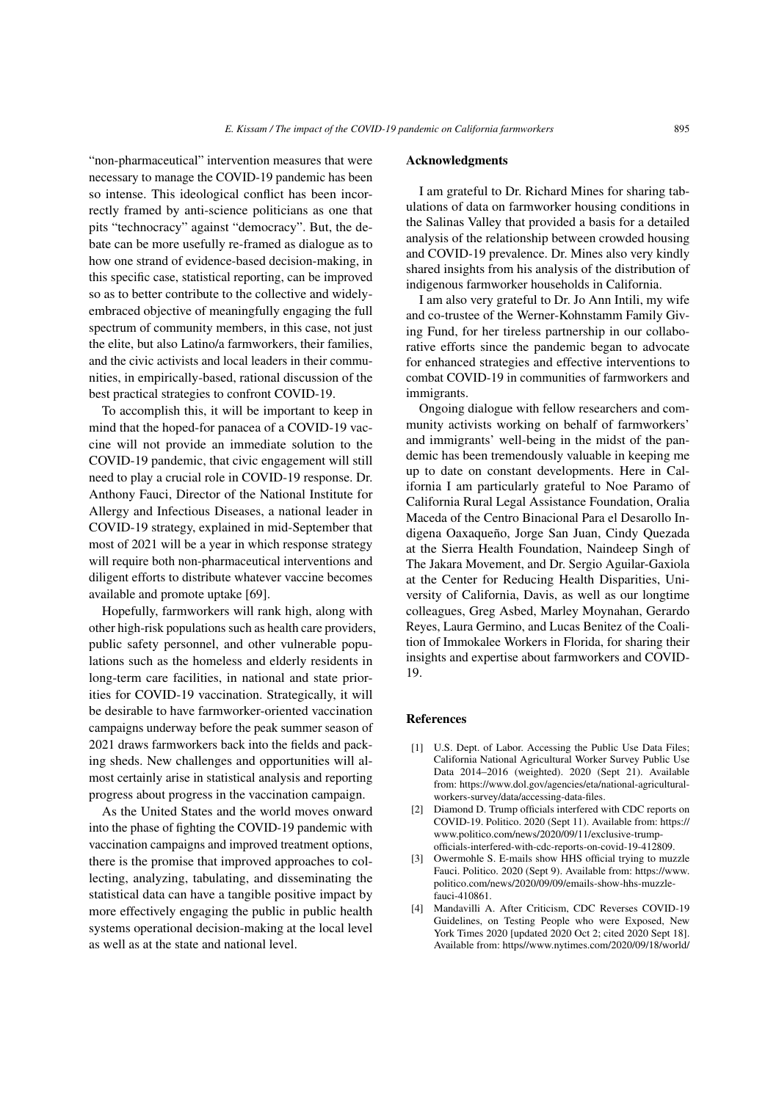"non-pharmaceutical" intervention measures that were necessary to manage the COVID-19 pandemic has been so intense. This ideological conflict has been incorrectly framed by anti-science politicians as one that pits "technocracy" against "democracy". But, the debate can be more usefully re-framed as dialogue as to how one strand of evidence-based decision-making, in this specific case, statistical reporting, can be improved so as to better contribute to the collective and widelyembraced objective of meaningfully engaging the full spectrum of community members, in this case, not just the elite, but also Latino/a farmworkers, their families, and the civic activists and local leaders in their communities, in empirically-based, rational discussion of the best practical strategies to confront COVID-19.

To accomplish this, it will be important to keep in mind that the hoped-for panacea of a COVID-19 vaccine will not provide an immediate solution to the COVID-19 pandemic, that civic engagement will still need to play a crucial role in COVID-19 response. Dr. Anthony Fauci, Director of the National Institute for Allergy and Infectious Diseases, a national leader in COVID-19 strategy, explained in mid-September that most of 2021 will be a year in which response strategy will require both non-pharmaceutical interventions and diligent efforts to distribute whatever vaccine becomes available and promote uptake [\[69\]](#page-31-10).

Hopefully, farmworkers will rank high, along with other high-risk populations such as health care providers, public safety personnel, and other vulnerable populations such as the homeless and elderly residents in long-term care facilities, in national and state priorities for COVID-19 vaccination. Strategically, it will be desirable to have farmworker-oriented vaccination campaigns underway before the peak summer season of 2021 draws farmworkers back into the fields and packing sheds. New challenges and opportunities will almost certainly arise in statistical analysis and reporting progress about progress in the vaccination campaign.

As the United States and the world moves onward into the phase of fighting the COVID-19 pandemic with vaccination campaigns and improved treatment options, there is the promise that improved approaches to collecting, analyzing, tabulating, and disseminating the statistical data can have a tangible positive impact by more effectively engaging the public in public health systems operational decision-making at the local level as well as at the state and national level.

#### Acknowledgments

I am grateful to Dr. Richard Mines for sharing tabulations of data on farmworker housing conditions in the Salinas Valley that provided a basis for a detailed analysis of the relationship between crowded housing and COVID-19 prevalence. Dr. Mines also very kindly shared insights from his analysis of the distribution of indigenous farmworker households in California.

I am also very grateful to Dr. Jo Ann Intili, my wife and co-trustee of the Werner-Kohnstamm Family Giving Fund, for her tireless partnership in our collaborative efforts since the pandemic began to advocate for enhanced strategies and effective interventions to combat COVID-19 in communities of farmworkers and immigrants.

Ongoing dialogue with fellow researchers and community activists working on behalf of farmworkers' and immigrants' well-being in the midst of the pandemic has been tremendously valuable in keeping me up to date on constant developments. Here in California I am particularly grateful to Noe Paramo of California Rural Legal Assistance Foundation, Oralia Maceda of the Centro Binacional Para el Desarollo Indigena Oaxaqueño, Jorge San Juan, Cindy Quezada at the Sierra Health Foundation, Naindeep Singh of The Jakara Movement, and Dr. Sergio Aguilar-Gaxiola at the Center for Reducing Health Disparities, University of California, Davis, as well as our longtime colleagues, Greg Asbed, Marley Moynahan, Gerardo Reyes, Laura Germino, and Lucas Benitez of the Coalition of Immokalee Workers in Florida, for sharing their insights and expertise about farmworkers and COVID-19.

#### References

- <span id="page-28-0"></span>[1] U.S. Dept. of Labor. Accessing the Public Use Data Files; California National Agricultural Worker Survey Public Use Data 2014–2016 (weighted). 2020 (Sept 21). Available from: https://www.dol.gov/agencies/eta/national-agriculturalworkers-survey/data/accessing-data-files.
- <span id="page-28-1"></span>[2] Diamond D. Trump officials interfered with CDC reports on COVID-19. Politico. 2020 (Sept 11). Available from: https:// www.politico.com/news/2020/09/11/exclusive-trumpofficials-interfered-with-cdc-reports-on-covid-19-412809.
- [3] Owermohle S. E-mails show HHS official trying to muzzle Fauci. Politico. 2020 (Sept 9). Available from: https://www. politico.com/news/2020/09/09/emails-show-hhs-muzzlefauci-410861.
- [4] Mandavilli A. After Criticism, CDC Reverses COVID-19 Guidelines, on Testing People who were Exposed, New York Times 2020 [updated 2020 Oct 2; cited 2020 Sept 18]. Available from: https//www.nytimes.com/2020/09/18/world/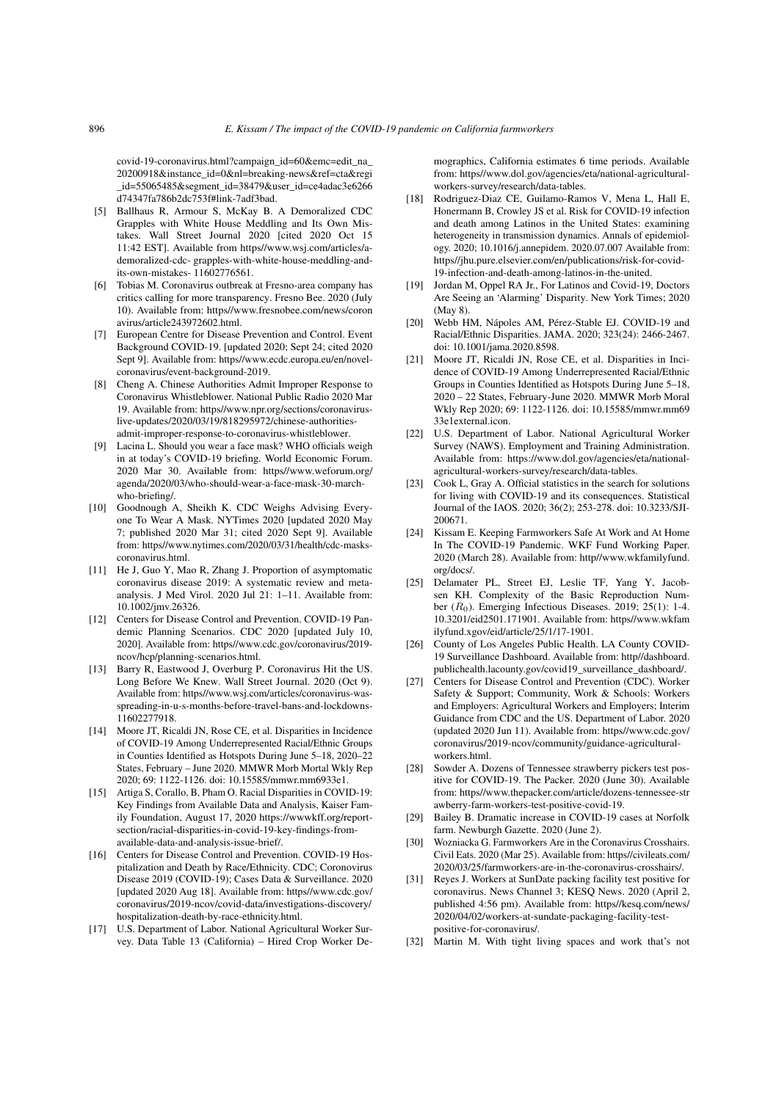covid-19-coronavirus.html?campaign\_id=60&emc=edit\_na\_ 20200918&instance\_id=0&nl=breaking-news&ref=cta&regi \_id=55065485&segment\_id=38479&user\_id=ce4adac3e6266 d74347fa786b2dc753f#link-7adf3bad.

- <span id="page-29-0"></span>[5] Ballhaus R, Armour S, McKay B. A Demoralized CDC Grapples with White House Meddling and Its Own Mistakes. Wall Street Journal 2020 [cited 2020 Oct 15 11:42 EST]. Available from https//www.wsj.com/articles/ademoralized-cdc- grapples-with-white-house-meddling-andits-own-mistakes- 11602776561.
- <span id="page-29-1"></span>[6] Tobias M. Coronavirus outbreak at Fresno-area company has critics calling for more transparency. Fresno Bee. 2020 (July 10). Available from: https//www.fresnobee.com/news/coron avirus/article243972602.html.
- <span id="page-29-2"></span>[7] European Centre for Disease Prevention and Control. Event Background COVID-19. [updated 2020; Sept 24; cited 2020 Sept 9]. Available from: https//www.ecdc.europa.eu/en/novelcoronavirus/event-background-2019.
- <span id="page-29-3"></span>[8] Cheng A. Chinese Authorities Admit Improper Response to Coronavirus Whistleblower. National Public Radio 2020 Mar 19. Available from: https//www.npr.org/sections/coronaviruslive-updates/2020/03/19/818295972/chinese-authoritiesadmit-improper-response-to-coronavirus-whistleblower.
- <span id="page-29-4"></span>[9] Lacina L. Should you wear a face mask? WHO officials weigh in at today's COVID-19 briefing. World Economic Forum. 2020 Mar 30. Available from: https//www.weforum.org/ agenda/2020/03/who-should-wear-a-face-mask-30-marchwho-briefing/.
- <span id="page-29-5"></span>[10] Goodnough A, Sheikh K. CDC Weighs Advising Everyone To Wear A Mask. NYTimes 2020 [updated 2020 May 7; published 2020 Mar 31; cited 2020 Sept 9]. Available from: https//www.nytimes.com/2020/03/31/health/cdc-maskscoronavirus.html.
- <span id="page-29-6"></span>[11] He J, Guo Y, Mao R, Zhang J. Proportion of asymptomatic coronavirus disease 2019: A systematic review and metaanalysis. J Med Virol. 2020 Jul 21: 1–11. Available from: 10.1002/jmv.26326.
- <span id="page-29-7"></span>[12] Centers for Disease Control and Prevention. COVID-19 Pandemic Planning Scenarios. CDC 2020 [updated July 10, 2020]. Available from: https//www.cdc.gov/coronavirus/2019 ncov/hcp/planning-scenarios.html.
- <span id="page-29-8"></span>[13] Barry R, Eastwood J, Overburg P. Coronavirus Hit the US. Long Before We Knew. Wall Street Journal. 2020 (Oct 9). Available from: https//www.wsj.com/articles/coronavirus-wasspreading-in-u-s-months-before-travel-bans-and-lockdowns-11602277918.
- <span id="page-29-9"></span>[14] Moore JT, Ricaldi JN, Rose CE, et al. Disparities in Incidence of COVID-19 Among Underrepresented Racial/Ethnic Groups in Counties Identified as Hotspots During June 5–18, 2020–22 States, February – June 2020. MMWR Morb Mortal Wkly Rep 2020; 69: 1122-1126. doi: 10.15585/mmwr.mm6933e1.
- <span id="page-29-10"></span>[15] Artiga S, Corallo, B, Pham O. Racial Disparities in COVID-19: Key Findings from Available Data and Analysis, Kaiser Family Foundation, August 17, 2020 https://wwwkff.org/reportsection/racial-disparities-in-covid-19-key-findings-fromavailable-data-and-analysis-issue-brief/.
- <span id="page-29-11"></span>[16] Centers for Disease Control and Prevention. COVID-19 Hospitalization and Death by Race/Ethnicity. CDC; Coronovirus Disease 2019 (COVID-19); Cases Data & Surveillance. 2020 [updated 2020 Aug 18]. Available from: https//www.cdc.gov/ coronavirus/2019-ncov/covid-data/investigations-discovery/ hospitalization-death-by-race-ethnicity.html.
- <span id="page-29-12"></span>[17] U.S. Department of Labor. National Agricultural Worker Survey. Data Table 13 (California) – Hired Crop Worker De-

mographics, California estimates 6 time periods. Available from: https//www.dol.gov/agencies/eta/national-agriculturalworkers-survey/research/data-tables.

- <span id="page-29-13"></span>[18] Rodriguez-Diaz CE, Guilamo-Ramos V, Mena L, Hall E, Honermann B, Crowley JS et al. Risk for COVID-19 infection and death among Latinos in the United States: examining heterogeneity in transmission dynamics. Annals of epidemiology. 2020; 10.1016/j.annepidem. 2020.07.007 Available from: https//jhu.pure.elsevier.com/en/publications/risk-for-covid-19-infection-and-death-among-latinos-in-the-united.
- [19] Jordan M, Oppel RA Jr., For Latinos and Covid-19, Doctors Are Seeing an 'Alarming' Disparity. New York Times; 2020 (May 8).
- [20] Webb HM, Nápoles AM, Pérez-Stable EJ. COVID-19 and Racial/Ethnic Disparities. JAMA. 2020; 323(24): 2466-2467. doi: 10.1001/jama.2020.8598.
- <span id="page-29-14"></span>[21] Moore JT, Ricaldi JN, Rose CE, et al. Disparities in Incidence of COVID-19 Among Underrepresented Racial/Ethnic Groups in Counties Identified as Hotspots During June 5–18, 2020 – 22 States, February-June 2020. MMWR Morb Moral Wkly Rep 2020; 69: 1122-1126. doi: 10.15585/mmwr.mm69 33e1external.icon.
- <span id="page-29-15"></span>[22] U.S. Department of Labor. National Agricultural Worker Survey (NAWS). Employment and Training Administration. Available from: https://www.dol.gov/agencies/eta/nationalagricultural-workers-survey/research/data-tables.
- <span id="page-29-16"></span>[23] Cook L, Gray A. Official statistics in the search for solutions for living with COVID-19 and its consequences. Statistical Journal of the IAOS. 2020; 36(2); 253-278. doi: 10.3233/SJI-200671.
- <span id="page-29-17"></span>[24] Kissam E. Keeping Farmworkers Safe At Work and At Home In The COVID-19 Pandemic. WKF Fund Working Paper. 2020 (March 28). Available from: http//www.wkfamilyfund. org/docs/.
- <span id="page-29-18"></span>[25] Delamater PL, Street EJ, Leslie TF, Yang Y, Jacobsen KH. Complexity of the Basic Reproduction Number  $(R<sub>0</sub>)$ . Emerging Infectious Diseases. 2019; 25(1): 1-4. 10.3201/eid2501.171901. Available from: https//www.wkfam ilyfund.xgov/eid/article/25/1/17-1901.
- <span id="page-29-19"></span>[26] County of Los Angeles Public Health. LA County COVID-19 Surveillance Dashboard. Available from: http//dashboard. publichealth.lacounty.gov/covid19\_surveillance\_dashboard/.
- <span id="page-29-20"></span>[27] Centers for Disease Control and Prevention (CDC). Worker Safety & Support; Community, Work & Schools: Workers and Employers: Agricultural Workers and Employers; Interim Guidance from CDC and the US. Department of Labor. 2020 (updated 2020 Jun 11). Available from: https//www.cdc.gov/ coronavirus/2019-ncov/community/guidance-agriculturalworkers.html.
- <span id="page-29-21"></span>[28] Sowder A. Dozens of Tennessee strawberry pickers test positive for COVID-19. The Packer. 2020 (June 30). Available from: https//www.thepacker.com/article/dozens-tennessee-str awberry-farm-workers-test-positive-covid-19.
- [29] Bailey B. Dramatic increase in COVID-19 cases at Norfolk farm. Newburgh Gazette. 2020 (June 2).
- [30] Wozniacka G. Farmworkers Are in the Coronavirus Crosshairs. Civil Eats. 2020 (Mar 25). Available from: https//civileats.com/ 2020/03/25/farmworkers-are-in-the-coronavirus-crosshairs/.
- [31] Reyes J. Workers at SunDate packing facility test positive for coronavirus. News Channel 3; KESQ News. 2020 (April 2, published 4:56 pm). Available from: https//kesq.com/news/ 2020/04/02/workers-at-sundate-packaging-facility-testpositive-for-coronavirus/.
- <span id="page-29-22"></span>[32] Martin M. With tight living spaces and work that's not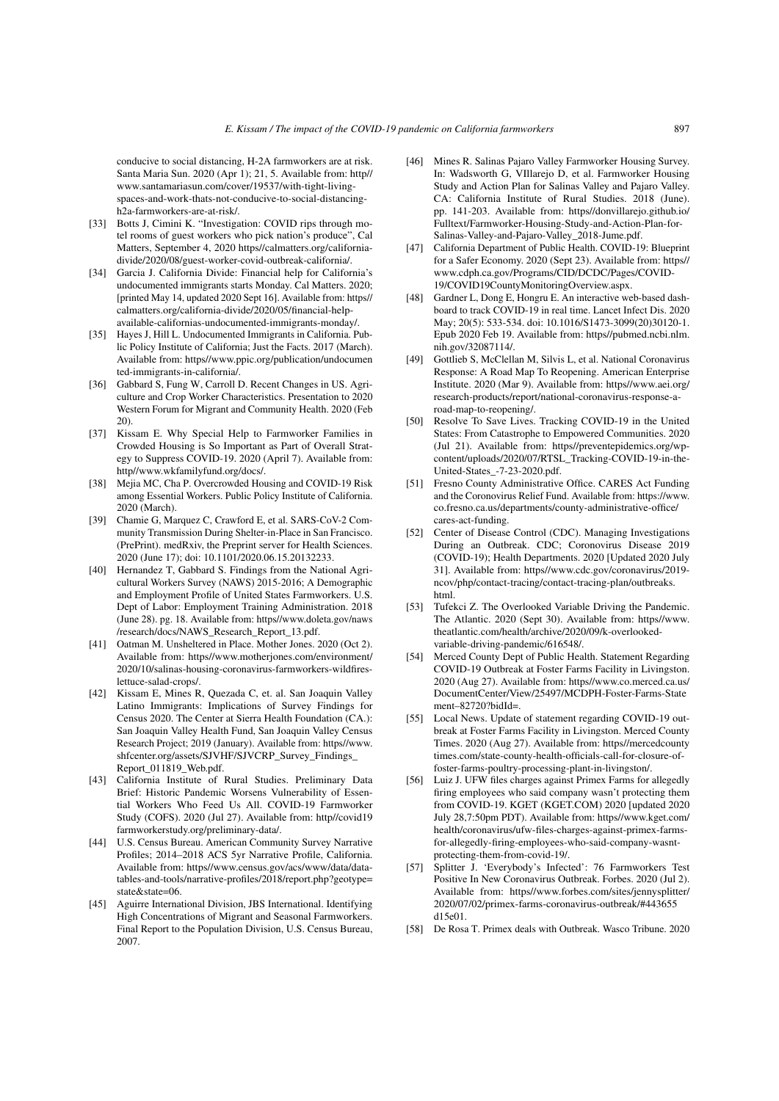conducive to social distancing, H-2A farmworkers are at risk. Santa Maria Sun. 2020 (Apr 1); 21, 5. Available from: http// www.santamariasun.com/cover/19537/with-tight-livingspaces-and-work-thats-not-conducive-to-social-distancingh2a-farmworkers-are-at-risk/.

- <span id="page-30-0"></span>[33] Botts J, Cimini K. "Investigation: COVID rips through motel rooms of guest workers who pick nation's produce", Cal Matters, September 4, 2020 https//calmatters.org/californiadivide/2020/08/guest-worker-covid-outbreak-california/.
- <span id="page-30-1"></span>[34] Garcia J. California Divide: Financial help for California's undocumented immigrants starts Monday. Cal Matters. 2020; [printed May 14, updated 2020 Sept 16]. Available from: https// calmatters.org/california-divide/2020/05/financial-helpavailable-californias-undocumented-immigrants-monday/.
- <span id="page-30-2"></span>[35] Hayes J, Hill L. Undocumented Immigrants in California. Public Policy Institute of California; Just the Facts. 2017 (March). Available from: https//www.ppic.org/publication/undocumen ted-immigrants-in-california/.
- <span id="page-30-3"></span>[36] Gabbard S, Fung W, Carroll D. Recent Changes in US. Agriculture and Crop Worker Characteristics. Presentation to 2020 Western Forum for Migrant and Community Health. 2020 (Feb 20).
- <span id="page-30-4"></span>[37] Kissam E. Why Special Help to Farmworker Families in Crowded Housing is So Important as Part of Overall Strategy to Suppress COVID-19. 2020 (April 7). Available from: http//www.wkfamilyfund.org/docs/.
- <span id="page-30-5"></span>[38] Mejia MC, Cha P. Overcrowded Housing and COVID-19 Risk among Essential Workers. Public Policy Institute of California. 2020 (March).
- <span id="page-30-6"></span>[39] Chamie G, Marquez C, Crawford E, et al. SARS-CoV-2 Community Transmission During Shelter-in-Place in San Francisco. (PrePrint). medRxiv, the Preprint server for Health Sciences. 2020 (June 17); doi: 10.1101/2020.06.15.20132233.
- <span id="page-30-7"></span>[40] Hernandez T, Gabbard S, Findings from the National Agricultural Workers Survey (NAWS) 2015-2016; A Demographic and Employment Profile of United States Farmworkers. U.S. Dept of Labor: Employment Training Administration. 2018 (June 28). pg. 18. Available from: https//www.doleta.gov/naws /research/docs/NAWS\_Research\_Report\_13.pdf.
- <span id="page-30-8"></span>[41] Oatman M. Unsheltered in Place. Mother Jones. 2020 (Oct 2). Available from: https//www.motherjones.com/environment/ 2020/10/salinas-housing-coronavirus-farmworkers-wildfireslettuce-salad-crops/.
- <span id="page-30-9"></span>[42] Kissam E, Mines R, Quezada C, et. al. San Joaquin Valley Latino Immigrants: Implications of Survey Findings for Census 2020. The Center at Sierra Health Foundation (CA.): San Joaquin Valley Health Fund, San Joaquin Valley Census Research Project; 2019 (January). Available from: https//www. shfcenter.org/assets/SJVHF/SJVCRP\_Survey\_Findings\_ Report\_011819\_Web.pdf.
- <span id="page-30-10"></span>[43] California Institute of Rural Studies. Preliminary Data Brief: Historic Pandemic Worsens Vulnerability of Essential Workers Who Feed Us All. COVID-19 Farmworker Study (COFS). 2020 (Jul 27). Available from: http//covid19 farmworkerstudy.org/preliminary-data/.
- <span id="page-30-11"></span>[44] U.S. Census Bureau. American Community Survey Narrative Profiles; 2014–2018 ACS 5yr Narrative Profile, California. Available from: https//www.census.gov/acs/www/data/datatables-and-tools/narrative-profiles/2018/report.php?geotype= state&state=06.
- <span id="page-30-12"></span>[45] Aguirre International Division, JBS International. Identifying High Concentrations of Migrant and Seasonal Farmworkers. Final Report to the Population Division, U.S. Census Bureau, 2007.
- <span id="page-30-14"></span>[46] Mines R. Salinas Pajaro Valley Farmworker Housing Survey. In: Wadsworth G, VIllarejo D, et al. Farmworker Housing Study and Action Plan for Salinas Valley and Pajaro Valley. CA: California Institute of Rural Studies. 2018 (June). pp. 141-203. Available from: https//donvillarejo.github.io/ Fulltext/Farmworker-Housing-Study-and-Action-Plan-for-Salinas-Valley-and-Pajaro-Valley\_2018-Jume.pdf.
- <span id="page-30-13"></span>[47] California Department of Public Health. COVID-19: Blueprint for a Safer Economy. 2020 (Sept 23). Available from: https// www.cdph.ca.gov/Programs/CID/DCDC/Pages/COVID-19/COVID19CountyMonitoringOverview.aspx.
- <span id="page-30-15"></span>[48] Gardner L, Dong E, Hongru E. An interactive web-based dashboard to track COVID-19 in real time. Lancet Infect Dis. 2020 May; 20(5): 533-534. doi: 10.1016/S1473-3099(20)30120-1. Epub 2020 Feb 19. Available from: https//pubmed.ncbi.nlm. nih.gov/32087114/.
- <span id="page-30-16"></span>[49] Gottlieb S, McClellan M, Silvis L, et al. National Coronavirus Response: A Road Map To Reopening. American Enterprise Institute. 2020 (Mar 9). Available from: https//www.aei.org/ research-products/report/national-coronavirus-response-aroad-map-to-reopening/.
- <span id="page-30-17"></span>[50] Resolve To Save Lives. Tracking COVID-19 in the United States: From Catastrophe to Empowered Communities. 2020 (Jul 21). Available from: https//preventepidemics.org/wpcontent/uploads/2020/07/RTSL\_Tracking-COVID-19-in-the-United-States\_-7-23-2020.pdf.
- <span id="page-30-18"></span>[51] Fresno County Administrative Office. CARES Act Funding and the Coronovirus Relief Fund. Available from: https://www. co.fresno.ca.us/departments/county-administrative-office/ cares-act-funding.
- <span id="page-30-19"></span>[52] Center of Disease Control (CDC). Managing Investigations During an Outbreak. CDC; Coronovirus Disease 2019 (COVID-19); Health Departments. 2020 [Updated 2020 July 31]. Available from: https//www.cdc.gov/coronavirus/2019 ncov/php/contact-tracing/contact-tracing-plan/outbreaks. html.
- <span id="page-30-20"></span>[53] Tufekci Z. The Overlooked Variable Driving the Pandemic. The Atlantic. 2020 (Sept 30). Available from: https//www. theatlantic.com/health/archive/2020/09/k-overlookedvariable-driving-pandemic/616548/.
- <span id="page-30-21"></span>Merced County Dept of Public Health. Statement Regarding COVID-19 Outbreak at Foster Farms Facility in Livingston. 2020 (Aug 27). Available from: https//www.co.merced.ca.us/ DocumentCenter/View/25497/MCDPH-Foster-Farms-State ment–82720?bidId=.
- <span id="page-30-22"></span>[55] Local News. Update of statement regarding COVID-19 outbreak at Foster Farms Facility in Livingston. Merced County Times. 2020 (Aug 27). Available from: https//mercedcounty times.com/state-county-health-officials-call-for-closure-offoster-farms-poultry-processing-plant-in-livingston/.
- <span id="page-30-23"></span>[56] Luiz J. UFW files charges against Primex Farms for allegedly firing employees who said company wasn't protecting them from COVID-19. KGET (KGET.COM) 2020 [updated 2020 July 28,7:50pm PDT). Available from: https//www.kget.com/ health/coronavirus/ufw-files-charges-against-primex-farmsfor-allegedly-firing-employees-who-said-company-wasntprotecting-them-from-covid-19/.
- <span id="page-30-24"></span>[57] Splitter J. 'Everybody's Infected': 76 Farmworkers Test Positive In New Coronavirus Outbreak. Forbes. 2020 (Jul 2). Available from: https//www.forbes.com/sites/jennysplitter/ 2020/07/02/primex-farms-coronavirus-outbreak/#443655 d15e01.
- <span id="page-30-25"></span>[58] De Rosa T. Primex deals with Outbreak. Wasco Tribune. 2020